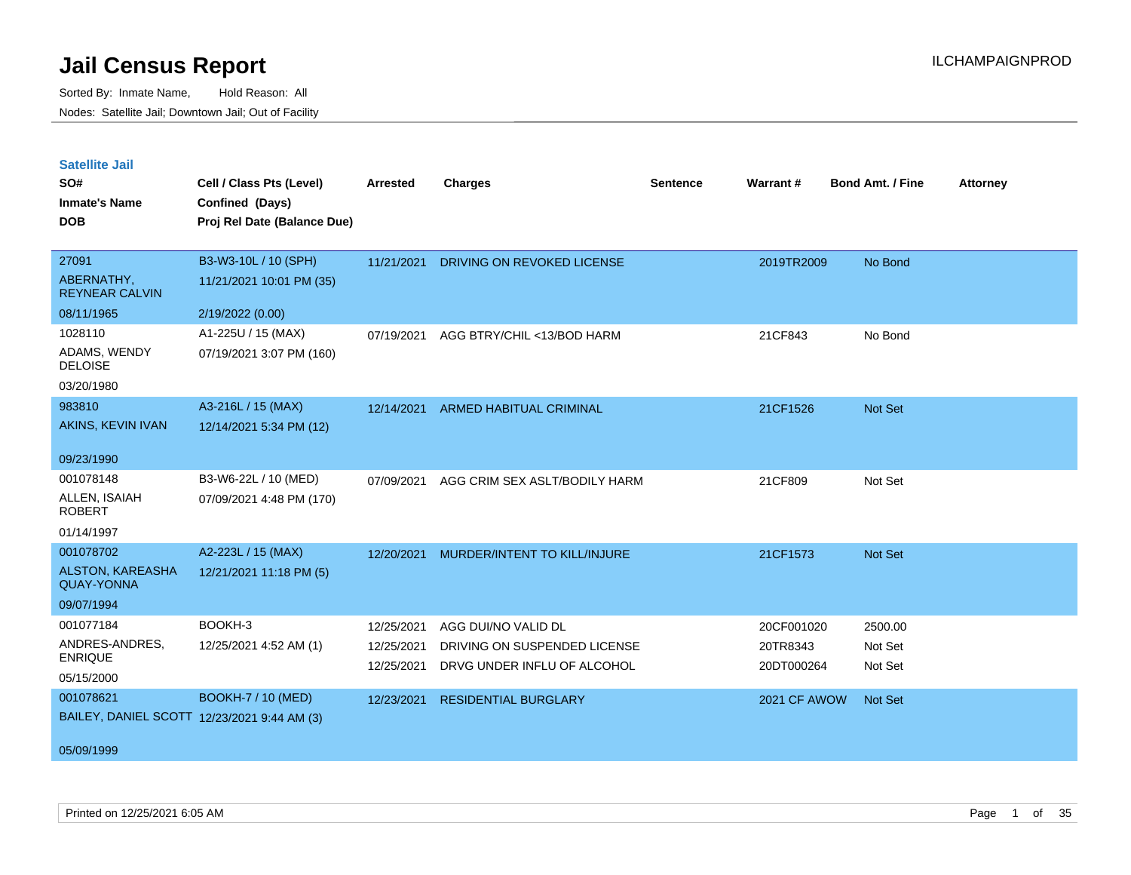| <b>Satellite Jail</b> |  |
|-----------------------|--|
|                       |  |

| SO#<br><b>Inmate's Name</b>           | Cell / Class Pts (Level)<br>Confined (Days) | <b>Arrested</b> | <b>Charges</b>                    | <b>Sentence</b> | Warrant#     | <b>Bond Amt. / Fine</b> | <b>Attorney</b> |
|---------------------------------------|---------------------------------------------|-----------------|-----------------------------------|-----------------|--------------|-------------------------|-----------------|
| <b>DOB</b>                            | Proj Rel Date (Balance Due)                 |                 |                                   |                 |              |                         |                 |
| 27091                                 | B3-W3-10L / 10 (SPH)                        | 11/21/2021      | <b>DRIVING ON REVOKED LICENSE</b> |                 | 2019TR2009   | No Bond                 |                 |
| ABERNATHY,<br><b>REYNEAR CALVIN</b>   | 11/21/2021 10:01 PM (35)                    |                 |                                   |                 |              |                         |                 |
| 08/11/1965                            | 2/19/2022 (0.00)                            |                 |                                   |                 |              |                         |                 |
| 1028110                               | A1-225U / 15 (MAX)                          | 07/19/2021      | AGG BTRY/CHIL <13/BOD HARM        |                 | 21CF843      | No Bond                 |                 |
| ADAMS, WENDY<br><b>DELOISE</b>        | 07/19/2021 3:07 PM (160)                    |                 |                                   |                 |              |                         |                 |
| 03/20/1980                            |                                             |                 |                                   |                 |              |                         |                 |
| 983810                                | A3-216L / 15 (MAX)                          | 12/14/2021      | <b>ARMED HABITUAL CRIMINAL</b>    |                 | 21CF1526     | Not Set                 |                 |
| AKINS, KEVIN IVAN                     | 12/14/2021 5:34 PM (12)                     |                 |                                   |                 |              |                         |                 |
| 09/23/1990                            |                                             |                 |                                   |                 |              |                         |                 |
| 001078148                             | B3-W6-22L / 10 (MED)                        | 07/09/2021      | AGG CRIM SEX ASLT/BODILY HARM     |                 | 21CF809      | Not Set                 |                 |
| ALLEN, ISAIAH<br><b>ROBERT</b>        | 07/09/2021 4:48 PM (170)                    |                 |                                   |                 |              |                         |                 |
| 01/14/1997                            |                                             |                 |                                   |                 |              |                         |                 |
| 001078702                             | A2-223L / 15 (MAX)                          | 12/20/2021      | MURDER/INTENT TO KILL/INJURE      |                 | 21CF1573     | Not Set                 |                 |
| ALSTON, KAREASHA<br><b>QUAY-YONNA</b> | 12/21/2021 11:18 PM (5)                     |                 |                                   |                 |              |                         |                 |
| 09/07/1994                            |                                             |                 |                                   |                 |              |                         |                 |
| 001077184                             | BOOKH-3                                     | 12/25/2021      | AGG DUI/NO VALID DL               |                 | 20CF001020   | 2500.00                 |                 |
| ANDRES-ANDRES.                        | 12/25/2021 4:52 AM (1)                      | 12/25/2021      | DRIVING ON SUSPENDED LICENSE      |                 | 20TR8343     | Not Set                 |                 |
| <b>ENRIQUE</b>                        |                                             | 12/25/2021      | DRVG UNDER INFLU OF ALCOHOL       |                 | 20DT000264   | Not Set                 |                 |
| 05/15/2000                            |                                             |                 |                                   |                 |              |                         |                 |
| 001078621                             | <b>BOOKH-7 / 10 (MED)</b>                   | 12/23/2021      | <b>RESIDENTIAL BURGLARY</b>       |                 | 2021 CF AWOW | Not Set                 |                 |
|                                       | BAILEY, DANIEL SCOTT 12/23/2021 9:44 AM (3) |                 |                                   |                 |              |                         |                 |
| 05/09/1999                            |                                             |                 |                                   |                 |              |                         |                 |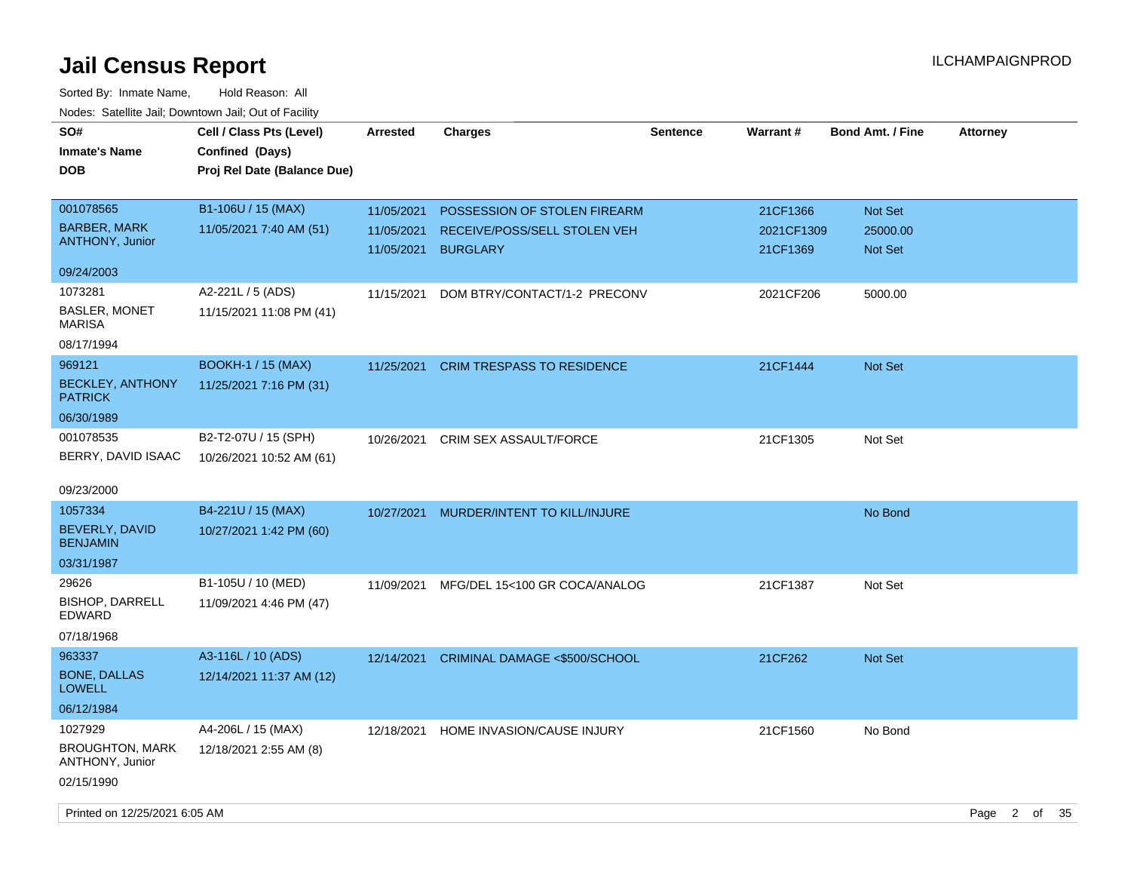| SO#<br><b>Inmate's Name</b><br><b>DOB</b>                  | Cell / Class Pts (Level)<br>Confined (Days)<br>Proj Rel Date (Balance Due) | <b>Arrested</b>                        | <b>Charges</b>                                                                  | <b>Sentence</b> | <b>Warrant#</b>                    | <b>Bond Amt. / Fine</b>        | <b>Attorney</b> |      |    |
|------------------------------------------------------------|----------------------------------------------------------------------------|----------------------------------------|---------------------------------------------------------------------------------|-----------------|------------------------------------|--------------------------------|-----------------|------|----|
| 001078565<br><b>BARBER, MARK</b><br><b>ANTHONY, Junior</b> | B1-106U / 15 (MAX)<br>11/05/2021 7:40 AM (51)                              | 11/05/2021<br>11/05/2021<br>11/05/2021 | POSSESSION OF STOLEN FIREARM<br>RECEIVE/POSS/SELL STOLEN VEH<br><b>BURGLARY</b> |                 | 21CF1366<br>2021CF1309<br>21CF1369 | Not Set<br>25000.00<br>Not Set |                 |      |    |
| 09/24/2003                                                 |                                                                            |                                        |                                                                                 |                 |                                    |                                |                 |      |    |
| 1073281<br><b>BASLER, MONET</b><br><b>MARISA</b>           | A2-221L / 5 (ADS)<br>11/15/2021 11:08 PM (41)                              | 11/15/2021                             | DOM BTRY/CONTACT/1-2 PRECONV                                                    |                 | 2021CF206                          | 5000.00                        |                 |      |    |
| 08/17/1994                                                 |                                                                            |                                        |                                                                                 |                 |                                    |                                |                 |      |    |
| 969121<br><b>BECKLEY, ANTHONY</b><br><b>PATRICK</b>        | <b>BOOKH-1 / 15 (MAX)</b><br>11/25/2021 7:16 PM (31)                       | 11/25/2021                             | <b>CRIM TRESPASS TO RESIDENCE</b>                                               |                 | 21CF1444                           | <b>Not Set</b>                 |                 |      |    |
| 06/30/1989                                                 |                                                                            |                                        |                                                                                 |                 |                                    |                                |                 |      |    |
| 001078535<br>BERRY, DAVID ISAAC                            | B2-T2-07U / 15 (SPH)<br>10/26/2021 10:52 AM (61)                           | 10/26/2021                             | CRIM SEX ASSAULT/FORCE                                                          |                 | 21CF1305                           | Not Set                        |                 |      |    |
| 09/23/2000                                                 |                                                                            |                                        |                                                                                 |                 |                                    |                                |                 |      |    |
| 1057334                                                    | B4-221U / 15 (MAX)                                                         | 10/27/2021                             | MURDER/INTENT TO KILL/INJURE                                                    |                 |                                    | No Bond                        |                 |      |    |
| <b>BEVERLY, DAVID</b><br><b>BENJAMIN</b>                   | 10/27/2021 1:42 PM (60)                                                    |                                        |                                                                                 |                 |                                    |                                |                 |      |    |
| 03/31/1987                                                 |                                                                            |                                        |                                                                                 |                 |                                    |                                |                 |      |    |
| 29626<br><b>BISHOP, DARRELL</b><br>EDWARD                  | B1-105U / 10 (MED)<br>11/09/2021 4:46 PM (47)                              | 11/09/2021                             | MFG/DEL 15<100 GR COCA/ANALOG                                                   |                 | 21CF1387                           | Not Set                        |                 |      |    |
| 07/18/1968                                                 |                                                                            |                                        |                                                                                 |                 |                                    |                                |                 |      |    |
| 963337<br><b>BONE, DALLAS</b><br>LOWELL                    | A3-116L / 10 (ADS)<br>12/14/2021 11:37 AM (12)                             | 12/14/2021                             | CRIMINAL DAMAGE <\$500/SCHOOL                                                   |                 | 21CF262                            | <b>Not Set</b>                 |                 |      |    |
| 06/12/1984                                                 |                                                                            |                                        |                                                                                 |                 |                                    |                                |                 |      |    |
| 1027929                                                    | A4-206L / 15 (MAX)                                                         | 12/18/2021                             | HOME INVASION/CAUSE INJURY                                                      |                 | 21CF1560                           | No Bond                        |                 |      |    |
| <b>BROUGHTON, MARK</b><br>ANTHONY, Junior                  | 12/18/2021 2:55 AM (8)                                                     |                                        |                                                                                 |                 |                                    |                                |                 |      |    |
| 02/15/1990                                                 |                                                                            |                                        |                                                                                 |                 |                                    |                                |                 |      |    |
| Printed on 12/25/2021 6:05 AM                              |                                                                            |                                        |                                                                                 |                 |                                    |                                | Page            | 2 of | 35 |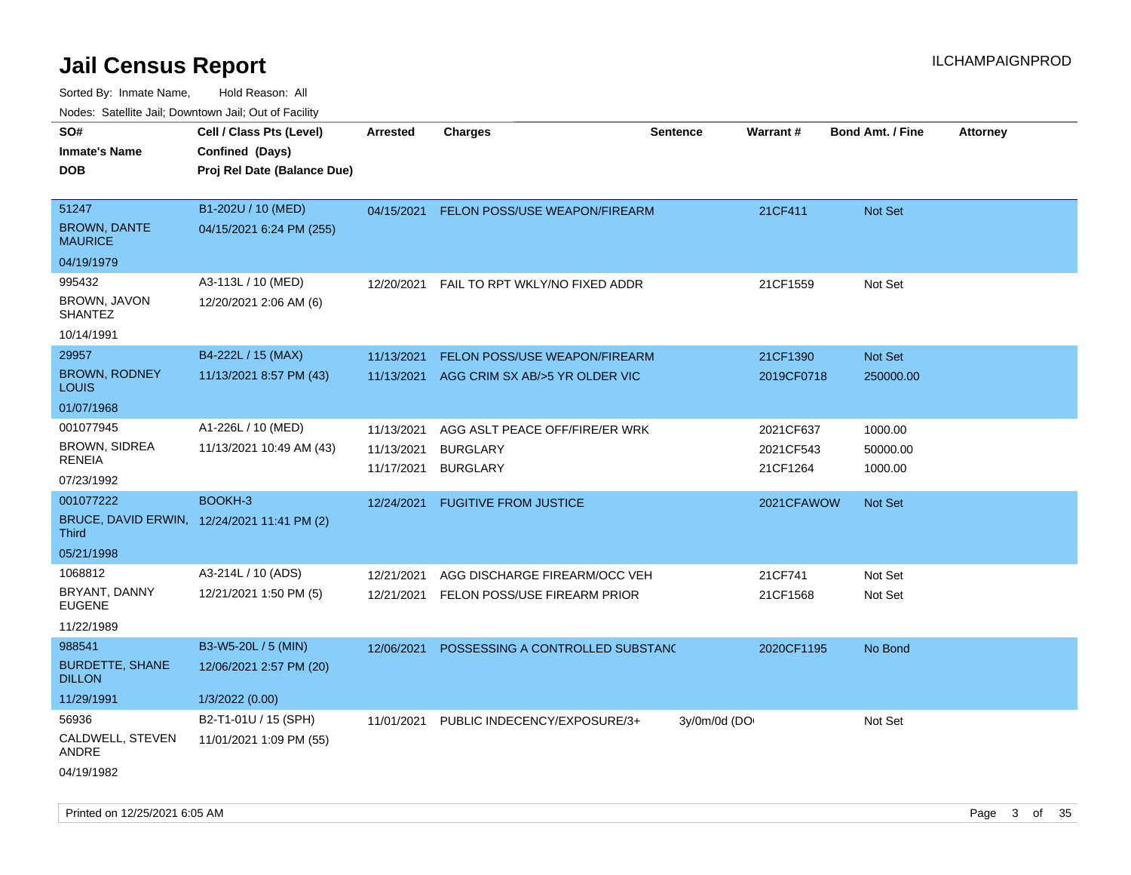| roaco. Calcinio dan, Downtown dan, Oal or Fability |                                             |            |                                           |                 |                 |                         |                 |
|----------------------------------------------------|---------------------------------------------|------------|-------------------------------------------|-----------------|-----------------|-------------------------|-----------------|
| SO#                                                | Cell / Class Pts (Level)                    | Arrested   | Charges                                   | <b>Sentence</b> | <b>Warrant#</b> | <b>Bond Amt. / Fine</b> | <b>Attorney</b> |
| Inmate's Name                                      | Confined (Days)                             |            |                                           |                 |                 |                         |                 |
| <b>DOB</b>                                         | Proj Rel Date (Balance Due)                 |            |                                           |                 |                 |                         |                 |
|                                                    |                                             |            |                                           |                 |                 |                         |                 |
| 51247                                              | B1-202U / 10 (MED)                          |            | 04/15/2021 FELON POSS/USE WEAPON/FIREARM  |                 | 21CF411         | <b>Not Set</b>          |                 |
| <b>BROWN, DANTE</b><br><b>MAURICE</b>              | 04/15/2021 6:24 PM (255)                    |            |                                           |                 |                 |                         |                 |
| 04/19/1979                                         |                                             |            |                                           |                 |                 |                         |                 |
| 995432                                             | A3-113L / 10 (MED)                          | 12/20/2021 | FAIL TO RPT WKLY/NO FIXED ADDR            |                 | 21CF1559        | Not Set                 |                 |
| BROWN, JAVON<br><b>SHANTEZ</b>                     | 12/20/2021 2:06 AM (6)                      |            |                                           |                 |                 |                         |                 |
| 10/14/1991                                         |                                             |            |                                           |                 |                 |                         |                 |
| 29957                                              | B4-222L / 15 (MAX)                          | 11/13/2021 | FELON POSS/USE WEAPON/FIREARM             |                 | 21CF1390        | <b>Not Set</b>          |                 |
| BROWN, RODNEY<br>LOUIS                             | 11/13/2021 8:57 PM (43)                     |            | 11/13/2021 AGG CRIM SX AB/>5 YR OLDER VIC |                 | 2019CF0718      | 250000.00               |                 |
| 01/07/1968                                         |                                             |            |                                           |                 |                 |                         |                 |
| 001077945                                          | A1-226L / 10 (MED)                          | 11/13/2021 | AGG ASLT PEACE OFF/FIRE/ER WRK            |                 | 2021CF637       | 1000.00                 |                 |
| <b>BROWN, SIDREA</b><br>RENEIA                     | 11/13/2021 10:49 AM (43)                    | 11/13/2021 | <b>BURGLARY</b>                           |                 | 2021CF543       | 50000.00                |                 |
| 07/23/1992                                         |                                             | 11/17/2021 | <b>BURGLARY</b>                           |                 | 21CF1264        | 1000.00                 |                 |
| 001077222                                          | BOOKH-3                                     | 12/24/2021 | <b>FUGITIVE FROM JUSTICE</b>              |                 | 2021CFAWOW      | <b>Not Set</b>          |                 |
| Third                                              | BRUCE, DAVID ERWIN, 12/24/2021 11:41 PM (2) |            |                                           |                 |                 |                         |                 |
| 05/21/1998                                         |                                             |            |                                           |                 |                 |                         |                 |
| 1068812                                            | A3-214L / 10 (ADS)                          | 12/21/2021 | AGG DISCHARGE FIREARM/OCC VEH             |                 | 21CF741         | Not Set                 |                 |
| BRYANT, DANNY<br>EUGENE                            | 12/21/2021 1:50 PM (5)                      | 12/21/2021 | FELON POSS/USE FIREARM PRIOR              |                 | 21CF1568        | Not Set                 |                 |
| 11/22/1989                                         |                                             |            |                                           |                 |                 |                         |                 |
| 988541                                             | B3-W5-20L / 5 (MIN)                         | 12/06/2021 | POSSESSING A CONTROLLED SUBSTAND          |                 | 2020CF1195      | No Bond                 |                 |
| <b>BURDETTE, SHANE</b><br><b>DILLON</b>            | 12/06/2021 2:57 PM (20)                     |            |                                           |                 |                 |                         |                 |
| 11/29/1991                                         | 1/3/2022 (0.00)                             |            |                                           |                 |                 |                         |                 |
| 56936                                              | B2-T1-01U / 15 (SPH)                        | 11/01/2021 | PUBLIC INDECENCY/EXPOSURE/3+              | 3y/0m/0d (DO    |                 | Not Set                 |                 |
| CALDWELL, STEVEN<br>ANDRE                          | 11/01/2021 1:09 PM (55)                     |            |                                           |                 |                 |                         |                 |
| 04/19/1982                                         |                                             |            |                                           |                 |                 |                         |                 |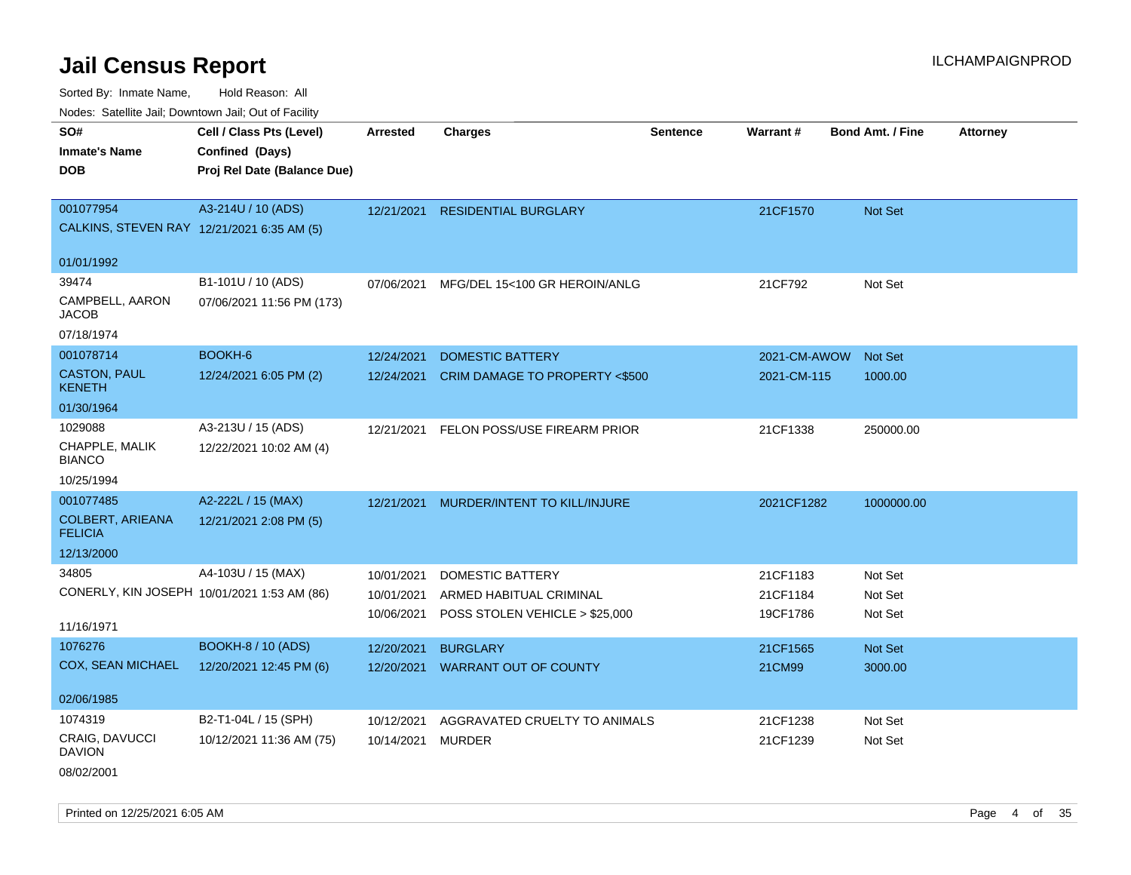Sorted By: Inmate Name, Hold Reason: All Nodes: Satellite Jail; Downtown Jail; Out of Facility

| Noues. Salenne Jan, Downlown Jan, Out or Facility |                             |                 |                                |                 |                 |                         |                 |
|---------------------------------------------------|-----------------------------|-----------------|--------------------------------|-----------------|-----------------|-------------------------|-----------------|
| SO#                                               | Cell / Class Pts (Level)    | <b>Arrested</b> | <b>Charges</b>                 | <b>Sentence</b> | <b>Warrant#</b> | <b>Bond Amt. / Fine</b> | <b>Attorney</b> |
| <b>Inmate's Name</b>                              | Confined (Days)             |                 |                                |                 |                 |                         |                 |
| <b>DOB</b>                                        | Proj Rel Date (Balance Due) |                 |                                |                 |                 |                         |                 |
|                                                   |                             |                 |                                |                 |                 |                         |                 |
| 001077954                                         | A3-214U / 10 (ADS)          | 12/21/2021      | <b>RESIDENTIAL BURGLARY</b>    |                 | 21CF1570        | Not Set                 |                 |
| CALKINS, STEVEN RAY 12/21/2021 6:35 AM (5)        |                             |                 |                                |                 |                 |                         |                 |
| 01/01/1992                                        |                             |                 |                                |                 |                 |                         |                 |
| 39474                                             | B1-101U / 10 (ADS)          | 07/06/2021      | MFG/DEL 15<100 GR HEROIN/ANLG  |                 | 21CF792         | Not Set                 |                 |
| CAMPBELL, AARON<br>JACOB                          | 07/06/2021 11:56 PM (173)   |                 |                                |                 |                 |                         |                 |
| 07/18/1974                                        |                             |                 |                                |                 |                 |                         |                 |
| 001078714                                         | BOOKH-6                     | 12/24/2021      | <b>DOMESTIC BATTERY</b>        |                 | 2021-CM-AWOW    | <b>Not Set</b>          |                 |
| <b>CASTON, PAUL</b><br><b>KENETH</b>              | 12/24/2021 6:05 PM (2)      | 12/24/2021      | CRIM DAMAGE TO PROPERTY <\$500 |                 | 2021-CM-115     | 1000.00                 |                 |
| 01/30/1964                                        |                             |                 |                                |                 |                 |                         |                 |
| 1029088                                           | A3-213U / 15 (ADS)          | 12/21/2021      | FELON POSS/USE FIREARM PRIOR   |                 | 21CF1338        | 250000.00               |                 |
| CHAPPLE, MALIK<br><b>BIANCO</b>                   | 12/22/2021 10:02 AM (4)     |                 |                                |                 |                 |                         |                 |
| 10/25/1994                                        |                             |                 |                                |                 |                 |                         |                 |
| 001077485                                         | A2-222L / 15 (MAX)          | 12/21/2021      | MURDER/INTENT TO KILL/INJURE   |                 | 2021CF1282      | 1000000.00              |                 |
| <b>COLBERT, ARIEANA</b><br><b>FELICIA</b>         | 12/21/2021 2:08 PM (5)      |                 |                                |                 |                 |                         |                 |
| 12/13/2000                                        |                             |                 |                                |                 |                 |                         |                 |
| 34805                                             | A4-103U / 15 (MAX)          | 10/01/2021      | DOMESTIC BATTERY               |                 | 21CF1183        | Not Set                 |                 |
| CONERLY, KIN JOSEPH 10/01/2021 1:53 AM (86)       |                             | 10/01/2021      | ARMED HABITUAL CRIMINAL        |                 | 21CF1184        | Not Set                 |                 |
|                                                   |                             | 10/06/2021      | POSS STOLEN VEHICLE > \$25,000 |                 | 19CF1786        | Not Set                 |                 |
| 11/16/1971                                        |                             |                 |                                |                 |                 |                         |                 |
| 1076276                                           | BOOKH-8 / 10 (ADS)          | 12/20/2021      | <b>BURGLARY</b>                |                 | 21CF1565        | <b>Not Set</b>          |                 |
| <b>COX, SEAN MICHAEL</b>                          | 12/20/2021 12:45 PM (6)     | 12/20/2021      | <b>WARRANT OUT OF COUNTY</b>   |                 | 21CM99          | 3000.00                 |                 |
| 02/06/1985                                        |                             |                 |                                |                 |                 |                         |                 |
| 1074319                                           | B2-T1-04L / 15 (SPH)        | 10/12/2021      | AGGRAVATED CRUELTY TO ANIMALS  |                 | 21CF1238        | Not Set                 |                 |
| CRAIG, DAVUCCI<br><b>DAVION</b>                   | 10/12/2021 11:36 AM (75)    | 10/14/2021      | <b>MURDER</b>                  |                 | 21CF1239        | Not Set                 |                 |

08/02/2001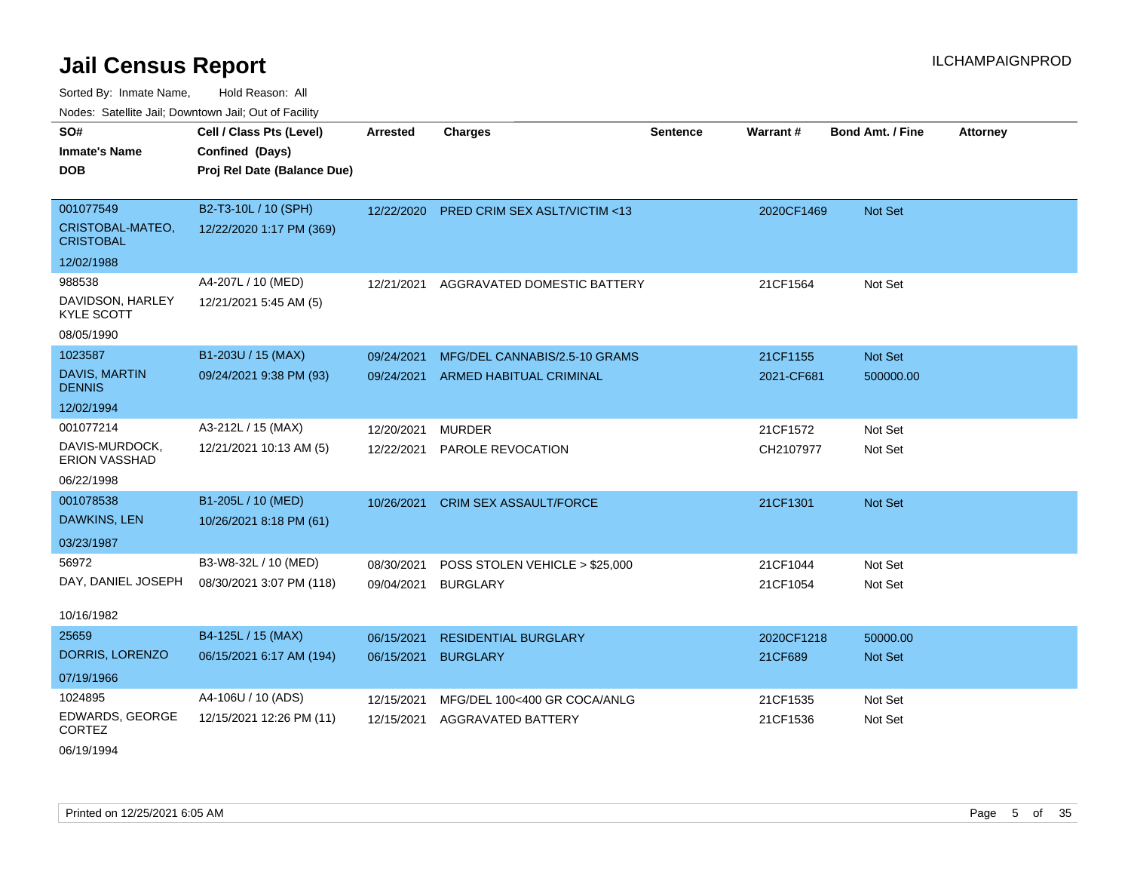Sorted By: Inmate Name, Hold Reason: All Nodes: Satellite Jail; Downtown Jail; Out of Facility

| Todos. Catolino can, Downtown can, Out of Fability |                             |            |                                         |                 |            |                         |                 |
|----------------------------------------------------|-----------------------------|------------|-----------------------------------------|-----------------|------------|-------------------------|-----------------|
| SO#                                                | Cell / Class Pts (Level)    | Arrested   | <b>Charges</b>                          | <b>Sentence</b> | Warrant#   | <b>Bond Amt. / Fine</b> | <b>Attorney</b> |
| <b>Inmate's Name</b>                               | Confined (Days)             |            |                                         |                 |            |                         |                 |
| <b>DOB</b>                                         | Proj Rel Date (Balance Due) |            |                                         |                 |            |                         |                 |
|                                                    |                             |            |                                         |                 |            |                         |                 |
| 001077549                                          | B2-T3-10L / 10 (SPH)        | 12/22/2020 | <b>PRED CRIM SEX ASLT/VICTIM &lt;13</b> |                 | 2020CF1469 | <b>Not Set</b>          |                 |
| CRISTOBAL-MATEO,<br><b>CRISTOBAL</b>               | 12/22/2020 1:17 PM (369)    |            |                                         |                 |            |                         |                 |
| 12/02/1988                                         |                             |            |                                         |                 |            |                         |                 |
| 988538                                             | A4-207L / 10 (MED)          | 12/21/2021 | AGGRAVATED DOMESTIC BATTERY             |                 | 21CF1564   | Not Set                 |                 |
| DAVIDSON, HARLEY<br><b>KYLE SCOTT</b>              | 12/21/2021 5:45 AM (5)      |            |                                         |                 |            |                         |                 |
| 08/05/1990                                         |                             |            |                                         |                 |            |                         |                 |
| 1023587                                            | B1-203U / 15 (MAX)          | 09/24/2021 | MFG/DEL CANNABIS/2.5-10 GRAMS           |                 | 21CF1155   | Not Set                 |                 |
| <b>DAVIS, MARTIN</b><br><b>DENNIS</b>              | 09/24/2021 9:38 PM (93)     | 09/24/2021 | ARMED HABITUAL CRIMINAL                 |                 | 2021-CF681 | 500000.00               |                 |
| 12/02/1994                                         |                             |            |                                         |                 |            |                         |                 |
| 001077214                                          | A3-212L / 15 (MAX)          | 12/20/2021 | <b>MURDER</b>                           |                 | 21CF1572   | Not Set                 |                 |
| DAVIS-MURDOCK,<br><b>ERION VASSHAD</b>             | 12/21/2021 10:13 AM (5)     | 12/22/2021 | PAROLE REVOCATION                       |                 | CH2107977  | Not Set                 |                 |
| 06/22/1998                                         |                             |            |                                         |                 |            |                         |                 |
| 001078538                                          | B1-205L / 10 (MED)          | 10/26/2021 | <b>CRIM SEX ASSAULT/FORCE</b>           |                 | 21CF1301   | <b>Not Set</b>          |                 |
| DAWKINS, LEN                                       | 10/26/2021 8:18 PM (61)     |            |                                         |                 |            |                         |                 |
| 03/23/1987                                         |                             |            |                                         |                 |            |                         |                 |
| 56972                                              | B3-W8-32L / 10 (MED)        | 08/30/2021 | POSS STOLEN VEHICLE > \$25,000          |                 | 21CF1044   | Not Set                 |                 |
| DAY, DANIEL JOSEPH                                 | 08/30/2021 3:07 PM (118)    | 09/04/2021 | <b>BURGLARY</b>                         |                 | 21CF1054   | Not Set                 |                 |
|                                                    |                             |            |                                         |                 |            |                         |                 |
| 10/16/1982                                         |                             |            |                                         |                 |            |                         |                 |
| 25659                                              | B4-125L / 15 (MAX)          | 06/15/2021 | <b>RESIDENTIAL BURGLARY</b>             |                 | 2020CF1218 | 50000.00                |                 |
| DORRIS, LORENZO                                    | 06/15/2021 6:17 AM (194)    | 06/15/2021 | <b>BURGLARY</b>                         |                 | 21CF689    | <b>Not Set</b>          |                 |
| 07/19/1966                                         |                             |            |                                         |                 |            |                         |                 |
| 1024895                                            | A4-106U / 10 (ADS)          | 12/15/2021 | MFG/DEL 100<400 GR COCA/ANLG            |                 | 21CF1535   | Not Set                 |                 |
| EDWARDS, GEORGE<br><b>CORTEZ</b>                   | 12/15/2021 12:26 PM (11)    | 12/15/2021 | <b>AGGRAVATED BATTERY</b>               |                 | 21CF1536   | Not Set                 |                 |

06/19/1994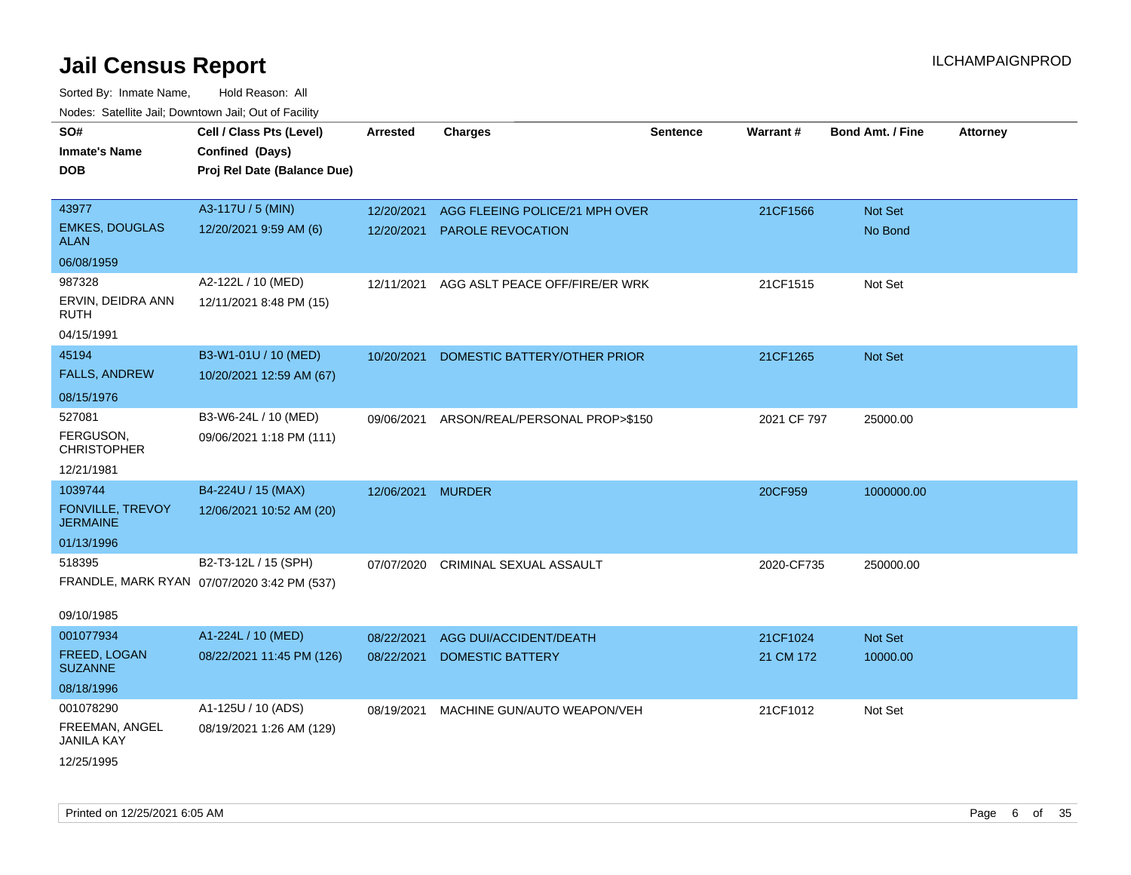| <b>Nouro:</b> Catoline Jan, Downtown Jan, Out of Fability |                                             |                 |                                |                 |             |                         |                 |
|-----------------------------------------------------------|---------------------------------------------|-----------------|--------------------------------|-----------------|-------------|-------------------------|-----------------|
| SO#                                                       | Cell / Class Pts (Level)                    | <b>Arrested</b> | <b>Charges</b>                 | <b>Sentence</b> | Warrant#    | <b>Bond Amt. / Fine</b> | <b>Attorney</b> |
| <b>Inmate's Name</b>                                      | Confined (Days)                             |                 |                                |                 |             |                         |                 |
| <b>DOB</b>                                                | Proj Rel Date (Balance Due)                 |                 |                                |                 |             |                         |                 |
|                                                           |                                             |                 |                                |                 |             |                         |                 |
| 43977                                                     | A3-117U / 5 (MIN)                           | 12/20/2021      | AGG FLEEING POLICE/21 MPH OVER |                 | 21CF1566    | <b>Not Set</b>          |                 |
| <b>EMKES, DOUGLAS</b><br><b>ALAN</b>                      | 12/20/2021 9:59 AM (6)                      | 12/20/2021      | PAROLE REVOCATION              |                 |             | No Bond                 |                 |
| 06/08/1959                                                |                                             |                 |                                |                 |             |                         |                 |
| 987328                                                    | A2-122L / 10 (MED)                          | 12/11/2021      | AGG ASLT PEACE OFF/FIRE/ER WRK |                 | 21CF1515    | Not Set                 |                 |
| ERVIN, DEIDRA ANN<br>RUTH                                 | 12/11/2021 8:48 PM (15)                     |                 |                                |                 |             |                         |                 |
| 04/15/1991                                                |                                             |                 |                                |                 |             |                         |                 |
| 45194                                                     | B3-W1-01U / 10 (MED)                        | 10/20/2021      | DOMESTIC BATTERY/OTHER PRIOR   |                 | 21CF1265    | <b>Not Set</b>          |                 |
| <b>FALLS, ANDREW</b>                                      | 10/20/2021 12:59 AM (67)                    |                 |                                |                 |             |                         |                 |
| 08/15/1976                                                |                                             |                 |                                |                 |             |                         |                 |
| 527081                                                    | B3-W6-24L / 10 (MED)                        | 09/06/2021      | ARSON/REAL/PERSONAL PROP>\$150 |                 | 2021 CF 797 | 25000.00                |                 |
| FERGUSON,<br><b>CHRISTOPHER</b>                           | 09/06/2021 1:18 PM (111)                    |                 |                                |                 |             |                         |                 |
| 12/21/1981                                                |                                             |                 |                                |                 |             |                         |                 |
| 1039744                                                   | B4-224U / 15 (MAX)                          | 12/06/2021      | <b>MURDER</b>                  |                 | 20CF959     | 1000000.00              |                 |
| <b>FONVILLE, TREVOY</b><br><b>JERMAINE</b>                | 12/06/2021 10:52 AM (20)                    |                 |                                |                 |             |                         |                 |
| 01/13/1996                                                |                                             |                 |                                |                 |             |                         |                 |
| 518395                                                    | B2-T3-12L / 15 (SPH)                        | 07/07/2020      | <b>CRIMINAL SEXUAL ASSAULT</b> |                 | 2020-CF735  | 250000.00               |                 |
|                                                           | FRANDLE, MARK RYAN 07/07/2020 3:42 PM (537) |                 |                                |                 |             |                         |                 |
|                                                           |                                             |                 |                                |                 |             |                         |                 |
| 09/10/1985                                                |                                             |                 |                                |                 |             |                         |                 |
| 001077934                                                 | A1-224L / 10 (MED)                          | 08/22/2021      | AGG DUI/ACCIDENT/DEATH         |                 | 21CF1024    | Not Set                 |                 |
| FREED, LOGAN<br><b>SUZANNE</b>                            | 08/22/2021 11:45 PM (126)                   | 08/22/2021      | <b>DOMESTIC BATTERY</b>        |                 | 21 CM 172   | 10000.00                |                 |
| 08/18/1996                                                |                                             |                 |                                |                 |             |                         |                 |
| 001078290                                                 | A1-125U / 10 (ADS)                          | 08/19/2021      | MACHINE GUN/AUTO WEAPON/VEH    |                 | 21CF1012    | Not Set                 |                 |
| FREEMAN, ANGEL<br><b>JANILA KAY</b>                       | 08/19/2021 1:26 AM (129)                    |                 |                                |                 |             |                         |                 |
| 12/25/1995                                                |                                             |                 |                                |                 |             |                         |                 |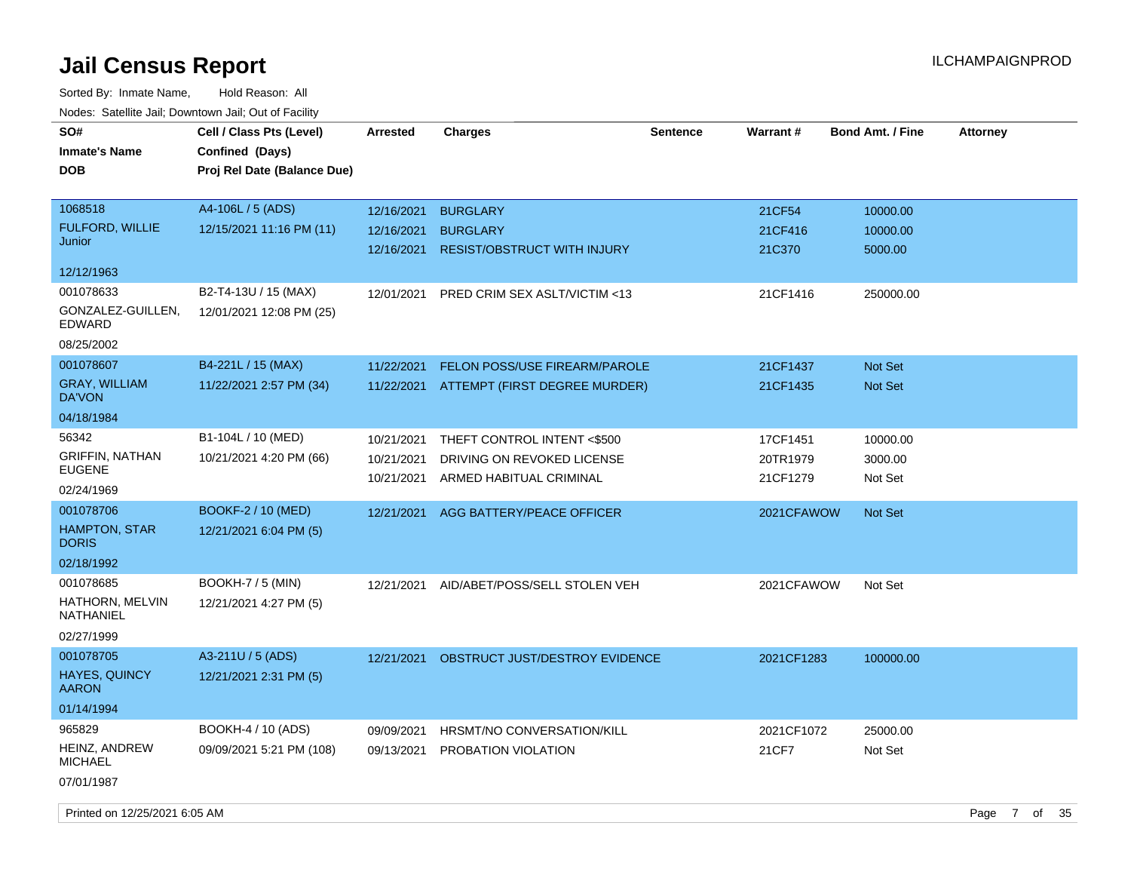| SO#<br><b>Inmate's Name</b><br><b>DOB</b> | Cell / Class Pts (Level)<br>Confined (Days)<br>Proj Rel Date (Balance Due) | <b>Arrested</b>          | Charges                                               | <b>Sentence</b> | <b>Warrant#</b>      | <b>Bond Amt. / Fine</b> | <b>Attorney</b> |  |
|-------------------------------------------|----------------------------------------------------------------------------|--------------------------|-------------------------------------------------------|-----------------|----------------------|-------------------------|-----------------|--|
| 1068518                                   | A4-106L / 5 (ADS)                                                          | 12/16/2021               | <b>BURGLARY</b>                                       |                 | 21CF54               | 10000.00                |                 |  |
| <b>FULFORD, WILLIE</b><br>Junior          | 12/15/2021 11:16 PM (11)                                                   | 12/16/2021<br>12/16/2021 | <b>BURGLARY</b><br><b>RESIST/OBSTRUCT WITH INJURY</b> |                 | 21CF416<br>21C370    | 10000.00<br>5000.00     |                 |  |
| 12/12/1963                                |                                                                            |                          |                                                       |                 |                      |                         |                 |  |
| 001078633                                 | B2-T4-13U / 15 (MAX)                                                       | 12/01/2021               | PRED CRIM SEX ASLT/VICTIM <13                         |                 | 21CF1416             | 250000.00               |                 |  |
| GONZALEZ-GUILLEN,<br>EDWARD               | 12/01/2021 12:08 PM (25)                                                   |                          |                                                       |                 |                      |                         |                 |  |
| 08/25/2002                                |                                                                            |                          |                                                       |                 |                      |                         |                 |  |
| 001078607                                 | B4-221L / 15 (MAX)                                                         | 11/22/2021               | FELON POSS/USE FIREARM/PAROLE                         |                 | 21CF1437             | Not Set                 |                 |  |
| <b>GRAY, WILLIAM</b><br>DA'VON            | 11/22/2021 2:57 PM (34)                                                    |                          | 11/22/2021 ATTEMPT (FIRST DEGREE MURDER)              |                 | 21CF1435             | Not Set                 |                 |  |
| 04/18/1984                                |                                                                            |                          |                                                       |                 |                      |                         |                 |  |
| 56342                                     | B1-104L / 10 (MED)                                                         | 10/21/2021               | THEFT CONTROL INTENT <\$500                           |                 | 17CF1451             | 10000.00                |                 |  |
| <b>GRIFFIN, NATHAN</b><br><b>EUGENE</b>   | 10/21/2021 4:20 PM (66)                                                    | 10/21/2021<br>10/21/2021 | DRIVING ON REVOKED LICENSE<br>ARMED HABITUAL CRIMINAL |                 | 20TR1979<br>21CF1279 | 3000.00<br>Not Set      |                 |  |
| 02/24/1969                                |                                                                            |                          |                                                       |                 |                      |                         |                 |  |
| 001078706                                 | BOOKF-2 / 10 (MED)                                                         | 12/21/2021               | AGG BATTERY/PEACE OFFICER                             |                 | 2021CFAWOW           | Not Set                 |                 |  |
| <b>HAMPTON, STAR</b><br><b>DORIS</b>      | 12/21/2021 6:04 PM (5)                                                     |                          |                                                       |                 |                      |                         |                 |  |
| 02/18/1992                                |                                                                            |                          |                                                       |                 |                      |                         |                 |  |
| 001078685                                 | <b>BOOKH-7 / 5 (MIN)</b>                                                   | 12/21/2021               | AID/ABET/POSS/SELL STOLEN VEH                         |                 | 2021CFAWOW           | Not Set                 |                 |  |
| HATHORN, MELVIN<br>NATHANIEL              | 12/21/2021 4:27 PM (5)                                                     |                          |                                                       |                 |                      |                         |                 |  |
| 02/27/1999                                |                                                                            |                          |                                                       |                 |                      |                         |                 |  |
| 001078705                                 | A3-211U / 5 (ADS)                                                          | 12/21/2021               | OBSTRUCT JUST/DESTROY EVIDENCE                        |                 | 2021CF1283           | 100000.00               |                 |  |
| <b>HAYES, QUINCY</b><br><b>AARON</b>      | 12/21/2021 2:31 PM (5)                                                     |                          |                                                       |                 |                      |                         |                 |  |
| 01/14/1994                                |                                                                            |                          |                                                       |                 |                      |                         |                 |  |
| 965829                                    | BOOKH-4 / 10 (ADS)                                                         | 09/09/2021               | HRSMT/NO CONVERSATION/KILL                            |                 | 2021CF1072           | 25000.00                |                 |  |
| HEINZ, ANDREW<br><b>MICHAEL</b>           | 09/09/2021 5:21 PM (108)                                                   | 09/13/2021               | PROBATION VIOLATION                                   |                 | 21CF7                | Not Set                 |                 |  |
| 07/01/1987                                |                                                                            |                          |                                                       |                 |                      |                         |                 |  |
| Printed on 12/25/2021 6:05 AM             |                                                                            |                          |                                                       |                 |                      |                         | Page 7 of 35    |  |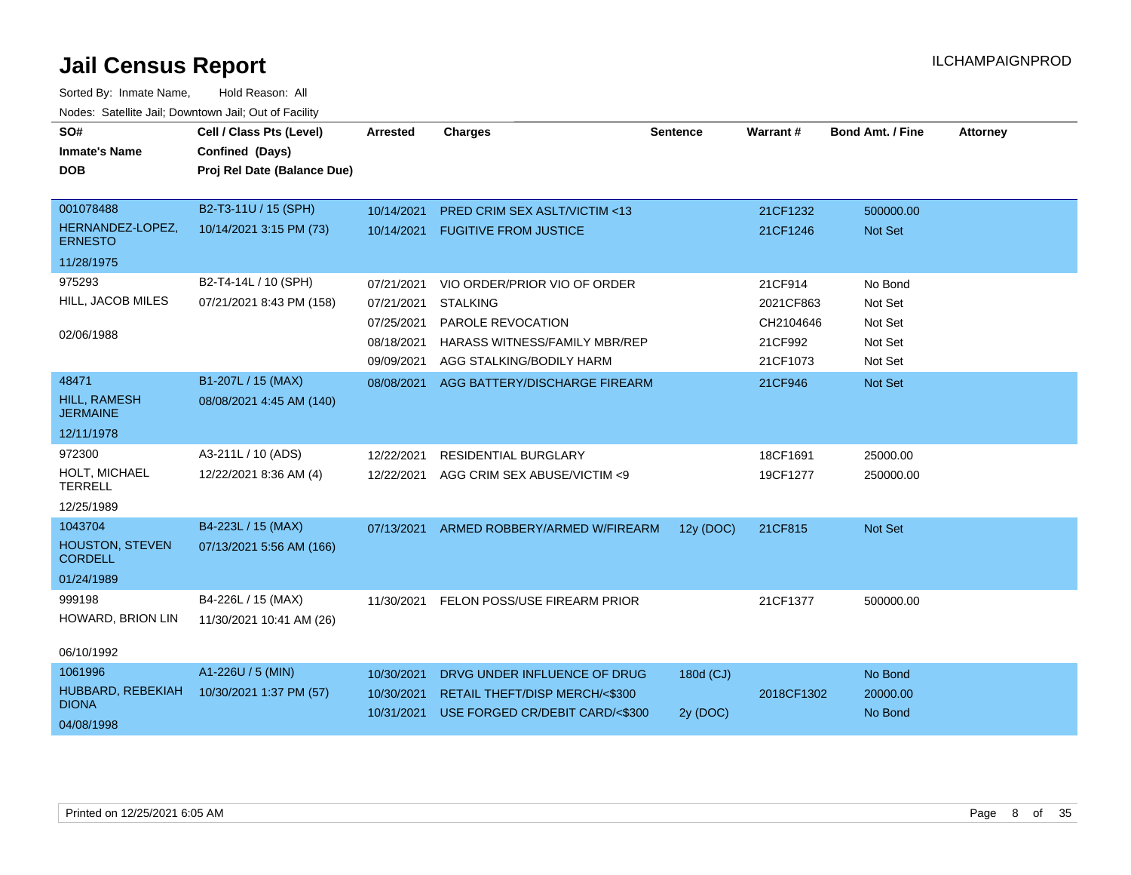| SO#<br><b>Inmate's Name</b><br><b>DOB</b>                         | Cell / Class Pts (Level)<br>Confined (Days)<br>Proj Rel Date (Balance Due) | <b>Arrested</b>                                                    | <b>Charges</b>                                                                                                                                  | <b>Sentence</b>       | Warrant#                                                 | <b>Bond Amt. / Fine</b>                             | <b>Attorney</b> |
|-------------------------------------------------------------------|----------------------------------------------------------------------------|--------------------------------------------------------------------|-------------------------------------------------------------------------------------------------------------------------------------------------|-----------------------|----------------------------------------------------------|-----------------------------------------------------|-----------------|
| 001078488<br>HERNANDEZ-LOPEZ,<br><b>ERNESTO</b><br>11/28/1975     | B2-T3-11U / 15 (SPH)<br>10/14/2021 3:15 PM (73)                            | 10/14/2021<br>10/14/2021                                           | <b>PRED CRIM SEX ASLT/VICTIM &lt;13</b><br><b>FUGITIVE FROM JUSTICE</b>                                                                         |                       | 21CF1232<br>21CF1246                                     | 500000.00<br>Not Set                                |                 |
| 975293<br>HILL, JACOB MILES<br>02/06/1988                         | B2-T4-14L / 10 (SPH)<br>07/21/2021 8:43 PM (158)                           | 07/21/2021<br>07/21/2021<br>07/25/2021<br>08/18/2021<br>09/09/2021 | VIO ORDER/PRIOR VIO OF ORDER<br><b>STALKING</b><br><b>PAROLE REVOCATION</b><br><b>HARASS WITNESS/FAMILY MBR/REP</b><br>AGG STALKING/BODILY HARM |                       | 21CF914<br>2021CF863<br>CH2104646<br>21CF992<br>21CF1073 | No Bond<br>Not Set<br>Not Set<br>Not Set<br>Not Set |                 |
| 48471<br><b>HILL, RAMESH</b><br><b>JERMAINE</b><br>12/11/1978     | B1-207L / 15 (MAX)<br>08/08/2021 4:45 AM (140)                             |                                                                    | 08/08/2021 AGG BATTERY/DISCHARGE FIREARM                                                                                                        |                       | 21CF946                                                  | Not Set                                             |                 |
| 972300<br>HOLT, MICHAEL<br><b>TERRELL</b><br>12/25/1989           | A3-211L / 10 (ADS)<br>12/22/2021 8:36 AM (4)                               | 12/22/2021<br>12/22/2021                                           | <b>RESIDENTIAL BURGLARY</b><br>AGG CRIM SEX ABUSE/VICTIM <9                                                                                     |                       | 18CF1691<br>19CF1277                                     | 25000.00<br>250000.00                               |                 |
| 1043704<br><b>HOUSTON, STEVEN</b><br><b>CORDELL</b><br>01/24/1989 | B4-223L / 15 (MAX)<br>07/13/2021 5:56 AM (166)                             | 07/13/2021                                                         | ARMED ROBBERY/ARMED W/FIREARM                                                                                                                   | 12y (DOC)             | 21CF815                                                  | <b>Not Set</b>                                      |                 |
| 999198<br>HOWARD, BRION LIN<br>06/10/1992                         | B4-226L / 15 (MAX)<br>11/30/2021 10:41 AM (26)                             | 11/30/2021                                                         | FELON POSS/USE FIREARM PRIOR                                                                                                                    |                       | 21CF1377                                                 | 500000.00                                           |                 |
| 1061996<br>HUBBARD, REBEKIAH<br><b>DIONA</b><br>04/08/1998        | A1-226U / 5 (MIN)<br>10/30/2021 1:37 PM (57)                               | 10/30/2021<br>10/30/2021<br>10/31/2021                             | DRVG UNDER INFLUENCE OF DRUG<br>RETAIL THEFT/DISP MERCH/<\$300<br>USE FORGED CR/DEBIT CARD/<\$300                                               | 180d (CJ)<br>2y (DOC) | 2018CF1302                                               | No Bond<br>20000.00<br>No Bond                      |                 |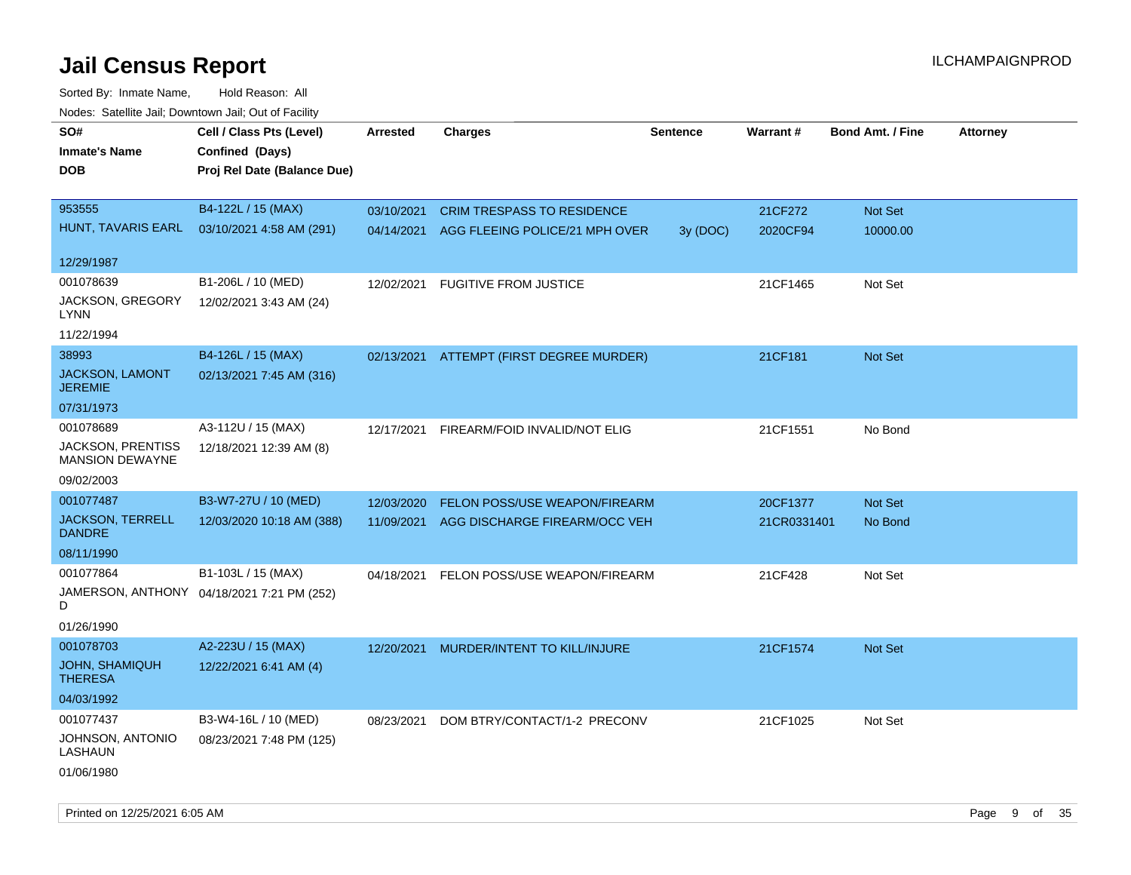| rougs. Calcinic Jan, Downtown Jan, Out of Facility |                                            |                 |                                           |                 |             |                         |                 |
|----------------------------------------------------|--------------------------------------------|-----------------|-------------------------------------------|-----------------|-------------|-------------------------|-----------------|
| SO#                                                | Cell / Class Pts (Level)                   | <b>Arrested</b> | <b>Charges</b>                            | <b>Sentence</b> | Warrant#    | <b>Bond Amt. / Fine</b> | <b>Attorney</b> |
| <b>Inmate's Name</b>                               | Confined (Days)                            |                 |                                           |                 |             |                         |                 |
| <b>DOB</b>                                         | Proj Rel Date (Balance Due)                |                 |                                           |                 |             |                         |                 |
|                                                    |                                            |                 |                                           |                 |             |                         |                 |
| 953555                                             | B4-122L / 15 (MAX)                         | 03/10/2021      | <b>CRIM TRESPASS TO RESIDENCE</b>         |                 | 21CF272     | Not Set                 |                 |
| HUNT, TAVARIS EARL                                 | 03/10/2021 4:58 AM (291)                   |                 | 04/14/2021 AGG FLEEING POLICE/21 MPH OVER | 3y (DOC)        | 2020CF94    | 10000.00                |                 |
|                                                    |                                            |                 |                                           |                 |             |                         |                 |
| 12/29/1987                                         |                                            |                 |                                           |                 |             |                         |                 |
| 001078639                                          | B1-206L / 10 (MED)                         | 12/02/2021      | <b>FUGITIVE FROM JUSTICE</b>              |                 | 21CF1465    | Not Set                 |                 |
| JACKSON, GREGORY<br>LYNN                           | 12/02/2021 3:43 AM (24)                    |                 |                                           |                 |             |                         |                 |
| 11/22/1994                                         |                                            |                 |                                           |                 |             |                         |                 |
| 38993                                              | B4-126L / 15 (MAX)                         |                 | 02/13/2021 ATTEMPT (FIRST DEGREE MURDER)  |                 | 21CF181     | Not Set                 |                 |
| JACKSON, LAMONT<br><b>JEREMIE</b>                  | 02/13/2021 7:45 AM (316)                   |                 |                                           |                 |             |                         |                 |
| 07/31/1973                                         |                                            |                 |                                           |                 |             |                         |                 |
| 001078689                                          | A3-112U / 15 (MAX)                         | 12/17/2021      | FIREARM/FOID INVALID/NOT ELIG             |                 | 21CF1551    | No Bond                 |                 |
| <b>JACKSON, PRENTISS</b><br>MANSION DEWAYNE        | 12/18/2021 12:39 AM (8)                    |                 |                                           |                 |             |                         |                 |
| 09/02/2003                                         |                                            |                 |                                           |                 |             |                         |                 |
| 001077487                                          | B3-W7-27U / 10 (MED)                       | 12/03/2020      | FELON POSS/USE WEAPON/FIREARM             |                 | 20CF1377    | <b>Not Set</b>          |                 |
| <b>JACKSON, TERRELL</b><br><b>DANDRE</b>           | 12/03/2020 10:18 AM (388)                  | 11/09/2021      | AGG DISCHARGE FIREARM/OCC VEH             |                 | 21CR0331401 | No Bond                 |                 |
| 08/11/1990                                         |                                            |                 |                                           |                 |             |                         |                 |
| 001077864                                          | B1-103L / 15 (MAX)                         | 04/18/2021      | FELON POSS/USE WEAPON/FIREARM             |                 | 21CF428     | Not Set                 |                 |
| D                                                  | JAMERSON, ANTHONY 04/18/2021 7:21 PM (252) |                 |                                           |                 |             |                         |                 |
| 01/26/1990                                         |                                            |                 |                                           |                 |             |                         |                 |
| 001078703                                          | A2-223U / 15 (MAX)                         | 12/20/2021      | MURDER/INTENT TO KILL/INJURE              |                 | 21CF1574    | <b>Not Set</b>          |                 |
| <b>JOHN, SHAMIQUH</b><br><b>THERESA</b>            | 12/22/2021 6:41 AM (4)                     |                 |                                           |                 |             |                         |                 |
| 04/03/1992                                         |                                            |                 |                                           |                 |             |                         |                 |
| 001077437                                          | B3-W4-16L / 10 (MED)                       | 08/23/2021      | DOM BTRY/CONTACT/1-2 PRECONV              |                 | 21CF1025    | Not Set                 |                 |
| JOHNSON, ANTONIO<br>LASHAUN                        | 08/23/2021 7:48 PM (125)                   |                 |                                           |                 |             |                         |                 |
| 01/06/1980                                         |                                            |                 |                                           |                 |             |                         |                 |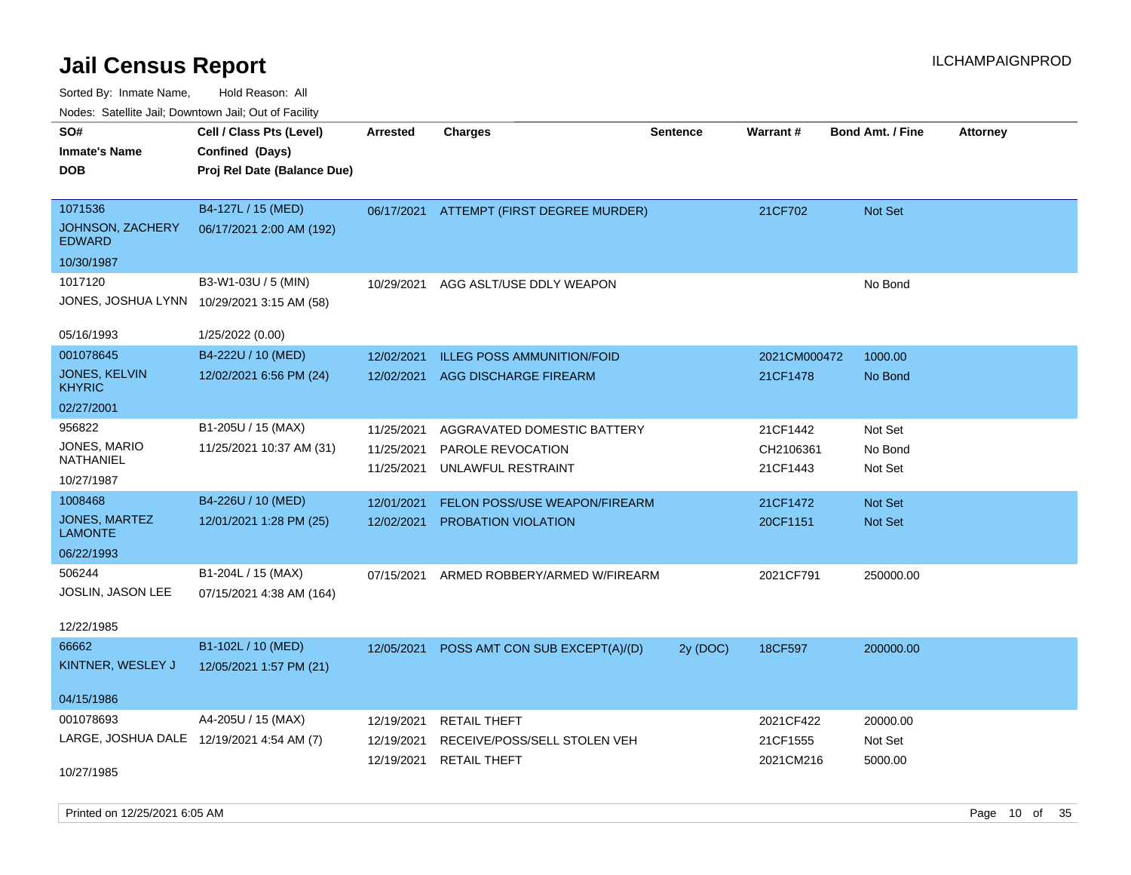Sorted By: Inmate Name, Hold Reason: All Nodes: Satellite Jail; Downtown Jail; Out of Facility

| SO#<br><b>Inmate's Name</b><br><b>DOB</b>                            | Cell / Class Pts (Level)<br>Confined (Days)<br>Proj Rel Date (Balance Due) | <b>Arrested</b>                        | <b>Charges</b>                                                             | <b>Sentence</b> | Warrant#                           | <b>Bond Amt. / Fine</b>        | <b>Attorney</b> |
|----------------------------------------------------------------------|----------------------------------------------------------------------------|----------------------------------------|----------------------------------------------------------------------------|-----------------|------------------------------------|--------------------------------|-----------------|
| 1071536<br>JOHNSON, ZACHERY<br><b>EDWARD</b>                         | B4-127L / 15 (MED)<br>06/17/2021 2:00 AM (192)                             |                                        | 06/17/2021 ATTEMPT (FIRST DEGREE MURDER)                                   |                 | 21CF702                            | <b>Not Set</b>                 |                 |
| 10/30/1987                                                           |                                                                            |                                        |                                                                            |                 |                                    |                                |                 |
| 1017120                                                              | B3-W1-03U / 5 (MIN)<br>JONES, JOSHUA LYNN 10/29/2021 3:15 AM (58)          | 10/29/2021                             | AGG ASLT/USE DDLY WEAPON                                                   |                 |                                    | No Bond                        |                 |
| 05/16/1993                                                           | 1/25/2022 (0.00)                                                           |                                        |                                                                            |                 |                                    |                                |                 |
| 001078645<br><b>JONES, KELVIN</b><br><b>KHYRIC</b>                   | B4-222U / 10 (MED)<br>12/02/2021 6:56 PM (24)                              | 12/02/2021<br>12/02/2021               | <b>ILLEG POSS AMMUNITION/FOID</b><br>AGG DISCHARGE FIREARM                 |                 | 2021CM000472<br>21CF1478           | 1000.00<br>No Bond             |                 |
| 02/27/2001                                                           |                                                                            |                                        |                                                                            |                 |                                    |                                |                 |
| 956822<br>JONES, MARIO<br>NATHANIEL<br>10/27/1987                    | B1-205U / 15 (MAX)<br>11/25/2021 10:37 AM (31)                             | 11/25/2021<br>11/25/2021<br>11/25/2021 | AGGRAVATED DOMESTIC BATTERY<br>PAROLE REVOCATION<br>UNLAWFUL RESTRAINT     |                 | 21CF1442<br>CH2106361<br>21CF1443  | Not Set<br>No Bond<br>Not Set  |                 |
| 1008468<br>JONES, MARTEZ<br><b>LAMONTE</b><br>06/22/1993             | B4-226U / 10 (MED)<br>12/01/2021 1:28 PM (25)                              | 12/01/2021<br>12/02/2021               | FELON POSS/USE WEAPON/FIREARM<br>PROBATION VIOLATION                       |                 | 21CF1472<br>20CF1151               | Not Set<br>Not Set             |                 |
| 506244<br>JOSLIN, JASON LEE<br>12/22/1985                            | B1-204L / 15 (MAX)<br>07/15/2021 4:38 AM (164)                             | 07/15/2021                             | ARMED ROBBERY/ARMED W/FIREARM                                              |                 | 2021CF791                          | 250000.00                      |                 |
| 66662<br>KINTNER, WESLEY J<br>04/15/1986                             | B1-102L / 10 (MED)<br>12/05/2021 1:57 PM (21)                              | 12/05/2021                             | POSS AMT CON SUB EXCEPT(A)/(D)                                             | 2y (DOC)        | 18CF597                            | 200000.00                      |                 |
| 001078693<br>LARGE, JOSHUA DALE 12/19/2021 4:54 AM (7)<br>10/27/1985 | A4-205U / 15 (MAX)                                                         | 12/19/2021<br>12/19/2021<br>12/19/2021 | <b>RETAIL THEFT</b><br>RECEIVE/POSS/SELL STOLEN VEH<br><b>RETAIL THEFT</b> |                 | 2021CF422<br>21CF1555<br>2021CM216 | 20000.00<br>Not Set<br>5000.00 |                 |

Printed on 12/25/2021 6:05 AM **Page 10** of 35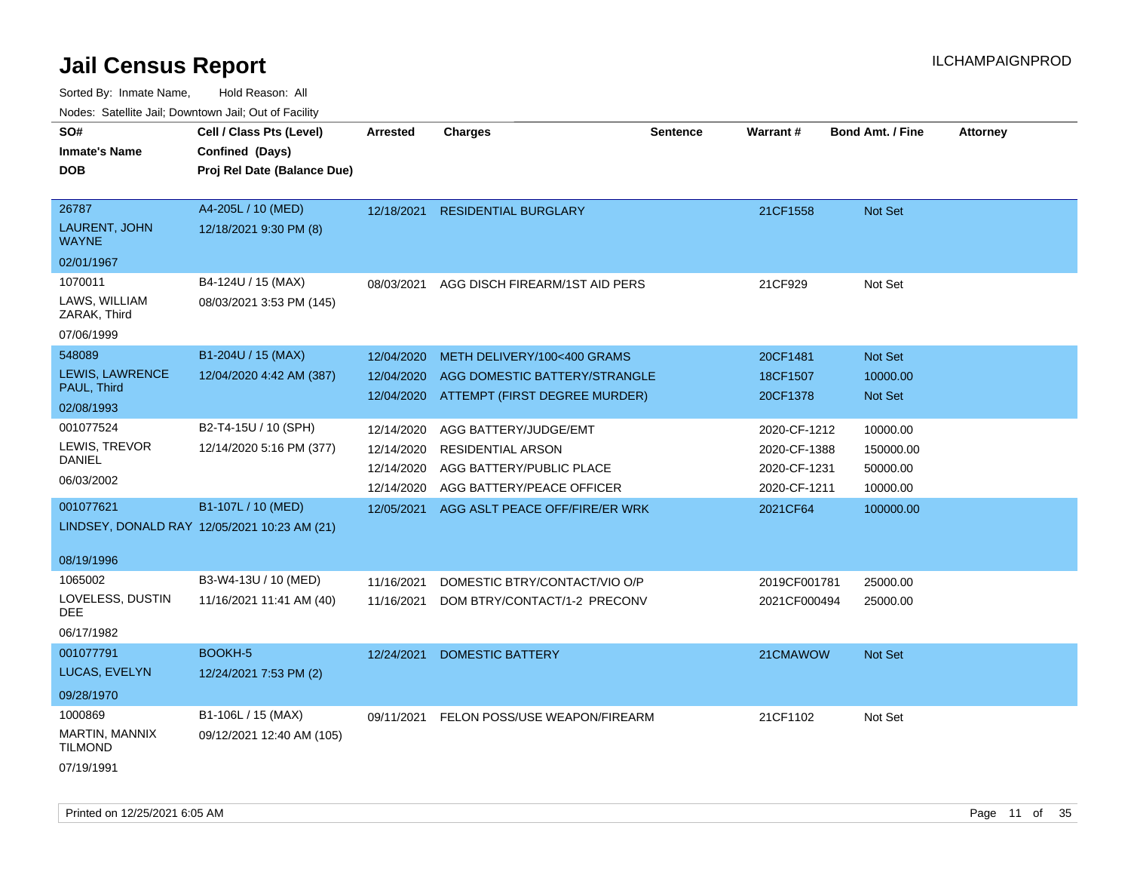| roaco. Odichile Jan, Downtown Jan, Out of Facility |                                              |                 |                                |                 |              |                         |                 |
|----------------------------------------------------|----------------------------------------------|-----------------|--------------------------------|-----------------|--------------|-------------------------|-----------------|
| SO#                                                | Cell / Class Pts (Level)                     | <b>Arrested</b> | <b>Charges</b>                 | <b>Sentence</b> | Warrant#     | <b>Bond Amt. / Fine</b> | <b>Attorney</b> |
| <b>Inmate's Name</b>                               | Confined (Days)                              |                 |                                |                 |              |                         |                 |
| <b>DOB</b>                                         | Proj Rel Date (Balance Due)                  |                 |                                |                 |              |                         |                 |
|                                                    |                                              |                 |                                |                 |              |                         |                 |
| 26787                                              | A4-205L / 10 (MED)                           | 12/18/2021      | <b>RESIDENTIAL BURGLARY</b>    |                 | 21CF1558     | Not Set                 |                 |
| LAURENT, JOHN<br><b>WAYNE</b>                      | 12/18/2021 9:30 PM (8)                       |                 |                                |                 |              |                         |                 |
| 02/01/1967                                         |                                              |                 |                                |                 |              |                         |                 |
| 1070011                                            | B4-124U / 15 (MAX)                           | 08/03/2021      | AGG DISCH FIREARM/1ST AID PERS |                 | 21CF929      | Not Set                 |                 |
| LAWS, WILLIAM<br>ZARAK, Third                      | 08/03/2021 3:53 PM (145)                     |                 |                                |                 |              |                         |                 |
| 07/06/1999                                         |                                              |                 |                                |                 |              |                         |                 |
| 548089                                             | B1-204U / 15 (MAX)                           | 12/04/2020      | METH DELIVERY/100<400 GRAMS    |                 | 20CF1481     | <b>Not Set</b>          |                 |
| LEWIS, LAWRENCE                                    | 12/04/2020 4:42 AM (387)                     | 12/04/2020      | AGG DOMESTIC BATTERY/STRANGLE  |                 | 18CF1507     | 10000.00                |                 |
| PAUL, Third                                        |                                              | 12/04/2020      | ATTEMPT (FIRST DEGREE MURDER)  |                 | 20CF1378     | <b>Not Set</b>          |                 |
| 02/08/1993                                         |                                              |                 |                                |                 |              |                         |                 |
| 001077524                                          | B2-T4-15U / 10 (SPH)                         | 12/14/2020      | AGG BATTERY/JUDGE/EMT          |                 | 2020-CF-1212 | 10000.00                |                 |
| LEWIS, TREVOR                                      | 12/14/2020 5:16 PM (377)                     | 12/14/2020      | <b>RESIDENTIAL ARSON</b>       |                 | 2020-CF-1388 | 150000.00               |                 |
| DANIEL                                             |                                              | 12/14/2020      | AGG BATTERY/PUBLIC PLACE       |                 | 2020-CF-1231 | 50000.00                |                 |
| 06/03/2002                                         |                                              | 12/14/2020      | AGG BATTERY/PEACE OFFICER      |                 | 2020-CF-1211 | 10000.00                |                 |
| 001077621                                          | B1-107L / 10 (MED)                           | 12/05/2021      | AGG ASLT PEACE OFF/FIRE/ER WRK |                 | 2021CF64     | 100000.00               |                 |
|                                                    | LINDSEY, DONALD RAY 12/05/2021 10:23 AM (21) |                 |                                |                 |              |                         |                 |
|                                                    |                                              |                 |                                |                 |              |                         |                 |
| 08/19/1996                                         |                                              |                 |                                |                 |              |                         |                 |
| 1065002                                            | B3-W4-13U / 10 (MED)                         | 11/16/2021      | DOMESTIC BTRY/CONTACT/VIO O/P  |                 | 2019CF001781 | 25000.00                |                 |
| LOVELESS, DUSTIN<br>DEE                            | 11/16/2021 11:41 AM (40)                     | 11/16/2021      | DOM BTRY/CONTACT/1-2 PRECONV   |                 | 2021CF000494 | 25000.00                |                 |
| 06/17/1982                                         |                                              |                 |                                |                 |              |                         |                 |
| 001077791                                          | <b>BOOKH-5</b>                               | 12/24/2021      | DOMESTIC BATTERY               |                 | 21CMAWOW     | <b>Not Set</b>          |                 |
| LUCAS, EVELYN                                      | 12/24/2021 7:53 PM (2)                       |                 |                                |                 |              |                         |                 |
| 09/28/1970                                         |                                              |                 |                                |                 |              |                         |                 |
| 1000869                                            | B1-106L / 15 (MAX)                           | 09/11/2021      | FELON POSS/USE WEAPON/FIREARM  |                 | 21CF1102     | Not Set                 |                 |
| MARTIN, MANNIX<br><b>TILMOND</b>                   | 09/12/2021 12:40 AM (105)                    |                 |                                |                 |              |                         |                 |
| 07/19/1991                                         |                                              |                 |                                |                 |              |                         |                 |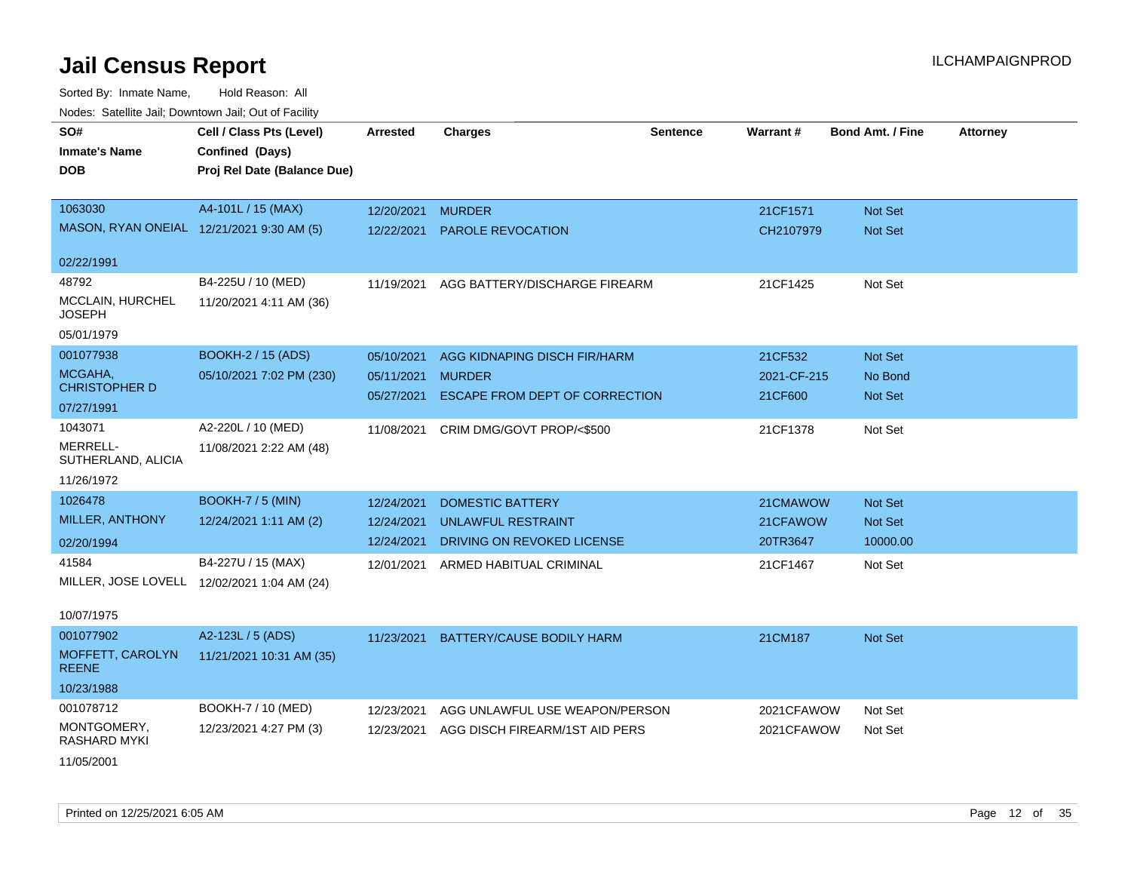| SO#                                         | Cell / Class Pts (Level)    | <b>Arrested</b> | <b>Charges</b>                 | <b>Sentence</b> | <b>Warrant#</b> | <b>Bond Amt. / Fine</b> | <b>Attorney</b> |
|---------------------------------------------|-----------------------------|-----------------|--------------------------------|-----------------|-----------------|-------------------------|-----------------|
| <b>Inmate's Name</b>                        | Confined (Days)             |                 |                                |                 |                 |                         |                 |
| <b>DOB</b>                                  | Proj Rel Date (Balance Due) |                 |                                |                 |                 |                         |                 |
|                                             |                             |                 |                                |                 |                 |                         |                 |
| 1063030                                     | A4-101L / 15 (MAX)          | 12/20/2021      | <b>MURDER</b>                  |                 | 21CF1571        | <b>Not Set</b>          |                 |
| MASON, RYAN ONEIAL 12/21/2021 9:30 AM (5)   |                             | 12/22/2021      | PAROLE REVOCATION              |                 | CH2107979       | Not Set                 |                 |
|                                             |                             |                 |                                |                 |                 |                         |                 |
| 02/22/1991                                  |                             |                 |                                |                 |                 |                         |                 |
| 48792                                       | B4-225U / 10 (MED)          | 11/19/2021      | AGG BATTERY/DISCHARGE FIREARM  |                 | 21CF1425        | Not Set                 |                 |
| MCCLAIN, HURCHEL<br><b>JOSEPH</b>           | 11/20/2021 4:11 AM (36)     |                 |                                |                 |                 |                         |                 |
| 05/01/1979                                  |                             |                 |                                |                 |                 |                         |                 |
| 001077938                                   | <b>BOOKH-2 / 15 (ADS)</b>   | 05/10/2021      | AGG KIDNAPING DISCH FIR/HARM   |                 | 21CF532         | <b>Not Set</b>          |                 |
| MCGAHA,                                     | 05/10/2021 7:02 PM (230)    | 05/11/2021      | <b>MURDER</b>                  |                 | 2021-CF-215     | No Bond                 |                 |
| <b>CHRISTOPHER D</b>                        |                             | 05/27/2021      | ESCAPE FROM DEPT OF CORRECTION |                 | 21CF600         | Not Set                 |                 |
| 07/27/1991                                  |                             |                 |                                |                 |                 |                         |                 |
| 1043071                                     | A2-220L / 10 (MED)          | 11/08/2021      | CRIM DMG/GOVT PROP/<\$500      |                 | 21CF1378        | Not Set                 |                 |
| MERRELL-<br>SUTHERLAND, ALICIA              | 11/08/2021 2:22 AM (48)     |                 |                                |                 |                 |                         |                 |
| 11/26/1972                                  |                             |                 |                                |                 |                 |                         |                 |
| 1026478                                     | <b>BOOKH-7 / 5 (MIN)</b>    | 12/24/2021      | <b>DOMESTIC BATTERY</b>        |                 | 21CMAWOW        | <b>Not Set</b>          |                 |
| MILLER, ANTHONY                             | 12/24/2021 1:11 AM (2)      | 12/24/2021      | <b>UNLAWFUL RESTRAINT</b>      |                 | 21CFAWOW        | Not Set                 |                 |
| 02/20/1994                                  |                             | 12/24/2021      | DRIVING ON REVOKED LICENSE     |                 | 20TR3647        | 10000.00                |                 |
| 41584                                       | B4-227U / 15 (MAX)          | 12/01/2021      | ARMED HABITUAL CRIMINAL        |                 | 21CF1467        | Not Set                 |                 |
| MILLER, JOSE LOVELL 12/02/2021 1:04 AM (24) |                             |                 |                                |                 |                 |                         |                 |
|                                             |                             |                 |                                |                 |                 |                         |                 |
| 10/07/1975                                  |                             |                 |                                |                 |                 |                         |                 |
| 001077902                                   | A2-123L / 5 (ADS)           | 11/23/2021      | BATTERY/CAUSE BODILY HARM      |                 | 21CM187         | Not Set                 |                 |
| MOFFETT, CAROLYN<br><b>REENE</b>            | 11/21/2021 10:31 AM (35)    |                 |                                |                 |                 |                         |                 |
| 10/23/1988                                  |                             |                 |                                |                 |                 |                         |                 |
| 001078712                                   | BOOKH-7 / 10 (MED)          | 12/23/2021      | AGG UNLAWFUL USE WEAPON/PERSON |                 | 2021CFAWOW      | Not Set                 |                 |
| MONTGOMERY,<br>RASHARD MYKI                 | 12/23/2021 4:27 PM (3)      | 12/23/2021      | AGG DISCH FIREARM/1ST AID PERS |                 | 2021CFAWOW      | Not Set                 |                 |
| 11/05/2001                                  |                             |                 |                                |                 |                 |                         |                 |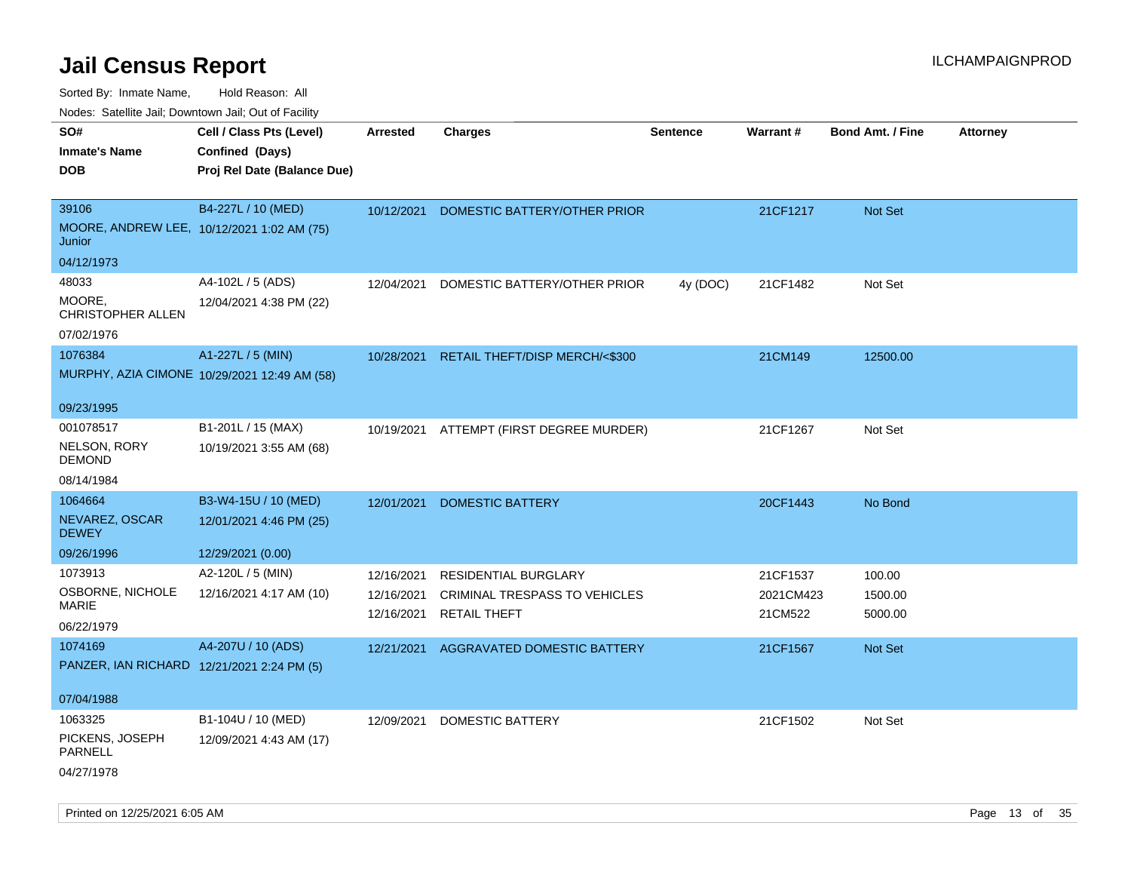Sorted By: Inmate Name, Hold Reason: All

Nodes: Satellite Jail; Downtown Jail; Out of Facility

| SO#<br><b>Inmate's Name</b><br><b>DOB</b>                               | Cell / Class Pts (Level)<br>Confined (Days)<br>Proj Rel Date (Balance Due) | <b>Arrested</b>                        | <b>Charges</b>                                                               | <b>Sentence</b> | <b>Warrant#</b>                  | <b>Bond Amt. / Fine</b>      | Attorney |
|-------------------------------------------------------------------------|----------------------------------------------------------------------------|----------------------------------------|------------------------------------------------------------------------------|-----------------|----------------------------------|------------------------------|----------|
| 39106<br>MOORE, ANDREW LEE, 10/12/2021 1:02 AM (75)<br>Junior           | B4-227L / 10 (MED)                                                         | 10/12/2021                             | DOMESTIC BATTERY/OTHER PRIOR                                                 |                 | 21CF1217                         | <b>Not Set</b>               |          |
| 04/12/1973<br>48033<br>MOORE.<br><b>CHRISTOPHER ALLEN</b><br>07/02/1976 | A4-102L / 5 (ADS)<br>12/04/2021 4:38 PM (22)                               | 12/04/2021                             | DOMESTIC BATTERY/OTHER PRIOR                                                 | 4y (DOC)        | 21CF1482                         | Not Set                      |          |
| 1076384<br>09/23/1995                                                   | A1-227L / 5 (MIN)<br>MURPHY, AZIA CIMONE 10/29/2021 12:49 AM (58)          | 10/28/2021                             | RETAIL THEFT/DISP MERCH/<\$300                                               |                 | 21CM149                          | 12500.00                     |          |
| 001078517<br>NELSON, RORY<br><b>DEMOND</b><br>08/14/1984                | B1-201L / 15 (MAX)<br>10/19/2021 3:55 AM (68)                              | 10/19/2021                             | ATTEMPT (FIRST DEGREE MURDER)                                                |                 | 21CF1267                         | Not Set                      |          |
| 1064664<br>NEVAREZ, OSCAR<br><b>DEWEY</b><br>09/26/1996                 | B3-W4-15U / 10 (MED)<br>12/01/2021 4:46 PM (25)<br>12/29/2021 (0.00)       | 12/01/2021                             | <b>DOMESTIC BATTERY</b>                                                      |                 | 20CF1443                         | No Bond                      |          |
| 1073913<br>OSBORNE, NICHOLE<br><b>MARIE</b><br>06/22/1979               | A2-120L / 5 (MIN)<br>12/16/2021 4:17 AM (10)                               | 12/16/2021<br>12/16/2021<br>12/16/2021 | RESIDENTIAL BURGLARY<br>CRIMINAL TRESPASS TO VEHICLES<br><b>RETAIL THEFT</b> |                 | 21CF1537<br>2021CM423<br>21CM522 | 100.00<br>1500.00<br>5000.00 |          |
| 1074169<br>PANZER, IAN RICHARD 12/21/2021 2:24 PM (5)<br>07/04/1988     | A4-207U / 10 (ADS)                                                         | 12/21/2021                             | AGGRAVATED DOMESTIC BATTERY                                                  |                 | 21CF1567                         | <b>Not Set</b>               |          |
| 1063325<br>PICKENS, JOSEPH<br>PARNELL<br>04/27/1978                     | B1-104U / 10 (MED)<br>12/09/2021 4:43 AM (17)                              | 12/09/2021                             | DOMESTIC BATTERY                                                             |                 | 21CF1502                         | Not Set                      |          |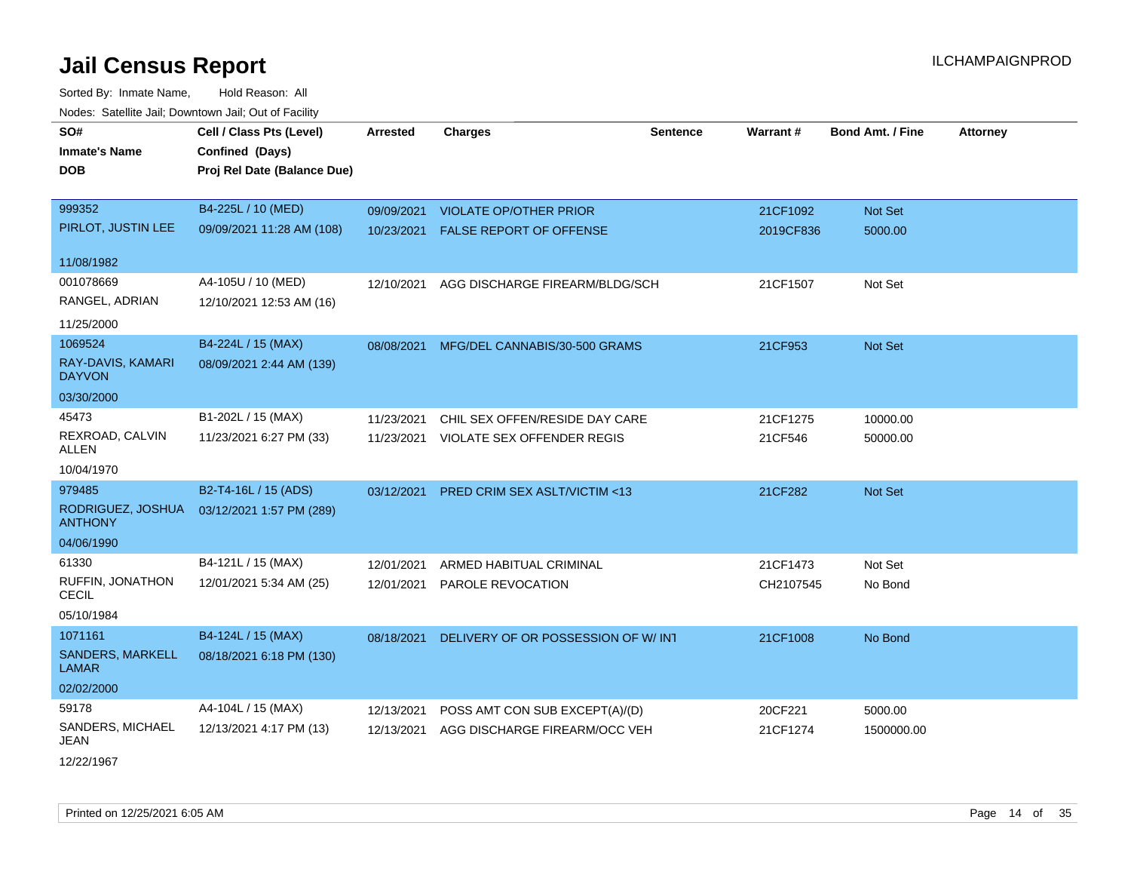Sorted By: Inmate Name, Hold Reason: All Nodes: Satellite Jail; Downtown Jail; Out of Facility

| SO#                                 | Cell / Class Pts (Level)    | <b>Arrested</b> | <b>Charges</b>                          | <b>Sentence</b> | Warrant#  | <b>Bond Amt. / Fine</b> | <b>Attorney</b> |
|-------------------------------------|-----------------------------|-----------------|-----------------------------------------|-----------------|-----------|-------------------------|-----------------|
| <b>Inmate's Name</b>                | Confined (Days)             |                 |                                         |                 |           |                         |                 |
| <b>DOB</b>                          | Proj Rel Date (Balance Due) |                 |                                         |                 |           |                         |                 |
|                                     |                             |                 |                                         |                 |           |                         |                 |
| 999352                              | B4-225L / 10 (MED)          | 09/09/2021      | <b>VIOLATE OP/OTHER PRIOR</b>           |                 | 21CF1092  | Not Set                 |                 |
| PIRLOT, JUSTIN LEE                  | 09/09/2021 11:28 AM (108)   | 10/23/2021      | FALSE REPORT OF OFFENSE                 |                 | 2019CF836 | 5000.00                 |                 |
| 11/08/1982                          |                             |                 |                                         |                 |           |                         |                 |
| 001078669                           | A4-105U / 10 (MED)          | 12/10/2021      | AGG DISCHARGE FIREARM/BLDG/SCH          |                 | 21CF1507  | Not Set                 |                 |
| RANGEL, ADRIAN                      | 12/10/2021 12:53 AM (16)    |                 |                                         |                 |           |                         |                 |
| 11/25/2000                          |                             |                 |                                         |                 |           |                         |                 |
| 1069524                             | B4-224L / 15 (MAX)          | 08/08/2021      | MFG/DEL CANNABIS/30-500 GRAMS           |                 | 21CF953   | Not Set                 |                 |
| RAY-DAVIS, KAMARI<br><b>DAYVON</b>  | 08/09/2021 2:44 AM (139)    |                 |                                         |                 |           |                         |                 |
| 03/30/2000                          |                             |                 |                                         |                 |           |                         |                 |
| 45473                               | B1-202L / 15 (MAX)          | 11/23/2021      | CHIL SEX OFFEN/RESIDE DAY CARE          |                 | 21CF1275  | 10000.00                |                 |
| REXROAD, CALVIN<br>ALLEN            | 11/23/2021 6:27 PM (33)     | 11/23/2021      | VIOLATE SEX OFFENDER REGIS              |                 | 21CF546   | 50000.00                |                 |
| 10/04/1970                          |                             |                 |                                         |                 |           |                         |                 |
| 979485                              | B2-T4-16L / 15 (ADS)        | 03/12/2021      | <b>PRED CRIM SEX ASLT/VICTIM &lt;13</b> |                 | 21CF282   | Not Set                 |                 |
| RODRIGUEZ, JOSHUA<br><b>ANTHONY</b> | 03/12/2021 1:57 PM (289)    |                 |                                         |                 |           |                         |                 |
| 04/06/1990                          |                             |                 |                                         |                 |           |                         |                 |
| 61330                               | B4-121L / 15 (MAX)          | 12/01/2021      | ARMED HABITUAL CRIMINAL                 |                 | 21CF1473  | Not Set                 |                 |
| RUFFIN, JONATHON<br>CECIL           | 12/01/2021 5:34 AM (25)     | 12/01/2021      | <b>PAROLE REVOCATION</b>                |                 | CH2107545 | No Bond                 |                 |
| 05/10/1984                          |                             |                 |                                         |                 |           |                         |                 |
| 1071161                             | B4-124L / 15 (MAX)          | 08/18/2021      | DELIVERY OF OR POSSESSION OF W/INT      |                 | 21CF1008  | No Bond                 |                 |
| SANDERS, MARKELL<br><b>LAMAR</b>    | 08/18/2021 6:18 PM (130)    |                 |                                         |                 |           |                         |                 |
| 02/02/2000                          |                             |                 |                                         |                 |           |                         |                 |
| 59178                               | A4-104L / 15 (MAX)          | 12/13/2021      | POSS AMT CON SUB EXCEPT(A)/(D)          |                 | 20CF221   | 5000.00                 |                 |
| SANDERS, MICHAEL<br>JEAN            | 12/13/2021 4:17 PM (13)     | 12/13/2021      | AGG DISCHARGE FIREARM/OCC VEH           |                 | 21CF1274  | 1500000.00              |                 |
| 12/22/1967                          |                             |                 |                                         |                 |           |                         |                 |

Printed on 12/25/2021 6:05 AM **Page 14** of 35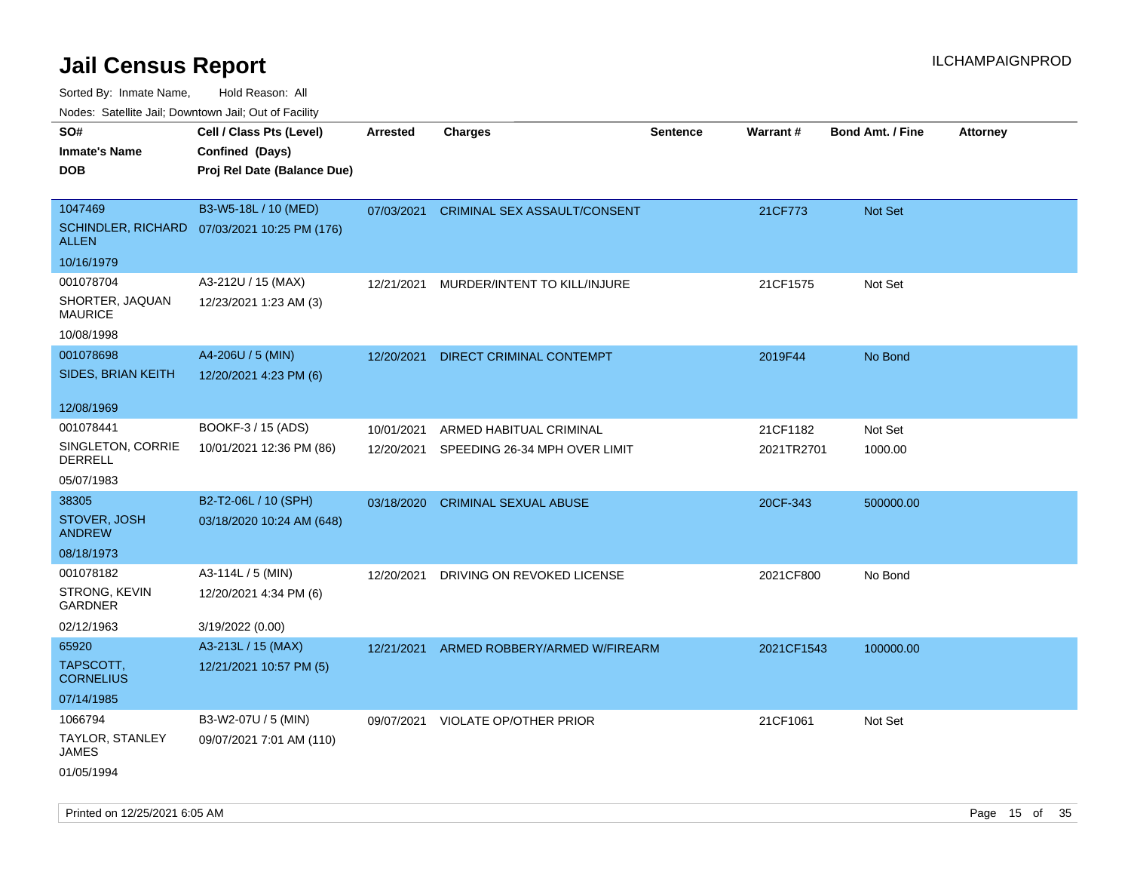Sorted By: Inmate Name, Hold Reason: All

Nodes: Satellite Jail; Downtown Jail; Out of Facility

| SO#<br><b>Inmate's Name</b><br><b>DOB</b> | Cell / Class Pts (Level)<br>Confined (Days)<br>Proj Rel Date (Balance Due) | <b>Arrested</b> | <b>Charges</b>                      | <b>Sentence</b> | Warrant#   | <b>Bond Amt. / Fine</b> | <b>Attorney</b> |
|-------------------------------------------|----------------------------------------------------------------------------|-----------------|-------------------------------------|-----------------|------------|-------------------------|-----------------|
|                                           |                                                                            |                 |                                     |                 |            |                         |                 |
| 1047469                                   | B3-W5-18L / 10 (MED)                                                       | 07/03/2021      | <b>CRIMINAL SEX ASSAULT/CONSENT</b> |                 | 21CF773    | Not Set                 |                 |
| <b>SCHINDLER, RICHARD</b><br><b>ALLEN</b> | 07/03/2021 10:25 PM (176)                                                  |                 |                                     |                 |            |                         |                 |
| 10/16/1979                                |                                                                            |                 |                                     |                 |            |                         |                 |
| 001078704                                 | A3-212U / 15 (MAX)                                                         | 12/21/2021      | MURDER/INTENT TO KILL/INJURE        |                 | 21CF1575   | Not Set                 |                 |
| SHORTER, JAQUAN<br><b>MAURICE</b>         | 12/23/2021 1:23 AM (3)                                                     |                 |                                     |                 |            |                         |                 |
| 10/08/1998                                |                                                                            |                 |                                     |                 |            |                         |                 |
| 001078698                                 | A4-206U / 5 (MIN)                                                          | 12/20/2021      | DIRECT CRIMINAL CONTEMPT            |                 | 2019F44    | No Bond                 |                 |
| SIDES, BRIAN KEITH                        | 12/20/2021 4:23 PM (6)                                                     |                 |                                     |                 |            |                         |                 |
| 12/08/1969                                |                                                                            |                 |                                     |                 |            |                         |                 |
| 001078441                                 | BOOKF-3 / 15 (ADS)                                                         | 10/01/2021      | ARMED HABITUAL CRIMINAL             |                 | 21CF1182   | Not Set                 |                 |
| SINGLETON, CORRIE<br>DERRELL              | 10/01/2021 12:36 PM (86)                                                   | 12/20/2021      | SPEEDING 26-34 MPH OVER LIMIT       |                 | 2021TR2701 | 1000.00                 |                 |
| 05/07/1983                                |                                                                            |                 |                                     |                 |            |                         |                 |
| 38305                                     | B2-T2-06L / 10 (SPH)                                                       | 03/18/2020      | <b>CRIMINAL SEXUAL ABUSE</b>        |                 | 20CF-343   | 500000.00               |                 |
| STOVER, JOSH<br><b>ANDREW</b>             | 03/18/2020 10:24 AM (648)                                                  |                 |                                     |                 |            |                         |                 |
| 08/18/1973                                |                                                                            |                 |                                     |                 |            |                         |                 |
| 001078182                                 | A3-114L / 5 (MIN)                                                          | 12/20/2021      | DRIVING ON REVOKED LICENSE          |                 | 2021CF800  | No Bond                 |                 |
| STRONG, KEVIN<br><b>GARDNER</b>           | 12/20/2021 4:34 PM (6)                                                     |                 |                                     |                 |            |                         |                 |
| 02/12/1963                                | 3/19/2022 (0.00)                                                           |                 |                                     |                 |            |                         |                 |
| 65920                                     | A3-213L / 15 (MAX)                                                         | 12/21/2021      | ARMED ROBBERY/ARMED W/FIREARM       |                 | 2021CF1543 | 100000.00               |                 |
| TAPSCOTT,<br><b>CORNELIUS</b>             | 12/21/2021 10:57 PM (5)                                                    |                 |                                     |                 |            |                         |                 |
| 07/14/1985                                |                                                                            |                 |                                     |                 |            |                         |                 |
| 1066794                                   | B3-W2-07U / 5 (MIN)                                                        | 09/07/2021      | <b>VIOLATE OP/OTHER PRIOR</b>       |                 | 21CF1061   | Not Set                 |                 |
| TAYLOR, STANLEY<br><b>JAMES</b>           | 09/07/2021 7:01 AM (110)                                                   |                 |                                     |                 |            |                         |                 |
| 01/05/1994                                |                                                                            |                 |                                     |                 |            |                         |                 |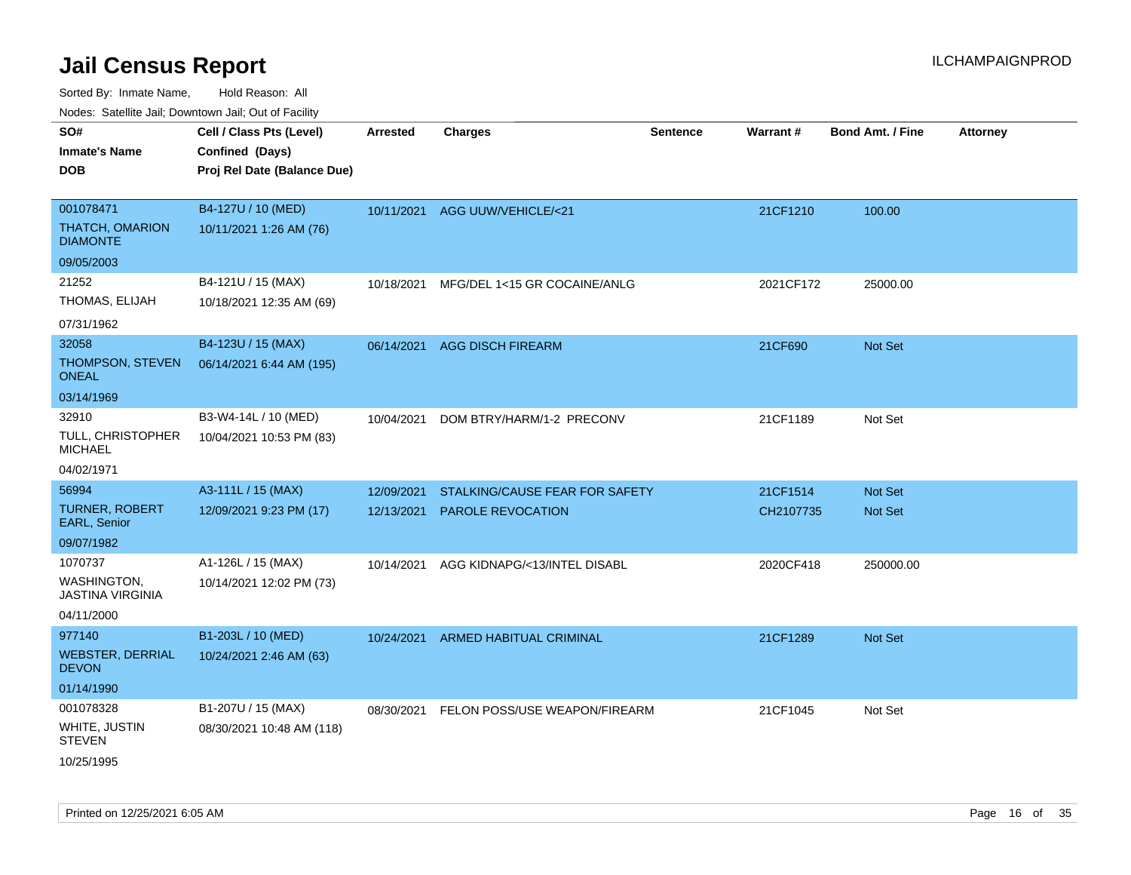| roaco. Odichile Jan, Downtown Jan, Out of Facility |                                                                            |                 |                                |                 |           |                         |                 |
|----------------------------------------------------|----------------------------------------------------------------------------|-----------------|--------------------------------|-----------------|-----------|-------------------------|-----------------|
| SO#<br><b>Inmate's Name</b><br><b>DOB</b>          | Cell / Class Pts (Level)<br>Confined (Days)<br>Proj Rel Date (Balance Due) | <b>Arrested</b> | <b>Charges</b>                 | <b>Sentence</b> | Warrant#  | <b>Bond Amt. / Fine</b> | <b>Attorney</b> |
|                                                    |                                                                            |                 |                                |                 |           |                         |                 |
| 001078471                                          | B4-127U / 10 (MED)                                                         |                 | 10/11/2021 AGG UUW/VEHICLE/<21 |                 | 21CF1210  | 100.00                  |                 |
| THATCH, OMARION<br><b>DIAMONTE</b>                 | 10/11/2021 1:26 AM (76)                                                    |                 |                                |                 |           |                         |                 |
| 09/05/2003                                         |                                                                            |                 |                                |                 |           |                         |                 |
| 21252                                              | B4-121U / 15 (MAX)                                                         | 10/18/2021      | MFG/DEL 1<15 GR COCAINE/ANLG   |                 | 2021CF172 | 25000.00                |                 |
| THOMAS, ELIJAH                                     | 10/18/2021 12:35 AM (69)                                                   |                 |                                |                 |           |                         |                 |
| 07/31/1962                                         |                                                                            |                 |                                |                 |           |                         |                 |
| 32058                                              | B4-123U / 15 (MAX)                                                         | 06/14/2021      | <b>AGG DISCH FIREARM</b>       |                 | 21CF690   | Not Set                 |                 |
| THOMPSON, STEVEN<br><b>ONEAL</b>                   | 06/14/2021 6:44 AM (195)                                                   |                 |                                |                 |           |                         |                 |
| 03/14/1969                                         |                                                                            |                 |                                |                 |           |                         |                 |
| 32910                                              | B3-W4-14L / 10 (MED)                                                       | 10/04/2021      | DOM BTRY/HARM/1-2 PRECONV      |                 | 21CF1189  | Not Set                 |                 |
| <b>TULL, CHRISTOPHER</b><br><b>MICHAEL</b>         | 10/04/2021 10:53 PM (83)                                                   |                 |                                |                 |           |                         |                 |
| 04/02/1971                                         |                                                                            |                 |                                |                 |           |                         |                 |
| 56994                                              | A3-111L / 15 (MAX)                                                         | 12/09/2021      | STALKING/CAUSE FEAR FOR SAFETY |                 | 21CF1514  | <b>Not Set</b>          |                 |
| <b>TURNER, ROBERT</b><br>EARL, Senior              | 12/09/2021 9:23 PM (17)                                                    | 12/13/2021      | <b>PAROLE REVOCATION</b>       |                 | CH2107735 | <b>Not Set</b>          |                 |
| 09/07/1982                                         |                                                                            |                 |                                |                 |           |                         |                 |
| 1070737                                            | A1-126L / 15 (MAX)                                                         | 10/14/2021      | AGG KIDNAPG/<13/INTEL DISABL   |                 | 2020CF418 | 250000.00               |                 |
| WASHINGTON,<br><b>JASTINA VIRGINIA</b>             | 10/14/2021 12:02 PM (73)                                                   |                 |                                |                 |           |                         |                 |
| 04/11/2000                                         |                                                                            |                 |                                |                 |           |                         |                 |
| 977140                                             | B1-203L / 10 (MED)                                                         | 10/24/2021      | ARMED HABITUAL CRIMINAL        |                 | 21CF1289  | <b>Not Set</b>          |                 |
| <b>WEBSTER, DERRIAL</b><br><b>DEVON</b>            | 10/24/2021 2:46 AM (63)                                                    |                 |                                |                 |           |                         |                 |
| 01/14/1990                                         |                                                                            |                 |                                |                 |           |                         |                 |
| 001078328                                          | B1-207U / 15 (MAX)                                                         | 08/30/2021      | FELON POSS/USE WEAPON/FIREARM  |                 | 21CF1045  | Not Set                 |                 |
| WHITE, JUSTIN<br><b>STEVEN</b>                     | 08/30/2021 10:48 AM (118)                                                  |                 |                                |                 |           |                         |                 |
| 10/25/1995                                         |                                                                            |                 |                                |                 |           |                         |                 |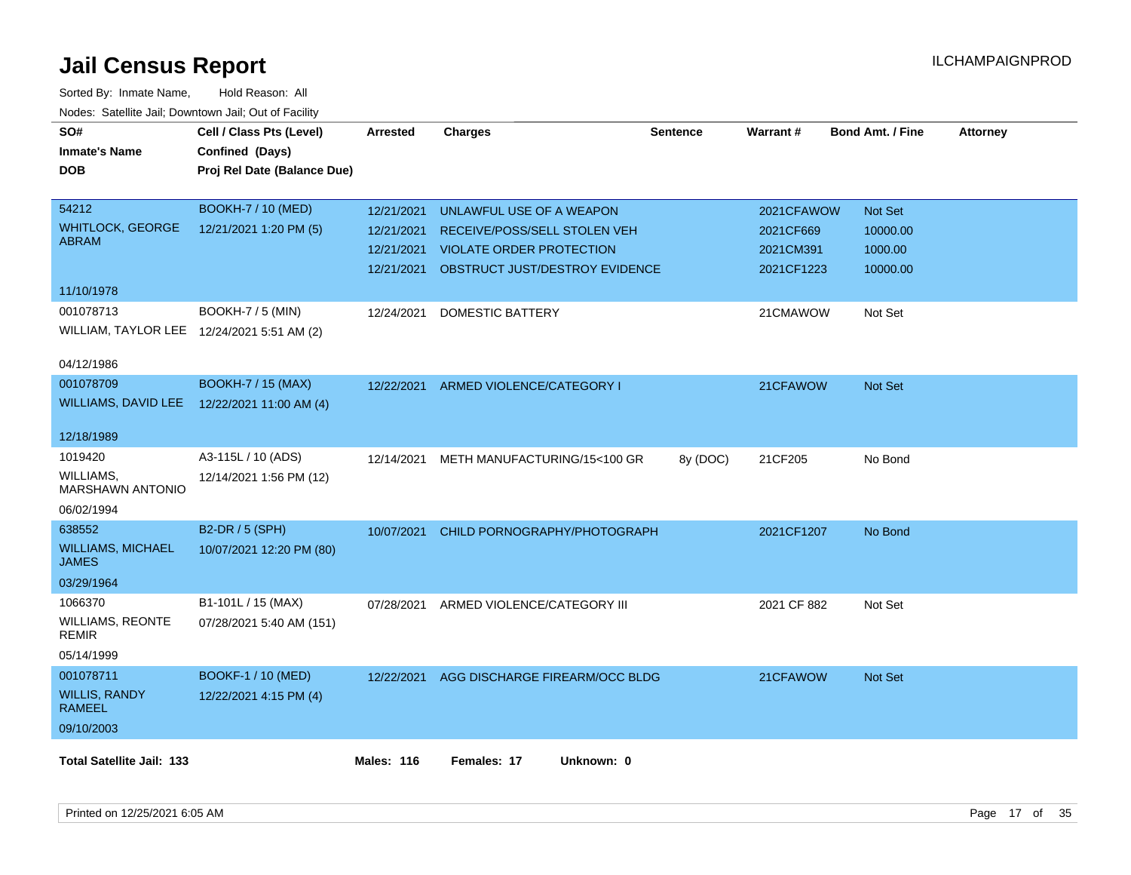| SO#<br><b>Inmate's Name</b><br><b>DOB</b>                                           | Cell / Class Pts (Level)<br>Confined (Days)<br>Proj Rel Date (Balance Due) | <b>Arrested</b>                                      | <b>Charges</b>                                                                                                                | <b>Sentence</b> | Warrant#                                           | <b>Bond Amt. / Fine</b>                    | <b>Attorney</b> |
|-------------------------------------------------------------------------------------|----------------------------------------------------------------------------|------------------------------------------------------|-------------------------------------------------------------------------------------------------------------------------------|-----------------|----------------------------------------------------|--------------------------------------------|-----------------|
| 54212<br><b>WHITLOCK, GEORGE</b><br><b>ABRAM</b>                                    | <b>BOOKH-7 / 10 (MED)</b><br>12/21/2021 1:20 PM (5)                        | 12/21/2021<br>12/21/2021<br>12/21/2021<br>12/21/2021 | UNLAWFUL USE OF A WEAPON<br>RECEIVE/POSS/SELL STOLEN VEH<br><b>VIOLATE ORDER PROTECTION</b><br>OBSTRUCT JUST/DESTROY EVIDENCE |                 | 2021CFAWOW<br>2021CF669<br>2021CM391<br>2021CF1223 | Not Set<br>10000.00<br>1000.00<br>10000.00 |                 |
| 11/10/1978<br>001078713<br>WILLIAM, TAYLOR LEE 12/24/2021 5:51 AM (2)<br>04/12/1986 | <b>BOOKH-7 / 5 (MIN)</b>                                                   | 12/24/2021                                           | <b>DOMESTIC BATTERY</b>                                                                                                       |                 | 21CMAWOW                                           | Not Set                                    |                 |
| 001078709<br>WILLIAMS, DAVID LEE<br>12/18/1989                                      | <b>BOOKH-7 / 15 (MAX)</b><br>12/22/2021 11:00 AM (4)                       | 12/22/2021                                           | ARMED VIOLENCE/CATEGORY I                                                                                                     |                 | 21CFAWOW                                           | Not Set                                    |                 |
| 1019420<br>WILLIAMS,<br><b>MARSHAWN ANTONIO</b><br>06/02/1994                       | A3-115L / 10 (ADS)<br>12/14/2021 1:56 PM (12)                              | 12/14/2021                                           | METH MANUFACTURING/15<100 GR                                                                                                  | 8y (DOC)        | 21CF205                                            | No Bond                                    |                 |
| 638552<br><b>WILLIAMS, MICHAEL</b><br><b>JAMES</b><br>03/29/1964                    | B2-DR / 5 (SPH)<br>10/07/2021 12:20 PM (80)                                | 10/07/2021                                           | CHILD PORNOGRAPHY/PHOTOGRAPH                                                                                                  |                 | 2021CF1207                                         | No Bond                                    |                 |
| 1066370<br><b>WILLIAMS, REONTE</b><br><b>REMIR</b><br>05/14/1999                    | B1-101L / 15 (MAX)<br>07/28/2021 5:40 AM (151)                             | 07/28/2021                                           | ARMED VIOLENCE/CATEGORY III                                                                                                   |                 | 2021 CF 882                                        | Not Set                                    |                 |
| 001078711<br><b>WILLIS, RANDY</b><br><b>RAMEEL</b><br>09/10/2003                    | BOOKF-1 / 10 (MED)<br>12/22/2021 4:15 PM (4)                               | 12/22/2021                                           | AGG DISCHARGE FIREARM/OCC BLDG                                                                                                |                 | 21CFAWOW                                           | Not Set                                    |                 |
| <b>Total Satellite Jail: 133</b>                                                    |                                                                            | <b>Males: 116</b>                                    | Females: 17<br>Unknown: 0                                                                                                     |                 |                                                    |                                            |                 |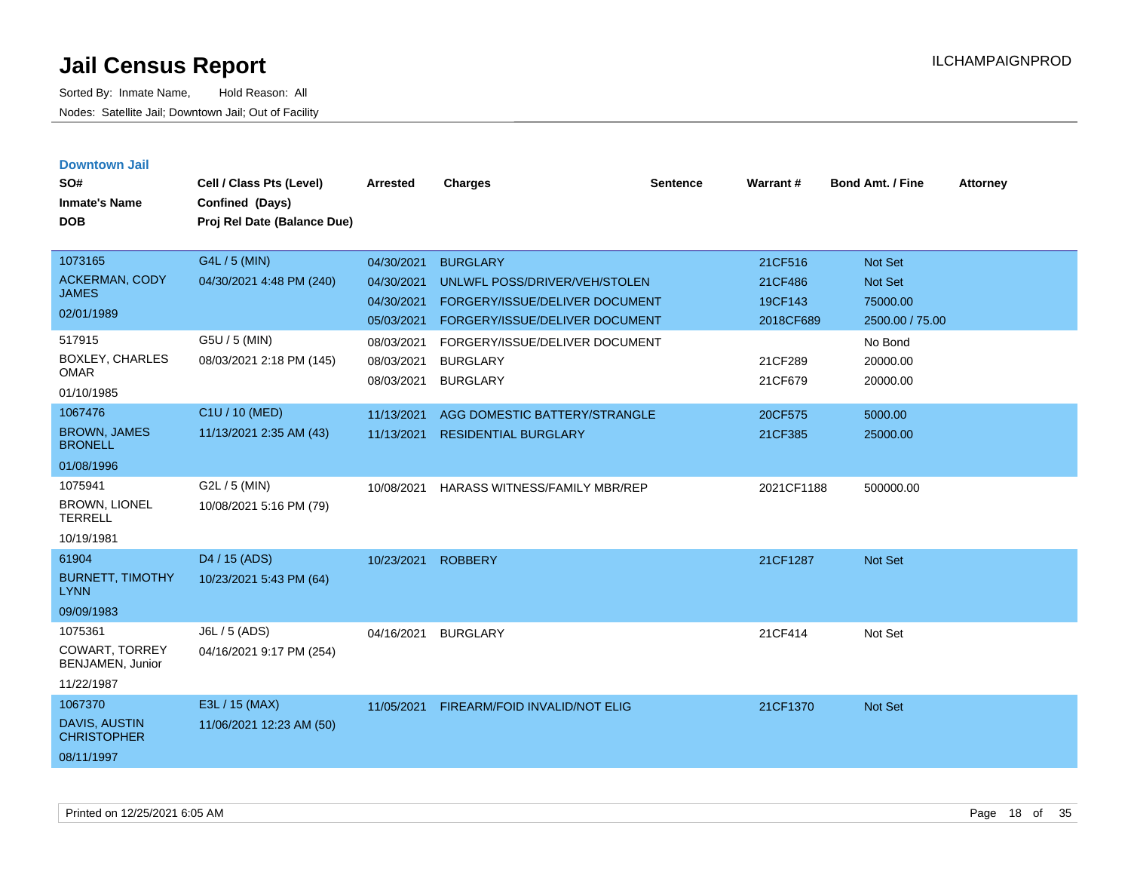| <b>Downtown Jail</b><br>SO#<br><b>Inmate's Name</b><br><b>DOB</b> | Cell / Class Pts (Level)<br>Confined (Days)<br>Proj Rel Date (Balance Due) | <b>Arrested</b> | <b>Charges</b>                 | <b>Sentence</b> | <b>Warrant#</b> | <b>Bond Amt. / Fine</b> | <b>Attorney</b> |
|-------------------------------------------------------------------|----------------------------------------------------------------------------|-----------------|--------------------------------|-----------------|-----------------|-------------------------|-----------------|
| 1073165                                                           | G4L / 5 (MIN)                                                              | 04/30/2021      | <b>BURGLARY</b>                |                 | 21CF516         | <b>Not Set</b>          |                 |
| <b>ACKERMAN, CODY</b><br><b>JAMES</b>                             | 04/30/2021 4:48 PM (240)                                                   | 04/30/2021      | UNLWFL POSS/DRIVER/VEH/STOLEN  |                 | 21CF486         | Not Set                 |                 |
|                                                                   |                                                                            | 04/30/2021      | FORGERY/ISSUE/DELIVER DOCUMENT |                 | 19CF143         | 75000.00                |                 |
| 02/01/1989                                                        |                                                                            | 05/03/2021      | FORGERY/ISSUE/DELIVER DOCUMENT |                 | 2018CF689       | 2500.00 / 75.00         |                 |
| 517915                                                            | G5U / 5 (MIN)                                                              | 08/03/2021      | FORGERY/ISSUE/DELIVER DOCUMENT |                 |                 | No Bond                 |                 |
| <b>BOXLEY, CHARLES</b><br><b>OMAR</b>                             | 08/03/2021 2:18 PM (145)                                                   | 08/03/2021      | <b>BURGLARY</b>                |                 | 21CF289         | 20000.00                |                 |
| 01/10/1985                                                        |                                                                            | 08/03/2021      | <b>BURGLARY</b>                |                 | 21CF679         | 20000.00                |                 |
| 1067476                                                           | C1U / 10 (MED)                                                             | 11/13/2021      | AGG DOMESTIC BATTERY/STRANGLE  |                 | 20CF575         | 5000.00                 |                 |
| <b>BROWN, JAMES</b><br><b>BRONELL</b>                             | 11/13/2021 2:35 AM (43)                                                    | 11/13/2021      | <b>RESIDENTIAL BURGLARY</b>    |                 | 21CF385         | 25000.00                |                 |
| 01/08/1996                                                        |                                                                            |                 |                                |                 |                 |                         |                 |
| 1075941                                                           | G2L / 5 (MIN)                                                              | 10/08/2021      | HARASS WITNESS/FAMILY MBR/REP  |                 | 2021CF1188      | 500000.00               |                 |
| <b>BROWN, LIONEL</b><br><b>TERRELL</b>                            | 10/08/2021 5:16 PM (79)                                                    |                 |                                |                 |                 |                         |                 |
| 10/19/1981                                                        |                                                                            |                 |                                |                 |                 |                         |                 |
| 61904                                                             | D <sub>4</sub> / 15 (ADS)                                                  | 10/23/2021      | <b>ROBBERY</b>                 |                 | 21CF1287        | <b>Not Set</b>          |                 |
| <b>BURNETT, TIMOTHY</b><br><b>LYNN</b>                            | 10/23/2021 5:43 PM (64)                                                    |                 |                                |                 |                 |                         |                 |
| 09/09/1983                                                        |                                                                            |                 |                                |                 |                 |                         |                 |
| 1075361                                                           | J6L / 5 (ADS)                                                              | 04/16/2021      | <b>BURGLARY</b>                |                 | 21CF414         | Not Set                 |                 |
| <b>COWART, TORREY</b><br>BENJAMEN, Junior                         | 04/16/2021 9:17 PM (254)                                                   |                 |                                |                 |                 |                         |                 |
| 11/22/1987                                                        |                                                                            |                 |                                |                 |                 |                         |                 |
| 1067370                                                           | E3L / 15 (MAX)                                                             | 11/05/2021      | FIREARM/FOID INVALID/NOT ELIG  |                 | 21CF1370        | <b>Not Set</b>          |                 |
| <b>DAVIS, AUSTIN</b><br><b>CHRISTOPHER</b>                        | 11/06/2021 12:23 AM (50)                                                   |                 |                                |                 |                 |                         |                 |
| 08/11/1997                                                        |                                                                            |                 |                                |                 |                 |                         |                 |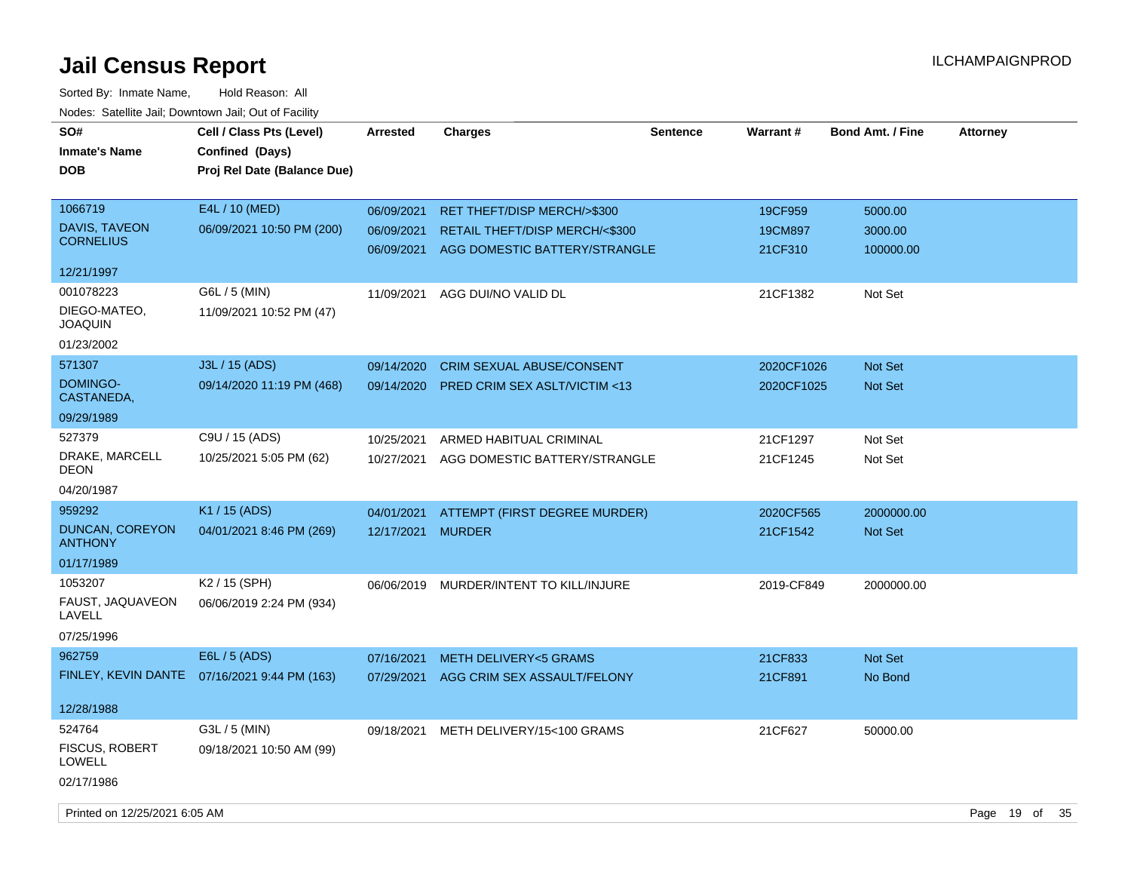| SO#<br><b>Inmate's Name</b><br><b>DOB</b>                        | Cell / Class Pts (Level)<br>Confined (Days)<br>Proj Rel Date (Balance Due) | <b>Arrested</b>                        | <b>Charges</b>                                                                                                     | <b>Sentence</b> | Warrant#                      | <b>Bond Amt. / Fine</b>         | <b>Attorney</b> |      |
|------------------------------------------------------------------|----------------------------------------------------------------------------|----------------------------------------|--------------------------------------------------------------------------------------------------------------------|-----------------|-------------------------------|---------------------------------|-----------------|------|
| 1066719<br><b>DAVIS, TAVEON</b><br><b>CORNELIUS</b>              | E4L / 10 (MED)<br>06/09/2021 10:50 PM (200)                                | 06/09/2021<br>06/09/2021<br>06/09/2021 | <b>RET THEFT/DISP MERCH/&gt;\$300</b><br><b>RETAIL THEFT/DISP MERCH/&lt;\$300</b><br>AGG DOMESTIC BATTERY/STRANGLE |                 | 19CF959<br>19CM897<br>21CF310 | 5000.00<br>3000.00<br>100000.00 |                 |      |
| 12/21/1997                                                       |                                                                            |                                        |                                                                                                                    |                 |                               |                                 |                 |      |
| 001078223<br>DIEGO-MATEO,<br>JOAQUIN<br>01/23/2002               | G6L / 5 (MIN)<br>11/09/2021 10:52 PM (47)                                  | 11/09/2021                             | AGG DUI/NO VALID DL                                                                                                |                 | 21CF1382                      | Not Set                         |                 |      |
| 571307                                                           | J3L / 15 (ADS)                                                             | 09/14/2020                             | <b>CRIM SEXUAL ABUSE/CONSENT</b>                                                                                   |                 | 2020CF1026                    | Not Set                         |                 |      |
| DOMINGO-<br>CASTANEDA,                                           | 09/14/2020 11:19 PM (468)                                                  | 09/14/2020                             | <b>PRED CRIM SEX ASLT/VICTIM &lt;13</b>                                                                            |                 | 2020CF1025                    | Not Set                         |                 |      |
| 09/29/1989                                                       |                                                                            |                                        |                                                                                                                    |                 |                               |                                 |                 |      |
| 527379<br>DRAKE, MARCELL<br>DEON                                 | C9U / 15 (ADS)<br>10/25/2021 5:05 PM (62)                                  | 10/25/2021<br>10/27/2021               | ARMED HABITUAL CRIMINAL<br>AGG DOMESTIC BATTERY/STRANGLE                                                           |                 | 21CF1297<br>21CF1245          | Not Set<br>Not Set              |                 |      |
| 04/20/1987                                                       |                                                                            |                                        |                                                                                                                    |                 |                               |                                 |                 |      |
| 959292<br><b>DUNCAN, COREYON</b><br><b>ANTHONY</b><br>01/17/1989 | K1 / 15 (ADS)<br>04/01/2021 8:46 PM (269)                                  | 04/01/2021<br>12/17/2021               | ATTEMPT (FIRST DEGREE MURDER)<br><b>MURDER</b>                                                                     |                 | 2020CF565<br>21CF1542         | 2000000.00<br>Not Set           |                 |      |
| 1053207                                                          | K2 / 15 (SPH)                                                              |                                        |                                                                                                                    |                 |                               |                                 |                 |      |
| FAUST, JAQUAVEON<br>LAVELL                                       | 06/06/2019 2:24 PM (934)                                                   | 06/06/2019                             | MURDER/INTENT TO KILL/INJURE                                                                                       |                 | 2019-CF849                    | 2000000.00                      |                 |      |
| 07/25/1996                                                       |                                                                            |                                        |                                                                                                                    |                 |                               |                                 |                 |      |
| 962759                                                           | E6L / 5 (ADS)<br>FINLEY, KEVIN DANTE  07/16/2021 9:44 PM (163)             | 07/16/2021<br>07/29/2021               | <b>METH DELIVERY&lt;5 GRAMS</b><br>AGG CRIM SEX ASSAULT/FELONY                                                     |                 | 21CF833<br>21CF891            | Not Set<br>No Bond              |                 |      |
| 12/28/1988                                                       |                                                                            |                                        |                                                                                                                    |                 |                               |                                 |                 |      |
| 524764<br><b>FISCUS, ROBERT</b><br>LOWELL                        | G3L / 5 (MIN)<br>09/18/2021 10:50 AM (99)                                  | 09/18/2021                             | METH DELIVERY/15<100 GRAMS                                                                                         |                 | 21CF627                       | 50000.00                        |                 |      |
| 02/17/1986                                                       |                                                                            |                                        |                                                                                                                    |                 |                               |                                 |                 |      |
| Printed on 12/25/2021 6:05 AM                                    |                                                                            |                                        |                                                                                                                    |                 |                               |                                 | Page 19 of      | - 35 |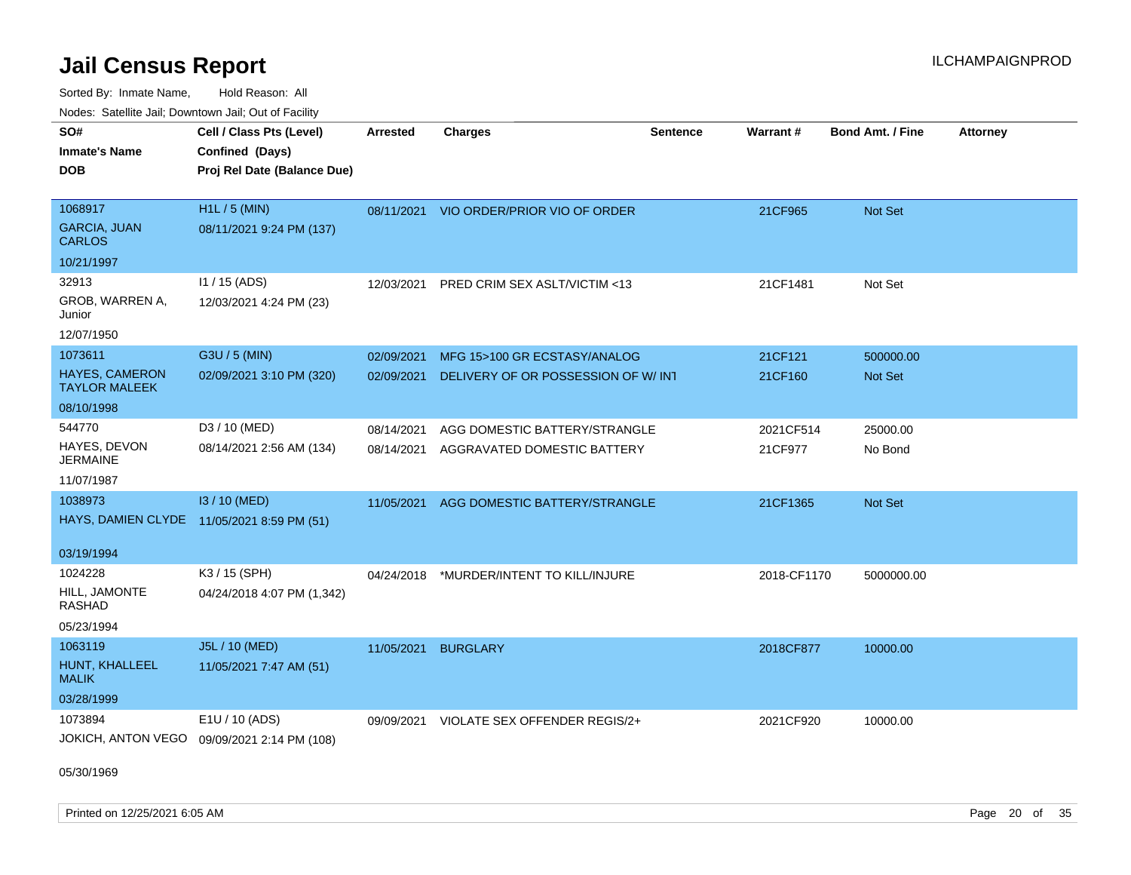Sorted By: Inmate Name, Hold Reason: All Nodes: Satellite Jail; Downtown Jail; Out of Facility

| Noucs. Calcinic Jail, Downtown Jail, Out of Facility |                                             |                 |                                         |                 |             |                         |                 |
|------------------------------------------------------|---------------------------------------------|-----------------|-----------------------------------------|-----------------|-------------|-------------------------|-----------------|
| SO#                                                  | Cell / Class Pts (Level)                    | <b>Arrested</b> | <b>Charges</b>                          | <b>Sentence</b> | Warrant#    | <b>Bond Amt. / Fine</b> | <b>Attorney</b> |
| <b>Inmate's Name</b>                                 | Confined (Days)                             |                 |                                         |                 |             |                         |                 |
| <b>DOB</b>                                           | Proj Rel Date (Balance Due)                 |                 |                                         |                 |             |                         |                 |
|                                                      |                                             |                 |                                         |                 |             |                         |                 |
| 1068917                                              | H1L / 5 (MIN)                               |                 | 08/11/2021 VIO ORDER/PRIOR VIO OF ORDER |                 | 21CF965     | <b>Not Set</b>          |                 |
| <b>GARCIA, JUAN</b><br><b>CARLOS</b>                 | 08/11/2021 9:24 PM (137)                    |                 |                                         |                 |             |                         |                 |
| 10/21/1997                                           |                                             |                 |                                         |                 |             |                         |                 |
| 32913                                                | I1 / 15 (ADS)                               | 12/03/2021      | <b>PRED CRIM SEX ASLT/VICTIM &lt;13</b> |                 | 21CF1481    | Not Set                 |                 |
| GROB, WARREN A,<br>Junior                            | 12/03/2021 4:24 PM (23)                     |                 |                                         |                 |             |                         |                 |
| 12/07/1950                                           |                                             |                 |                                         |                 |             |                         |                 |
| 1073611                                              | G3U / 5 (MIN)                               | 02/09/2021      | MFG 15>100 GR ECSTASY/ANALOG            |                 | 21CF121     | 500000.00               |                 |
| <b>HAYES, CAMERON</b><br><b>TAYLOR MALEEK</b>        | 02/09/2021 3:10 PM (320)                    | 02/09/2021      | DELIVERY OF OR POSSESSION OF W/INT      |                 | 21CF160     | <b>Not Set</b>          |                 |
| 08/10/1998                                           |                                             |                 |                                         |                 |             |                         |                 |
| 544770                                               | D3 / 10 (MED)                               | 08/14/2021      | AGG DOMESTIC BATTERY/STRANGLE           |                 | 2021CF514   | 25000.00                |                 |
| HAYES, DEVON<br>JERMAINE                             | 08/14/2021 2:56 AM (134)                    | 08/14/2021      | AGGRAVATED DOMESTIC BATTERY             |                 | 21CF977     | No Bond                 |                 |
| 11/07/1987                                           |                                             |                 |                                         |                 |             |                         |                 |
| 1038973                                              | 13 / 10 (MED)                               | 11/05/2021      | AGG DOMESTIC BATTERY/STRANGLE           |                 | 21CF1365    | <b>Not Set</b>          |                 |
|                                                      | HAYS, DAMIEN CLYDE 11/05/2021 8:59 PM (51)  |                 |                                         |                 |             |                         |                 |
|                                                      |                                             |                 |                                         |                 |             |                         |                 |
| 03/19/1994                                           |                                             |                 |                                         |                 |             |                         |                 |
| 1024228                                              | K3 / 15 (SPH)                               | 04/24/2018      | *MURDER/INTENT TO KILL/INJURE           |                 | 2018-CF1170 | 5000000.00              |                 |
| HILL, JAMONTE<br>RASHAD                              | 04/24/2018 4:07 PM (1,342)                  |                 |                                         |                 |             |                         |                 |
| 05/23/1994                                           |                                             |                 |                                         |                 |             |                         |                 |
| 1063119                                              | J5L / 10 (MED)                              | 11/05/2021      | <b>BURGLARY</b>                         |                 | 2018CF877   | 10000.00                |                 |
| HUNT, KHALLEEL<br>MALIK                              | 11/05/2021 7:47 AM (51)                     |                 |                                         |                 |             |                         |                 |
| 03/28/1999                                           |                                             |                 |                                         |                 |             |                         |                 |
| 1073894                                              | E1U / 10 (ADS)                              | 09/09/2021      | VIOLATE SEX OFFENDER REGIS/2+           |                 | 2021CF920   | 10000.00                |                 |
|                                                      | JOKICH, ANTON VEGO 09/09/2021 2:14 PM (108) |                 |                                         |                 |             |                         |                 |

05/30/1969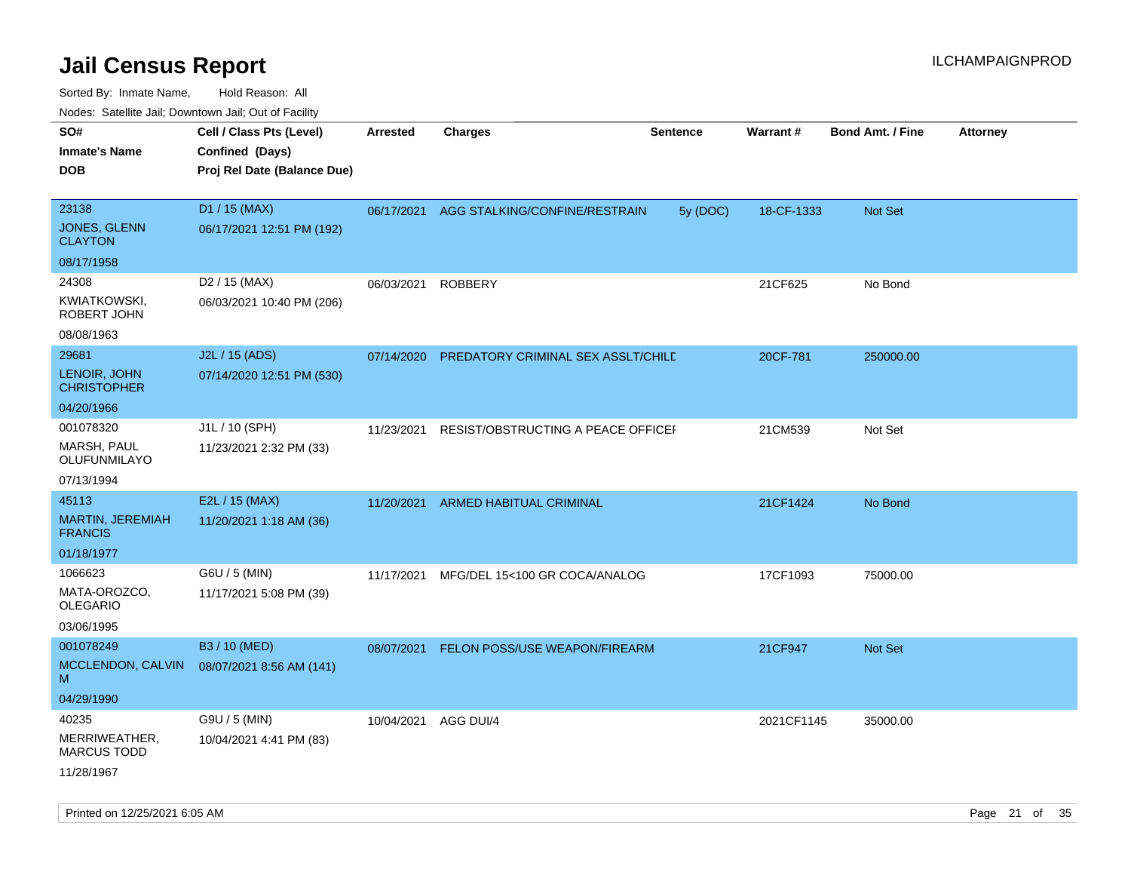| Nudes. Satellite Jali, Downtown Jali, Out of Facility |                             |            |                                    |                 |                 |                         |                 |
|-------------------------------------------------------|-----------------------------|------------|------------------------------------|-----------------|-----------------|-------------------------|-----------------|
| SO#                                                   | Cell / Class Pts (Level)    | Arrested   | <b>Charges</b>                     | <b>Sentence</b> | <b>Warrant#</b> | <b>Bond Amt. / Fine</b> | <b>Attorney</b> |
| <b>Inmate's Name</b>                                  | Confined (Days)             |            |                                    |                 |                 |                         |                 |
| DOB                                                   | Proj Rel Date (Balance Due) |            |                                    |                 |                 |                         |                 |
|                                                       |                             |            |                                    |                 |                 |                         |                 |
| 23138                                                 | D1 / 15 (MAX)               | 06/17/2021 | AGG STALKING/CONFINE/RESTRAIN      | 5y (DOC)        | 18-CF-1333      | Not Set                 |                 |
| <b>JONES, GLENN</b><br><b>CLAYTON</b>                 | 06/17/2021 12:51 PM (192)   |            |                                    |                 |                 |                         |                 |
| 08/17/1958                                            |                             |            |                                    |                 |                 |                         |                 |
| 24308                                                 | D <sub>2</sub> / 15 (MAX)   | 06/03/2021 | <b>ROBBERY</b>                     |                 | 21CF625         | No Bond                 |                 |
| KWIATKOWSKI,<br>ROBERT JOHN                           | 06/03/2021 10:40 PM (206)   |            |                                    |                 |                 |                         |                 |
| 08/08/1963                                            |                             |            |                                    |                 |                 |                         |                 |
| 29681                                                 | J2L / 15 (ADS)              | 07/14/2020 | PREDATORY CRIMINAL SEX ASSLT/CHILD |                 | 20CF-781        | 250000.00               |                 |
| LENOIR, JOHN<br><b>CHRISTOPHER</b>                    | 07/14/2020 12:51 PM (530)   |            |                                    |                 |                 |                         |                 |
| 04/20/1966                                            |                             |            |                                    |                 |                 |                         |                 |
| 001078320                                             | J1L / 10 (SPH)              | 11/23/2021 | RESIST/OBSTRUCTING A PEACE OFFICEI |                 | 21CM539         | Not Set                 |                 |
| MARSH, PAUL<br>OLUFUNMILAYO                           | 11/23/2021 2:32 PM (33)     |            |                                    |                 |                 |                         |                 |
| 07/13/1994                                            |                             |            |                                    |                 |                 |                         |                 |
| 45113                                                 | E2L / 15 (MAX)              | 11/20/2021 | ARMED HABITUAL CRIMINAL            |                 | 21CF1424        | No Bond                 |                 |
| <b>MARTIN, JEREMIAH</b><br><b>FRANCIS</b>             | 11/20/2021 1:18 AM (36)     |            |                                    |                 |                 |                         |                 |
| 01/18/1977                                            |                             |            |                                    |                 |                 |                         |                 |
| 1066623                                               | G6U / 5 (MIN)               | 11/17/2021 | MFG/DEL 15<100 GR COCA/ANALOG      |                 | 17CF1093        | 75000.00                |                 |
| MATA-OROZCO,<br>OLEGARIO                              | 11/17/2021 5:08 PM (39)     |            |                                    |                 |                 |                         |                 |
| 03/06/1995                                            |                             |            |                                    |                 |                 |                         |                 |
| 001078249                                             | B3 / 10 (MED)               | 08/07/2021 | FELON POSS/USE WEAPON/FIREARM      |                 | 21CF947         | <b>Not Set</b>          |                 |
| MCCLENDON, CALVIN<br>M                                | 08/07/2021 8:56 AM (141)    |            |                                    |                 |                 |                         |                 |
| 04/29/1990                                            |                             |            |                                    |                 |                 |                         |                 |
| 40235                                                 | G9U / 5 (MIN)               | 10/04/2021 | AGG DUI/4                          |                 | 2021CF1145      | 35000.00                |                 |
| MERRIWEATHER,<br>MARCUS TODD                          | 10/04/2021 4:41 PM (83)     |            |                                    |                 |                 |                         |                 |
| 11/28/1967                                            |                             |            |                                    |                 |                 |                         |                 |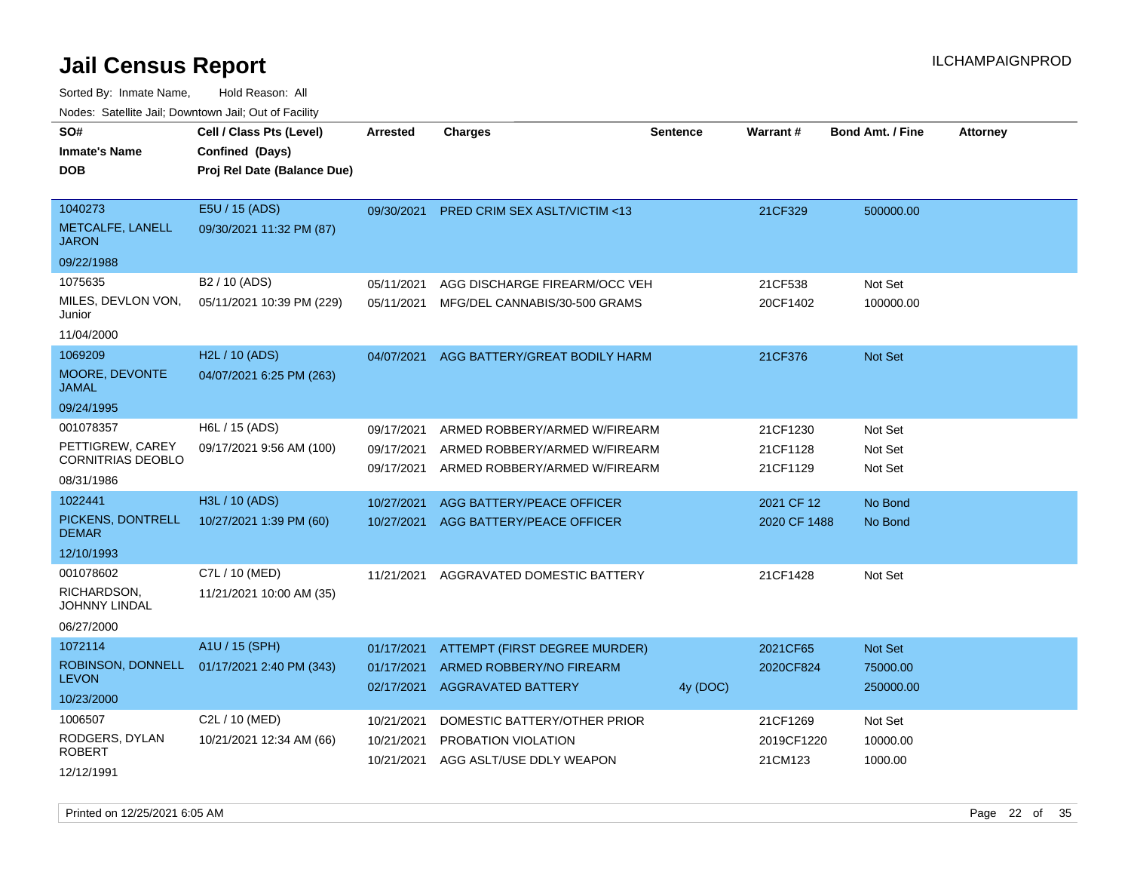Sorted By: Inmate Name, Hold Reason: All

| Nodes: Satellite Jail; Downtown Jail; Out of Facility |  |
|-------------------------------------------------------|--|
|                                                       |  |

| SO#<br><b>Inmate's Name</b><br><b>DOB</b>                               | Cell / Class Pts (Level)<br>Confined (Days)<br>Proj Rel Date (Balance Due) | <b>Arrested</b>                        | <b>Charges</b>                                                                                  | <b>Sentence</b> | Warrant#                          | <b>Bond Amt. / Fine</b>          | <b>Attorney</b> |
|-------------------------------------------------------------------------|----------------------------------------------------------------------------|----------------------------------------|-------------------------------------------------------------------------------------------------|-----------------|-----------------------------------|----------------------------------|-----------------|
| 1040273<br>METCALFE, LANELL<br><b>JARON</b><br>09/22/1988               | E5U / 15 (ADS)<br>09/30/2021 11:32 PM (87)                                 | 09/30/2021                             | PRED CRIM SEX ASLT/VICTIM <13                                                                   |                 | 21CF329                           | 500000.00                        |                 |
| 1075635<br>MILES, DEVLON VON,<br>Junior<br>11/04/2000                   | B <sub>2</sub> / 10 (ADS)<br>05/11/2021 10:39 PM (229)                     | 05/11/2021<br>05/11/2021               | AGG DISCHARGE FIREARM/OCC VEH<br>MFG/DEL CANNABIS/30-500 GRAMS                                  |                 | 21CF538<br>20CF1402               | Not Set<br>100000.00             |                 |
| 1069209<br>MOORE, DEVONTE<br><b>JAMAL</b><br>09/24/1995                 | H2L / 10 (ADS)<br>04/07/2021 6:25 PM (263)                                 | 04/07/2021                             | AGG BATTERY/GREAT BODILY HARM                                                                   |                 | 21CF376                           | Not Set                          |                 |
| 001078357<br>PETTIGREW, CAREY<br><b>CORNITRIAS DEOBLO</b><br>08/31/1986 | H6L / 15 (ADS)<br>09/17/2021 9:56 AM (100)                                 | 09/17/2021<br>09/17/2021<br>09/17/2021 | ARMED ROBBERY/ARMED W/FIREARM<br>ARMED ROBBERY/ARMED W/FIREARM<br>ARMED ROBBERY/ARMED W/FIREARM |                 | 21CF1230<br>21CF1128<br>21CF1129  | Not Set<br>Not Set<br>Not Set    |                 |
| 1022441<br>PICKENS, DONTRELL<br><b>DEMAR</b><br>12/10/1993              | H3L / 10 (ADS)<br>10/27/2021 1:39 PM (60)                                  | 10/27/2021                             | AGG BATTERY/PEACE OFFICER<br>10/27/2021 AGG BATTERY/PEACE OFFICER                               |                 | 2021 CF 12<br>2020 CF 1488        | No Bond<br>No Bond               |                 |
| 001078602<br>RICHARDSON,<br><b>JOHNNY LINDAL</b><br>06/27/2000          | C7L / 10 (MED)<br>11/21/2021 10:00 AM (35)                                 | 11/21/2021                             | AGGRAVATED DOMESTIC BATTERY                                                                     |                 | 21CF1428                          | Not Set                          |                 |
| 1072114<br>ROBINSON, DONNELL<br><b>LEVON</b><br>10/23/2000              | A1U / 15 (SPH)<br>01/17/2021 2:40 PM (343)                                 | 01/17/2021<br>01/17/2021<br>02/17/2021 | ATTEMPT (FIRST DEGREE MURDER)<br>ARMED ROBBERY/NO FIREARM<br><b>AGGRAVATED BATTERY</b>          | 4y (DOC)        | 2021CF65<br>2020CF824             | Not Set<br>75000.00<br>250000.00 |                 |
| 1006507<br>RODGERS, DYLAN<br><b>ROBERT</b><br>12/12/1991                | C2L / 10 (MED)<br>10/21/2021 12:34 AM (66)                                 | 10/21/2021<br>10/21/2021<br>10/21/2021 | DOMESTIC BATTERY/OTHER PRIOR<br>PROBATION VIOLATION<br>AGG ASLT/USE DDLY WEAPON                 |                 | 21CF1269<br>2019CF1220<br>21CM123 | Not Set<br>10000.00<br>1000.00   |                 |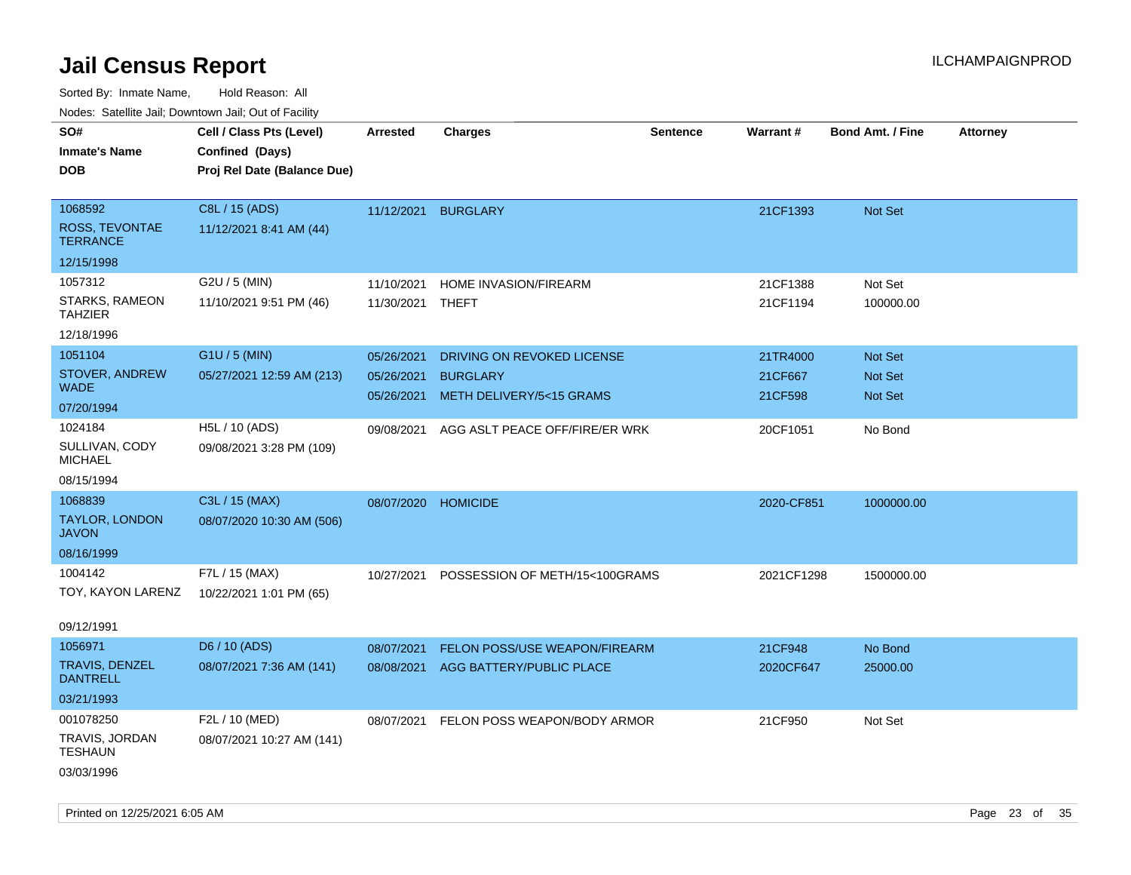Sorted By: Inmate Name, Hold Reason: All

|                                   | Nodes: Satellite Jail; Downtown Jail; Out of Facility |                  |                                      |                 |            |                         |                 |
|-----------------------------------|-------------------------------------------------------|------------------|--------------------------------------|-----------------|------------|-------------------------|-----------------|
| SO#                               | Cell / Class Pts (Level)                              | <b>Arrested</b>  | <b>Charges</b>                       | <b>Sentence</b> | Warrant#   | <b>Bond Amt. / Fine</b> | <b>Attorney</b> |
| <b>Inmate's Name</b>              | Confined (Days)                                       |                  |                                      |                 |            |                         |                 |
| <b>DOB</b>                        | Proj Rel Date (Balance Due)                           |                  |                                      |                 |            |                         |                 |
|                                   |                                                       |                  |                                      |                 |            |                         |                 |
| 1068592                           | C8L / 15 (ADS)                                        |                  | 11/12/2021 BURGLARY                  |                 | 21CF1393   | Not Set                 |                 |
| ROSS, TEVONTAE<br><b>TERRANCE</b> | 11/12/2021 8:41 AM (44)                               |                  |                                      |                 |            |                         |                 |
| 12/15/1998                        |                                                       |                  |                                      |                 |            |                         |                 |
| 1057312                           | G2U / 5 (MIN)                                         | 11/10/2021       | HOME INVASION/FIREARM                |                 | 21CF1388   | Not Set                 |                 |
| STARKS, RAMEON<br><b>TAHZIER</b>  | 11/10/2021 9:51 PM (46)                               | 11/30/2021 THEFT |                                      |                 | 21CF1194   | 100000.00               |                 |
| 12/18/1996                        |                                                       |                  |                                      |                 |            |                         |                 |
| 1051104                           | G1U / 5 (MIN)                                         | 05/26/2021       | DRIVING ON REVOKED LICENSE           |                 | 21TR4000   | Not Set                 |                 |
| STOVER, ANDREW                    | 05/27/2021 12:59 AM (213)                             | 05/26/2021       | <b>BURGLARY</b>                      |                 | 21CF667    | Not Set                 |                 |
| <b>WADE</b>                       |                                                       | 05/26/2021       | METH DELIVERY/5<15 GRAMS             |                 | 21CF598    | <b>Not Set</b>          |                 |
| 07/20/1994                        |                                                       |                  |                                      |                 |            |                         |                 |
| 1024184                           | H5L / 10 (ADS)                                        | 09/08/2021       | AGG ASLT PEACE OFF/FIRE/ER WRK       |                 | 20CF1051   | No Bond                 |                 |
| SULLIVAN, CODY<br><b>MICHAEL</b>  | 09/08/2021 3:28 PM (109)                              |                  |                                      |                 |            |                         |                 |
| 08/15/1994                        |                                                       |                  |                                      |                 |            |                         |                 |
| 1068839                           | C3L / 15 (MAX)                                        |                  | 08/07/2020 HOMICIDE                  |                 | 2020-CF851 | 1000000.00              |                 |
| TAYLOR, LONDON<br><b>JAVON</b>    | 08/07/2020 10:30 AM (506)                             |                  |                                      |                 |            |                         |                 |
| 08/16/1999                        |                                                       |                  |                                      |                 |            |                         |                 |
| 1004142                           | F7L / 15 (MAX)                                        | 10/27/2021       | POSSESSION OF METH/15<100GRAMS       |                 | 2021CF1298 | 1500000.00              |                 |
| TOY, KAYON LARENZ                 | 10/22/2021 1:01 PM (65)                               |                  |                                      |                 |            |                         |                 |
| 09/12/1991                        |                                                       |                  |                                      |                 |            |                         |                 |
| 1056971                           | D6 / 10 (ADS)                                         | 08/07/2021       | <b>FELON POSS/USE WEAPON/FIREARM</b> |                 | 21CF948    | No Bond                 |                 |
| TRAVIS, DENZEL<br><b>DANTRELL</b> | 08/07/2021 7:36 AM (141)                              | 08/08/2021       | AGG BATTERY/PUBLIC PLACE             |                 | 2020CF647  | 25000.00                |                 |
| 03/21/1993                        |                                                       |                  |                                      |                 |            |                         |                 |
| 001078250                         | F2L / 10 (MED)                                        | 08/07/2021       | FELON POSS WEAPON/BODY ARMOR         |                 | 21CF950    | Not Set                 |                 |
| TRAVIS, JORDAN<br>TESHAUN         | 08/07/2021 10:27 AM (141)                             |                  |                                      |                 |            |                         |                 |
| 03/03/1996                        |                                                       |                  |                                      |                 |            |                         |                 |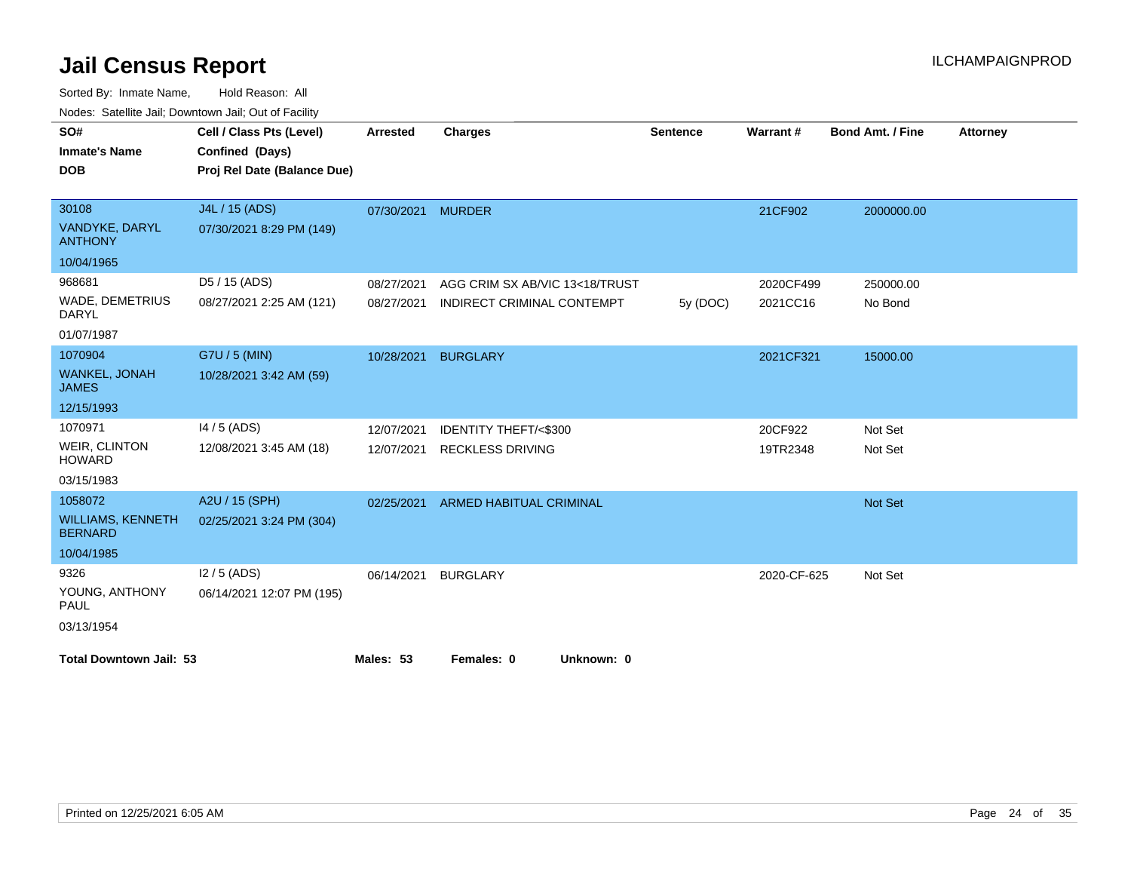| SO#                                        | Cell / Class Pts (Level)    | <b>Arrested</b> | <b>Charges</b>                  | <b>Sentence</b> | Warrant#    | <b>Bond Amt. / Fine</b> | <b>Attorney</b> |
|--------------------------------------------|-----------------------------|-----------------|---------------------------------|-----------------|-------------|-------------------------|-----------------|
| <b>Inmate's Name</b>                       | Confined (Days)             |                 |                                 |                 |             |                         |                 |
| <b>DOB</b>                                 | Proj Rel Date (Balance Due) |                 |                                 |                 |             |                         |                 |
|                                            |                             |                 |                                 |                 |             |                         |                 |
| 30108                                      | J4L / 15 (ADS)              | 07/30/2021      | <b>MURDER</b>                   |                 | 21CF902     | 2000000.00              |                 |
| VANDYKE, DARYL<br><b>ANTHONY</b>           | 07/30/2021 8:29 PM (149)    |                 |                                 |                 |             |                         |                 |
| 10/04/1965                                 |                             |                 |                                 |                 |             |                         |                 |
| 968681                                     | D5 / 15 (ADS)               | 08/27/2021      | AGG CRIM SX AB/VIC 13<18/TRUST  |                 | 2020CF499   | 250000.00               |                 |
| <b>WADE, DEMETRIUS</b><br><b>DARYL</b>     | 08/27/2021 2:25 AM (121)    | 08/27/2021      | INDIRECT CRIMINAL CONTEMPT      | 5y (DOC)        | 2021CC16    | No Bond                 |                 |
| 01/07/1987                                 |                             |                 |                                 |                 |             |                         |                 |
| 1070904                                    | G7U / 5 (MIN)               | 10/28/2021      | <b>BURGLARY</b>                 |                 | 2021CF321   | 15000.00                |                 |
| <b>WANKEL, JONAH</b><br><b>JAMES</b>       | 10/28/2021 3:42 AM (59)     |                 |                                 |                 |             |                         |                 |
| 12/15/1993                                 |                             |                 |                                 |                 |             |                         |                 |
| 1070971                                    | $14/5$ (ADS)                | 12/07/2021      | <b>IDENTITY THEFT/&lt;\$300</b> |                 | 20CF922     | Not Set                 |                 |
| WEIR, CLINTON<br><b>HOWARD</b>             | 12/08/2021 3:45 AM (18)     | 12/07/2021      | <b>RECKLESS DRIVING</b>         |                 | 19TR2348    | Not Set                 |                 |
| 03/15/1983                                 |                             |                 |                                 |                 |             |                         |                 |
| 1058072                                    | A2U / 15 (SPH)              | 02/25/2021      | <b>ARMED HABITUAL CRIMINAL</b>  |                 |             | Not Set                 |                 |
| <b>WILLIAMS, KENNETH</b><br><b>BERNARD</b> | 02/25/2021 3:24 PM (304)    |                 |                                 |                 |             |                         |                 |
| 10/04/1985                                 |                             |                 |                                 |                 |             |                         |                 |
| 9326                                       | $12/5$ (ADS)                | 06/14/2021      | <b>BURGLARY</b>                 |                 | 2020-CF-625 | Not Set                 |                 |
| YOUNG, ANTHONY<br><b>PAUL</b>              | 06/14/2021 12:07 PM (195)   |                 |                                 |                 |             |                         |                 |
| 03/13/1954                                 |                             |                 |                                 |                 |             |                         |                 |
| <b>Total Downtown Jail: 53</b>             |                             | Males: 53       | Females: 0<br>Unknown: 0        |                 |             |                         |                 |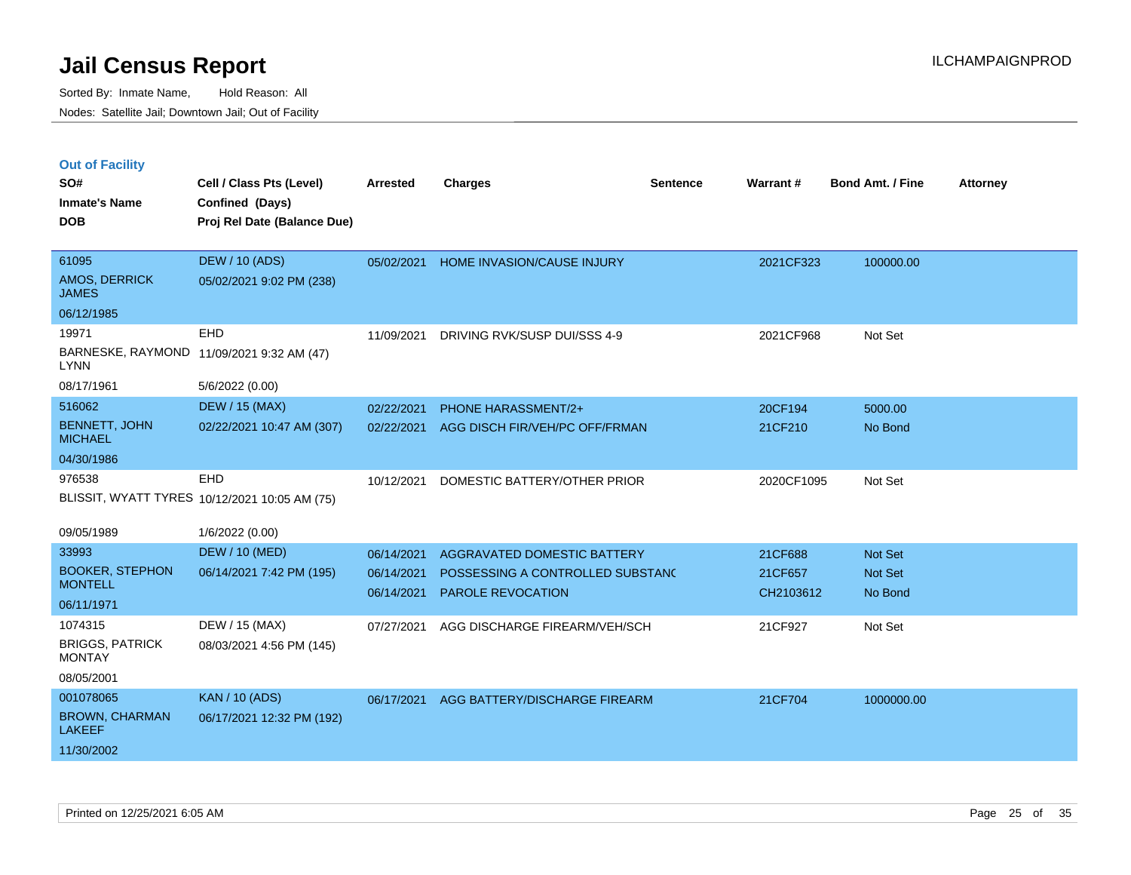|  | <b>Out of Facility</b> |  |
|--|------------------------|--|

| SO#<br><b>Inmate's Name</b><br><b>DOB</b>                                     | Cell / Class Pts (Level)<br>Confined (Days)<br>Proj Rel Date (Balance Due) | <b>Arrested</b>                        | <b>Charges</b>                                                                              | <b>Sentence</b> | Warrant#                        | <b>Bond Amt. / Fine</b>       | <b>Attorney</b> |
|-------------------------------------------------------------------------------|----------------------------------------------------------------------------|----------------------------------------|---------------------------------------------------------------------------------------------|-----------------|---------------------------------|-------------------------------|-----------------|
| 61095<br>AMOS, DERRICK<br><b>JAMES</b>                                        | <b>DEW / 10 (ADS)</b><br>05/02/2021 9:02 PM (238)                          | 05/02/2021                             | HOME INVASION/CAUSE INJURY                                                                  |                 | 2021CF323                       | 100000.00                     |                 |
| 06/12/1985<br>19971<br><b>LYNN</b><br>08/17/1961                              | <b>EHD</b><br>BARNESKE, RAYMOND 11/09/2021 9:32 AM (47)<br>5/6/2022 (0.00) | 11/09/2021                             | DRIVING RVK/SUSP DUI/SSS 4-9                                                                |                 | 2021CF968                       | Not Set                       |                 |
| 516062<br><b>BENNETT, JOHN</b><br><b>MICHAEL</b><br>04/30/1986                | <b>DEW / 15 (MAX)</b><br>02/22/2021 10:47 AM (307)                         | 02/22/2021<br>02/22/2021               | <b>PHONE HARASSMENT/2+</b><br>AGG DISCH FIR/VEH/PC OFF/FRMAN                                |                 | 20CF194<br>21CF210              | 5000.00<br>No Bond            |                 |
| 976538                                                                        | EHD<br>BLISSIT, WYATT TYRES 10/12/2021 10:05 AM (75)                       | 10/12/2021                             | DOMESTIC BATTERY/OTHER PRIOR                                                                |                 | 2020CF1095                      | Not Set                       |                 |
| 09/05/1989<br>33993<br><b>BOOKER, STEPHON</b><br><b>MONTELL</b><br>06/11/1971 | 1/6/2022 (0.00)<br><b>DEW / 10 (MED)</b><br>06/14/2021 7:42 PM (195)       | 06/14/2021<br>06/14/2021<br>06/14/2021 | AGGRAVATED DOMESTIC BATTERY<br>POSSESSING A CONTROLLED SUBSTANC<br><b>PAROLE REVOCATION</b> |                 | 21CF688<br>21CF657<br>CH2103612 | Not Set<br>Not Set<br>No Bond |                 |
| 1074315<br><b>BRIGGS, PATRICK</b><br><b>MONTAY</b><br>08/05/2001              | DEW / 15 (MAX)<br>08/03/2021 4:56 PM (145)                                 | 07/27/2021                             | AGG DISCHARGE FIREARM/VEH/SCH                                                               |                 | 21CF927                         | Not Set                       |                 |
| 001078065<br><b>BROWN, CHARMAN</b><br><b>LAKEEF</b><br>11/30/2002             | <b>KAN / 10 (ADS)</b><br>06/17/2021 12:32 PM (192)                         | 06/17/2021                             | AGG BATTERY/DISCHARGE FIREARM                                                               |                 | 21CF704                         | 1000000.00                    |                 |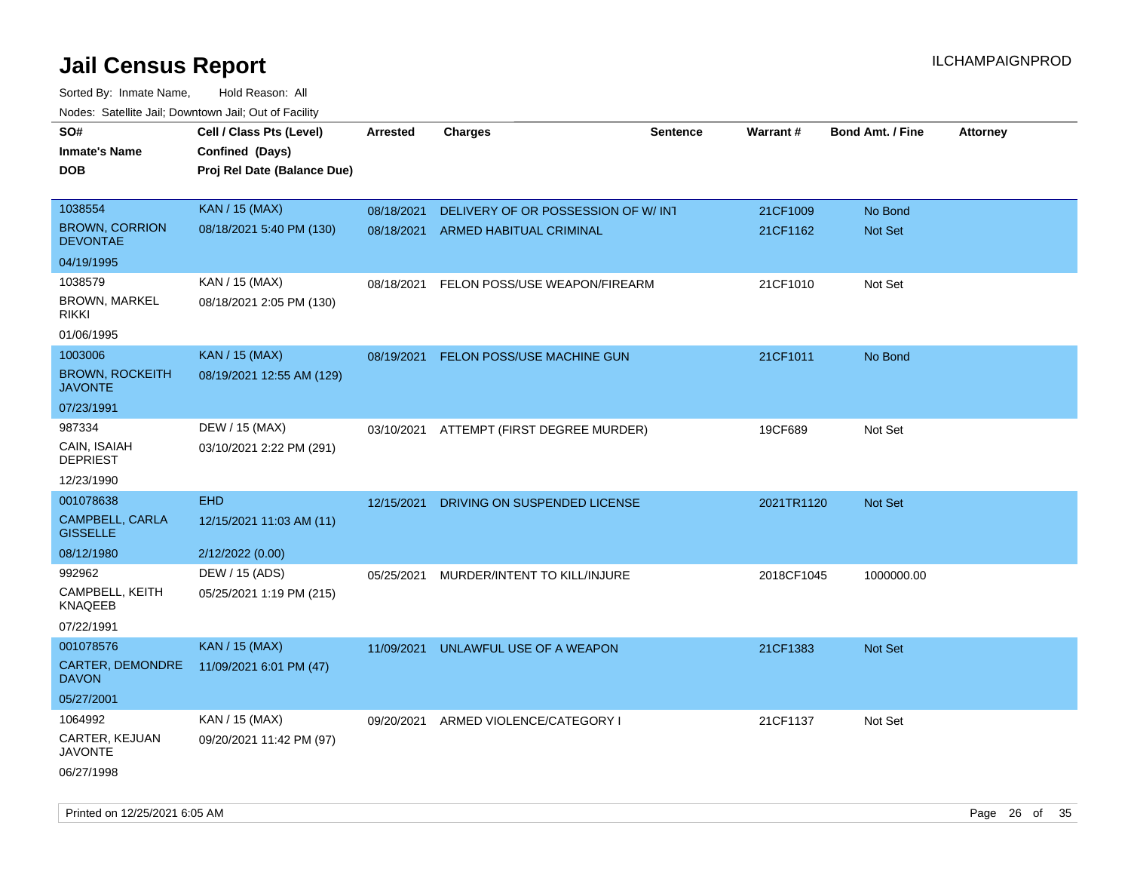| roaco. Catolino dall, Downtown dall, Out of Fability |                             |            |                                          |                 |            |                         |                 |
|------------------------------------------------------|-----------------------------|------------|------------------------------------------|-----------------|------------|-------------------------|-----------------|
| SO#                                                  | Cell / Class Pts (Level)    | Arrested   | <b>Charges</b>                           | <b>Sentence</b> | Warrant#   | <b>Bond Amt. / Fine</b> | <b>Attorney</b> |
| <b>Inmate's Name</b>                                 | Confined (Days)             |            |                                          |                 |            |                         |                 |
| <b>DOB</b>                                           | Proj Rel Date (Balance Due) |            |                                          |                 |            |                         |                 |
|                                                      |                             |            |                                          |                 |            |                         |                 |
| 1038554                                              | <b>KAN / 15 (MAX)</b>       | 08/18/2021 | DELIVERY OF OR POSSESSION OF W/INT       |                 | 21CF1009   | No Bond                 |                 |
| <b>BROWN, CORRION</b><br><b>DEVONTAE</b>             | 08/18/2021 5:40 PM (130)    | 08/18/2021 | ARMED HABITUAL CRIMINAL                  |                 | 21CF1162   | Not Set                 |                 |
| 04/19/1995                                           |                             |            |                                          |                 |            |                         |                 |
| 1038579                                              | KAN / 15 (MAX)              | 08/18/2021 | FELON POSS/USE WEAPON/FIREARM            |                 | 21CF1010   | Not Set                 |                 |
| <b>BROWN, MARKEL</b><br><b>RIKKI</b>                 | 08/18/2021 2:05 PM (130)    |            |                                          |                 |            |                         |                 |
| 01/06/1995                                           |                             |            |                                          |                 |            |                         |                 |
| 1003006                                              | <b>KAN / 15 (MAX)</b>       | 08/19/2021 | FELON POSS/USE MACHINE GUN               |                 | 21CF1011   | No Bond                 |                 |
| <b>BROWN, ROCKEITH</b><br><b>JAVONTE</b>             | 08/19/2021 12:55 AM (129)   |            |                                          |                 |            |                         |                 |
| 07/23/1991                                           |                             |            |                                          |                 |            |                         |                 |
| 987334                                               | DEW / 15 (MAX)              |            | 03/10/2021 ATTEMPT (FIRST DEGREE MURDER) |                 | 19CF689    | Not Set                 |                 |
| CAIN, ISAIAH<br><b>DEPRIEST</b>                      | 03/10/2021 2:22 PM (291)    |            |                                          |                 |            |                         |                 |
| 12/23/1990                                           |                             |            |                                          |                 |            |                         |                 |
| 001078638                                            | <b>EHD</b>                  | 12/15/2021 | DRIVING ON SUSPENDED LICENSE             |                 | 2021TR1120 | Not Set                 |                 |
| <b>CAMPBELL, CARLA</b><br><b>GISSELLE</b>            | 12/15/2021 11:03 AM (11)    |            |                                          |                 |            |                         |                 |
| 08/12/1980                                           | 2/12/2022 (0.00)            |            |                                          |                 |            |                         |                 |
| 992962                                               | DEW / 15 (ADS)              | 05/25/2021 | MURDER/INTENT TO KILL/INJURE             |                 | 2018CF1045 | 1000000.00              |                 |
| CAMPBELL, KEITH<br>KNAQEEB                           | 05/25/2021 1:19 PM (215)    |            |                                          |                 |            |                         |                 |
| 07/22/1991                                           |                             |            |                                          |                 |            |                         |                 |
| 001078576                                            | <b>KAN / 15 (MAX)</b>       | 11/09/2021 | UNLAWFUL USE OF A WEAPON                 |                 | 21CF1383   | Not Set                 |                 |
| CARTER, DEMONDRE<br><b>DAVON</b>                     | 11/09/2021 6:01 PM (47)     |            |                                          |                 |            |                         |                 |
| 05/27/2001                                           |                             |            |                                          |                 |            |                         |                 |
| 1064992                                              | KAN / 15 (MAX)              |            | 09/20/2021 ARMED VIOLENCE/CATEGORY I     |                 | 21CF1137   | Not Set                 |                 |
| CARTER, KEJUAN<br>JAVONTE                            | 09/20/2021 11:42 PM (97)    |            |                                          |                 |            |                         |                 |
| 06/27/1998                                           |                             |            |                                          |                 |            |                         |                 |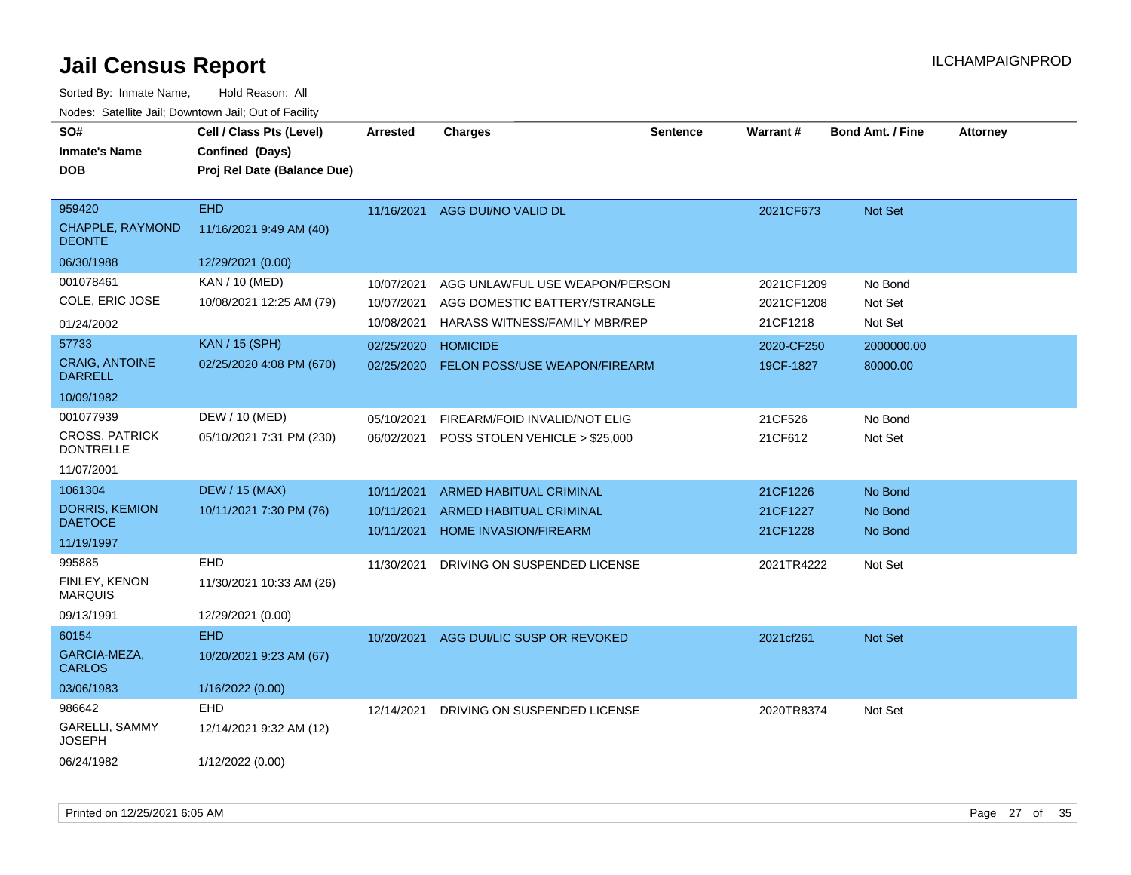| SO#<br><b>Inmate's Name</b><br><b>DOB</b> | Cell / Class Pts (Level)<br>Confined (Days)<br>Proj Rel Date (Balance Due) | <b>Arrested</b> | <b>Charges</b>                       | <b>Sentence</b> | Warrant#   | <b>Bond Amt. / Fine</b> | <b>Attorney</b> |
|-------------------------------------------|----------------------------------------------------------------------------|-----------------|--------------------------------------|-----------------|------------|-------------------------|-----------------|
|                                           |                                                                            |                 |                                      |                 |            |                         |                 |
| 959420                                    | <b>EHD</b>                                                                 |                 | 11/16/2021 AGG DUI/NO VALID DL       |                 | 2021CF673  | Not Set                 |                 |
| <b>CHAPPLE, RAYMOND</b><br><b>DEONTE</b>  | 11/16/2021 9:49 AM (40)                                                    |                 |                                      |                 |            |                         |                 |
| 06/30/1988                                | 12/29/2021 (0.00)                                                          |                 |                                      |                 |            |                         |                 |
| 001078461                                 | KAN / 10 (MED)                                                             | 10/07/2021      | AGG UNLAWFUL USE WEAPON/PERSON       |                 | 2021CF1209 | No Bond                 |                 |
| COLE, ERIC JOSE                           | 10/08/2021 12:25 AM (79)                                                   | 10/07/2021      | AGG DOMESTIC BATTERY/STRANGLE        |                 | 2021CF1208 | Not Set                 |                 |
| 01/24/2002                                |                                                                            | 10/08/2021      | <b>HARASS WITNESS/FAMILY MBR/REP</b> |                 | 21CF1218   | Not Set                 |                 |
| 57733                                     | <b>KAN / 15 (SPH)</b>                                                      | 02/25/2020      | <b>HOMICIDE</b>                      |                 | 2020-CF250 | 2000000.00              |                 |
| <b>CRAIG, ANTOINE</b><br><b>DARRELL</b>   | 02/25/2020 4:08 PM (670)                                                   | 02/25/2020      | <b>FELON POSS/USE WEAPON/FIREARM</b> |                 | 19CF-1827  | 80000.00                |                 |
| 10/09/1982                                |                                                                            |                 |                                      |                 |            |                         |                 |
| 001077939                                 | DEW / 10 (MED)                                                             | 05/10/2021      | FIREARM/FOID INVALID/NOT ELIG        |                 | 21CF526    | No Bond                 |                 |
| <b>CROSS, PATRICK</b><br><b>DONTRELLE</b> | 05/10/2021 7:31 PM (230)                                                   | 06/02/2021      | POSS STOLEN VEHICLE > \$25,000       |                 | 21CF612    | Not Set                 |                 |
| 11/07/2001                                |                                                                            |                 |                                      |                 |            |                         |                 |
| 1061304                                   | <b>DEW / 15 (MAX)</b>                                                      | 10/11/2021      | <b>ARMED HABITUAL CRIMINAL</b>       |                 | 21CF1226   | No Bond                 |                 |
| <b>DORRIS, KEMION</b>                     | 10/11/2021 7:30 PM (76)                                                    | 10/11/2021      | <b>ARMED HABITUAL CRIMINAL</b>       |                 | 21CF1227   | No Bond                 |                 |
| <b>DAETOCE</b>                            |                                                                            | 10/11/2021      | <b>HOME INVASION/FIREARM</b>         |                 | 21CF1228   | No Bond                 |                 |
| 11/19/1997                                |                                                                            |                 |                                      |                 |            |                         |                 |
| 995885                                    | <b>EHD</b>                                                                 | 11/30/2021      | DRIVING ON SUSPENDED LICENSE         |                 | 2021TR4222 | Not Set                 |                 |
| FINLEY, KENON<br><b>MARQUIS</b>           | 11/30/2021 10:33 AM (26)                                                   |                 |                                      |                 |            |                         |                 |
| 09/13/1991                                | 12/29/2021 (0.00)                                                          |                 |                                      |                 |            |                         |                 |
| 60154                                     | <b>EHD</b>                                                                 | 10/20/2021      | AGG DUI/LIC SUSP OR REVOKED          |                 | 2021cf261  | Not Set                 |                 |
| GARCIA-MEZA,<br><b>CARLOS</b>             | 10/20/2021 9:23 AM (67)                                                    |                 |                                      |                 |            |                         |                 |
| 03/06/1983                                | 1/16/2022 (0.00)                                                           |                 |                                      |                 |            |                         |                 |
| 986642                                    | <b>EHD</b>                                                                 | 12/14/2021      | DRIVING ON SUSPENDED LICENSE         |                 | 2020TR8374 | Not Set                 |                 |
| GARELLI, SAMMY<br><b>JOSEPH</b>           | 12/14/2021 9:32 AM (12)                                                    |                 |                                      |                 |            |                         |                 |
| 06/24/1982                                | 1/12/2022 (0.00)                                                           |                 |                                      |                 |            |                         |                 |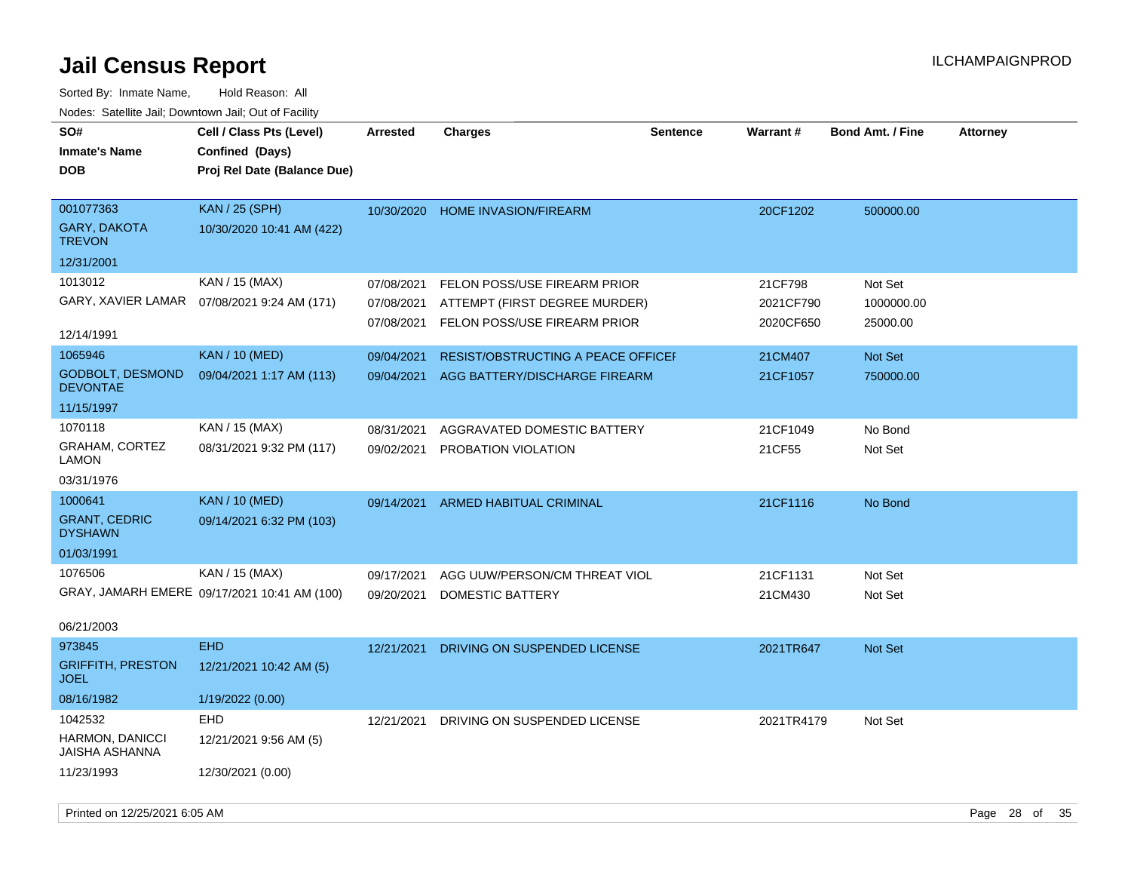| SO#                                      | Cell / Class Pts (Level)                     | <b>Arrested</b> | <b>Charges</b>                     | <b>Sentence</b> | Warrant#   | <b>Bond Amt. / Fine</b> | <b>Attorney</b> |
|------------------------------------------|----------------------------------------------|-----------------|------------------------------------|-----------------|------------|-------------------------|-----------------|
| <b>Inmate's Name</b>                     | Confined (Days)                              |                 |                                    |                 |            |                         |                 |
| <b>DOB</b>                               | Proj Rel Date (Balance Due)                  |                 |                                    |                 |            |                         |                 |
|                                          |                                              |                 |                                    |                 |            |                         |                 |
| 001077363                                | <b>KAN / 25 (SPH)</b>                        | 10/30/2020      | HOME INVASION/FIREARM              |                 | 20CF1202   | 500000.00               |                 |
| <b>GARY, DAKOTA</b><br><b>TREVON</b>     | 10/30/2020 10:41 AM (422)                    |                 |                                    |                 |            |                         |                 |
| 12/31/2001                               |                                              |                 |                                    |                 |            |                         |                 |
| 1013012                                  | KAN / 15 (MAX)                               | 07/08/2021      | FELON POSS/USE FIREARM PRIOR       |                 | 21CF798    | Not Set                 |                 |
|                                          | GARY, XAVIER LAMAR  07/08/2021 9:24 AM (171) | 07/08/2021      | ATTEMPT (FIRST DEGREE MURDER)      |                 | 2021CF790  | 1000000.00              |                 |
|                                          |                                              | 07/08/2021      | FELON POSS/USE FIREARM PRIOR       |                 | 2020CF650  | 25000.00                |                 |
| 12/14/1991                               |                                              |                 |                                    |                 |            |                         |                 |
| 1065946                                  | <b>KAN / 10 (MED)</b>                        | 09/04/2021      | RESIST/OBSTRUCTING A PEACE OFFICEI |                 | 21CM407    | Not Set                 |                 |
| GODBOLT, DESMOND<br><b>DEVONTAE</b>      | 09/04/2021 1:17 AM (113)                     | 09/04/2021      | AGG BATTERY/DISCHARGE FIREARM      |                 | 21CF1057   | 750000.00               |                 |
| 11/15/1997                               |                                              |                 |                                    |                 |            |                         |                 |
| 1070118                                  | KAN / 15 (MAX)                               | 08/31/2021      | AGGRAVATED DOMESTIC BATTERY        |                 | 21CF1049   | No Bond                 |                 |
| GRAHAM, CORTEZ<br><b>LAMON</b>           | 08/31/2021 9:32 PM (117)                     | 09/02/2021      | PROBATION VIOLATION                |                 | 21CF55     | Not Set                 |                 |
| 03/31/1976                               |                                              |                 |                                    |                 |            |                         |                 |
| 1000641                                  | <b>KAN / 10 (MED)</b>                        | 09/14/2021      | ARMED HABITUAL CRIMINAL            |                 | 21CF1116   | No Bond                 |                 |
| <b>GRANT, CEDRIC</b><br><b>DYSHAWN</b>   | 09/14/2021 6:32 PM (103)                     |                 |                                    |                 |            |                         |                 |
| 01/03/1991                               |                                              |                 |                                    |                 |            |                         |                 |
| 1076506                                  | KAN / 15 (MAX)                               | 09/17/2021      | AGG UUW/PERSON/CM THREAT VIOL      |                 | 21CF1131   | Not Set                 |                 |
|                                          | GRAY, JAMARH EMERE 09/17/2021 10:41 AM (100) | 09/20/2021      | DOMESTIC BATTERY                   |                 | 21CM430    | Not Set                 |                 |
|                                          |                                              |                 |                                    |                 |            |                         |                 |
| 06/21/2003                               |                                              |                 |                                    |                 |            |                         |                 |
| 973845                                   | <b>EHD</b>                                   | 12/21/2021      | DRIVING ON SUSPENDED LICENSE       |                 | 2021TR647  | <b>Not Set</b>          |                 |
| <b>GRIFFITH, PRESTON</b><br><b>JOEL</b>  | 12/21/2021 10:42 AM (5)                      |                 |                                    |                 |            |                         |                 |
| 08/16/1982                               | 1/19/2022 (0.00)                             |                 |                                    |                 |            |                         |                 |
| 1042532                                  | <b>EHD</b>                                   | 12/21/2021      | DRIVING ON SUSPENDED LICENSE       |                 | 2021TR4179 | Not Set                 |                 |
| HARMON, DANICCI<br><b>JAISHA ASHANNA</b> | 12/21/2021 9:56 AM (5)                       |                 |                                    |                 |            |                         |                 |
| 11/23/1993                               | 12/30/2021 (0.00)                            |                 |                                    |                 |            |                         |                 |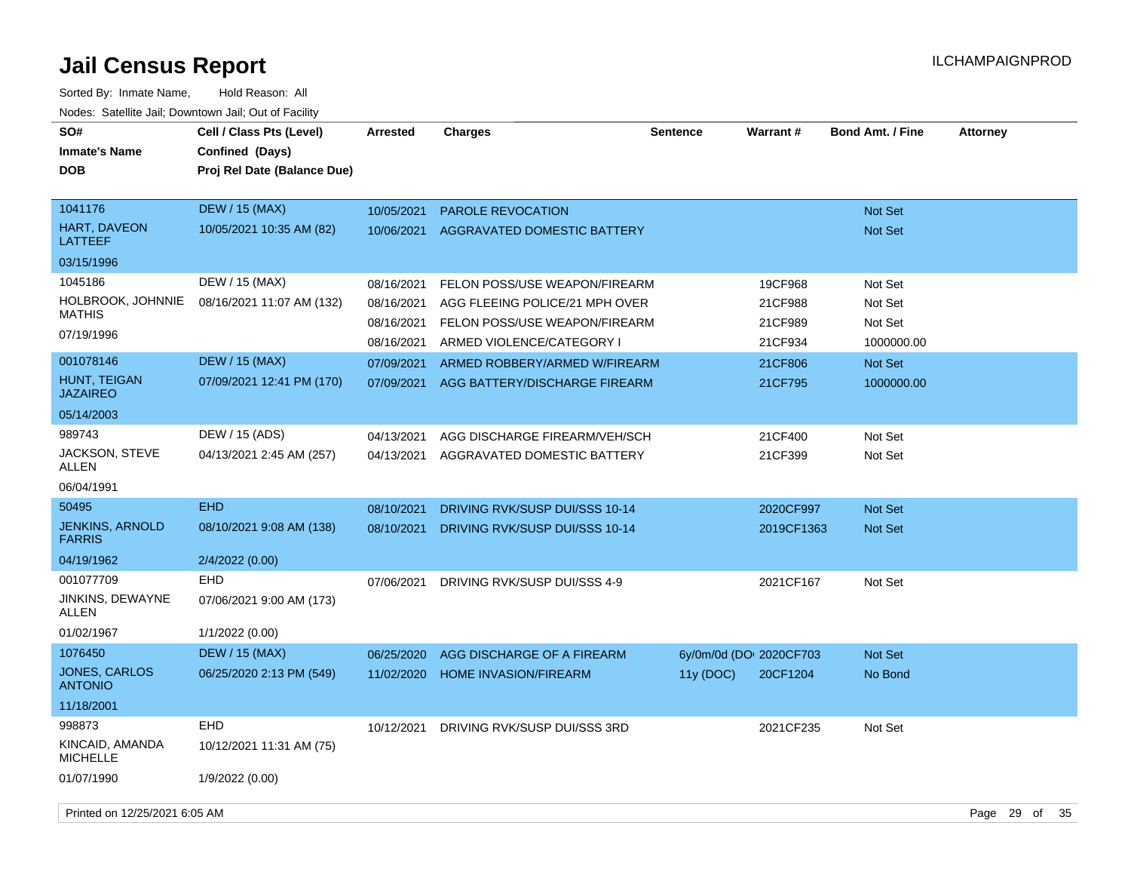| SO#<br><b>Inmate's Name</b><br><b>DOB</b> | Cell / Class Pts (Level)<br>Confined (Days)<br>Proj Rel Date (Balance Due) | <b>Arrested</b> | <b>Charges</b>                 | <b>Sentence</b> | <b>Warrant#</b>         | <b>Bond Amt. / Fine</b> | <b>Attorney</b> |
|-------------------------------------------|----------------------------------------------------------------------------|-----------------|--------------------------------|-----------------|-------------------------|-------------------------|-----------------|
| 1041176                                   | <b>DEW / 15 (MAX)</b>                                                      | 10/05/2021      | PAROLE REVOCATION              |                 |                         | Not Set                 |                 |
| <b>HART, DAVEON</b><br>LATTEEF            | 10/05/2021 10:35 AM (82)                                                   | 10/06/2021      | AGGRAVATED DOMESTIC BATTERY    |                 |                         | Not Set                 |                 |
| 03/15/1996                                |                                                                            |                 |                                |                 |                         |                         |                 |
| 1045186                                   | DEW / 15 (MAX)                                                             | 08/16/2021      | FELON POSS/USE WEAPON/FIREARM  |                 | 19CF968                 | Not Set                 |                 |
| HOLBROOK, JOHNNIE<br><b>MATHIS</b>        | 08/16/2021 11:07 AM (132)                                                  | 08/16/2021      | AGG FLEEING POLICE/21 MPH OVER |                 | 21CF988                 | Not Set                 |                 |
| 07/19/1996                                |                                                                            | 08/16/2021      | FELON POSS/USE WEAPON/FIREARM  |                 | 21CF989                 | Not Set                 |                 |
|                                           |                                                                            | 08/16/2021      | ARMED VIOLENCE/CATEGORY I      |                 | 21CF934                 | 1000000.00              |                 |
| 001078146                                 | <b>DEW / 15 (MAX)</b>                                                      | 07/09/2021      | ARMED ROBBERY/ARMED W/FIREARM  |                 | 21CF806                 | <b>Not Set</b>          |                 |
| HUNT, TEIGAN<br><b>JAZAIREO</b>           | 07/09/2021 12:41 PM (170)                                                  | 07/09/2021      | AGG BATTERY/DISCHARGE FIREARM  |                 | 21CF795                 | 1000000.00              |                 |
| 05/14/2003                                |                                                                            |                 |                                |                 |                         |                         |                 |
| 989743                                    | DEW / 15 (ADS)                                                             | 04/13/2021      | AGG DISCHARGE FIREARM/VEH/SCH  |                 | 21CF400                 | Not Set                 |                 |
| <b>JACKSON, STEVE</b><br><b>ALLEN</b>     | 04/13/2021 2:45 AM (257)                                                   | 04/13/2021      | AGGRAVATED DOMESTIC BATTERY    |                 | 21CF399                 | Not Set                 |                 |
| 06/04/1991                                |                                                                            |                 |                                |                 |                         |                         |                 |
| 50495                                     | <b>EHD</b>                                                                 | 08/10/2021      | DRIVING RVK/SUSP DUI/SSS 10-14 |                 | 2020CF997               | Not Set                 |                 |
| <b>JENKINS, ARNOLD</b><br><b>FARRIS</b>   | 08/10/2021 9:08 AM (138)                                                   | 08/10/2021      | DRIVING RVK/SUSP DUI/SSS 10-14 |                 | 2019CF1363              | Not Set                 |                 |
| 04/19/1962                                | 2/4/2022 (0.00)                                                            |                 |                                |                 |                         |                         |                 |
| 001077709                                 | <b>EHD</b>                                                                 | 07/06/2021      | DRIVING RVK/SUSP DUI/SSS 4-9   |                 | 2021CF167               | Not Set                 |                 |
| JINKINS, DEWAYNE<br><b>ALLEN</b>          | 07/06/2021 9:00 AM (173)                                                   |                 |                                |                 |                         |                         |                 |
| 01/02/1967                                | 1/1/2022 (0.00)                                                            |                 |                                |                 |                         |                         |                 |
| 1076450                                   | <b>DEW / 15 (MAX)</b>                                                      | 06/25/2020      | AGG DISCHARGE OF A FIREARM     |                 | 6y/0m/0d (DOI 2020CF703 | <b>Not Set</b>          |                 |
| JONES, CARLOS<br><b>ANTONIO</b>           | 06/25/2020 2:13 PM (549)                                                   | 11/02/2020      | <b>HOME INVASION/FIREARM</b>   | 11y (DOC)       | 20CF1204                | No Bond                 |                 |
| 11/18/2001                                |                                                                            |                 |                                |                 |                         |                         |                 |
| 998873                                    | <b>EHD</b>                                                                 | 10/12/2021      | DRIVING RVK/SUSP DUI/SSS 3RD   |                 | 2021CF235               | Not Set                 |                 |
| KINCAID, AMANDA<br><b>MICHELLE</b>        | 10/12/2021 11:31 AM (75)                                                   |                 |                                |                 |                         |                         |                 |
| 01/07/1990                                | 1/9/2022 (0.00)                                                            |                 |                                |                 |                         |                         |                 |
| Printed on 12/25/2021 6:05 AM             |                                                                            |                 |                                |                 |                         |                         | Page 29 of 35   |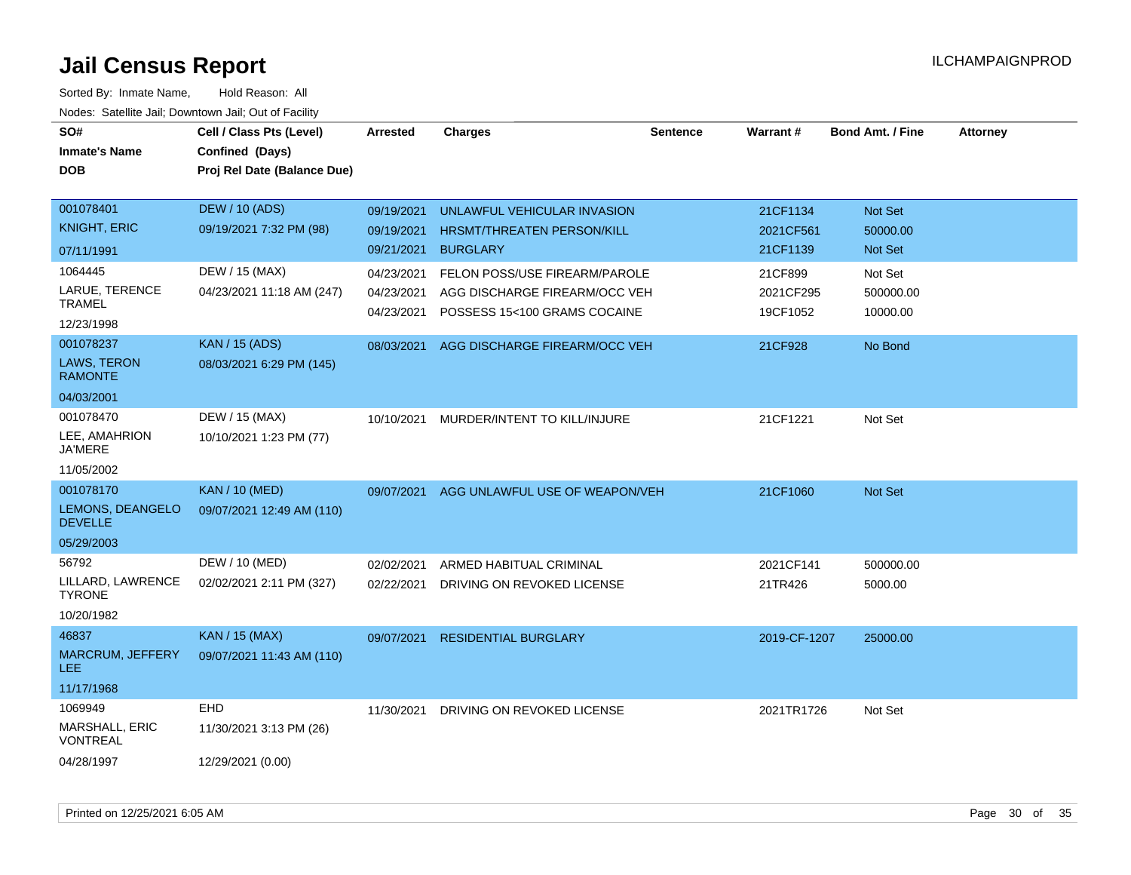| SO#                                      | Cell / Class Pts (Level)    | <b>Arrested</b> | <b>Charges</b>                       | <b>Sentence</b> | Warrant#     | <b>Bond Amt. / Fine</b> | <b>Attorney</b> |
|------------------------------------------|-----------------------------|-----------------|--------------------------------------|-----------------|--------------|-------------------------|-----------------|
| <b>Inmate's Name</b>                     | Confined (Days)             |                 |                                      |                 |              |                         |                 |
| <b>DOB</b>                               | Proj Rel Date (Balance Due) |                 |                                      |                 |              |                         |                 |
|                                          |                             |                 |                                      |                 |              |                         |                 |
| 001078401                                | <b>DEW / 10 (ADS)</b>       | 09/19/2021      | UNLAWFUL VEHICULAR INVASION          |                 | 21CF1134     | Not Set                 |                 |
| <b>KNIGHT, ERIC</b>                      | 09/19/2021 7:32 PM (98)     | 09/19/2021      | HRSMT/THREATEN PERSON/KILL           |                 | 2021CF561    | 50000.00                |                 |
| 07/11/1991                               |                             | 09/21/2021      | <b>BURGLARY</b>                      |                 | 21CF1139     | Not Set                 |                 |
| 1064445                                  | DEW / 15 (MAX)              | 04/23/2021      | <b>FELON POSS/USE FIREARM/PAROLE</b> |                 | 21CF899      | Not Set                 |                 |
| LARUE, TERENCE<br><b>TRAMEL</b>          | 04/23/2021 11:18 AM (247)   | 04/23/2021      | AGG DISCHARGE FIREARM/OCC VEH        |                 | 2021CF295    | 500000.00               |                 |
| 12/23/1998                               |                             | 04/23/2021      | POSSESS 15<100 GRAMS COCAINE         |                 | 19CF1052     | 10000.00                |                 |
| 001078237                                | <b>KAN / 15 (ADS)</b>       | 08/03/2021      | AGG DISCHARGE FIREARM/OCC VEH        |                 | 21CF928      | No Bond                 |                 |
| <b>LAWS, TERON</b><br><b>RAMONTE</b>     | 08/03/2021 6:29 PM (145)    |                 |                                      |                 |              |                         |                 |
| 04/03/2001                               |                             |                 |                                      |                 |              |                         |                 |
| 001078470                                | DEW / 15 (MAX)              | 10/10/2021      | MURDER/INTENT TO KILL/INJURE         |                 | 21CF1221     | Not Set                 |                 |
| LEE, AMAHRION<br>JA'MERE                 | 10/10/2021 1:23 PM (77)     |                 |                                      |                 |              |                         |                 |
| 11/05/2002                               |                             |                 |                                      |                 |              |                         |                 |
| 001078170                                | <b>KAN / 10 (MED)</b>       | 09/07/2021      | AGG UNLAWFUL USE OF WEAPON/VEH       |                 | 21CF1060     | <b>Not Set</b>          |                 |
| LEMONS, DEANGELO<br><b>DEVELLE</b>       | 09/07/2021 12:49 AM (110)   |                 |                                      |                 |              |                         |                 |
| 05/29/2003                               |                             |                 |                                      |                 |              |                         |                 |
| 56792                                    | DEW / 10 (MED)              | 02/02/2021      | ARMED HABITUAL CRIMINAL              |                 | 2021CF141    | 500000.00               |                 |
| LILLARD, LAWRENCE<br><b>TYRONE</b>       | 02/02/2021 2:11 PM (327)    | 02/22/2021      | DRIVING ON REVOKED LICENSE           |                 | 21TR426      | 5000.00                 |                 |
| 10/20/1982                               |                             |                 |                                      |                 |              |                         |                 |
| 46837                                    | <b>KAN / 15 (MAX)</b>       | 09/07/2021      | <b>RESIDENTIAL BURGLARY</b>          |                 | 2019-CF-1207 | 25000.00                |                 |
| MARCRUM, JEFFERY<br>LEE.                 | 09/07/2021 11:43 AM (110)   |                 |                                      |                 |              |                         |                 |
| 11/17/1968                               |                             |                 |                                      |                 |              |                         |                 |
| 1069949                                  | <b>EHD</b>                  | 11/30/2021      | DRIVING ON REVOKED LICENSE           |                 | 2021TR1726   | Not Set                 |                 |
| <b>MARSHALL, ERIC</b><br><b>VONTREAL</b> | 11/30/2021 3:13 PM (26)     |                 |                                      |                 |              |                         |                 |
| 04/28/1997                               | 12/29/2021 (0.00)           |                 |                                      |                 |              |                         |                 |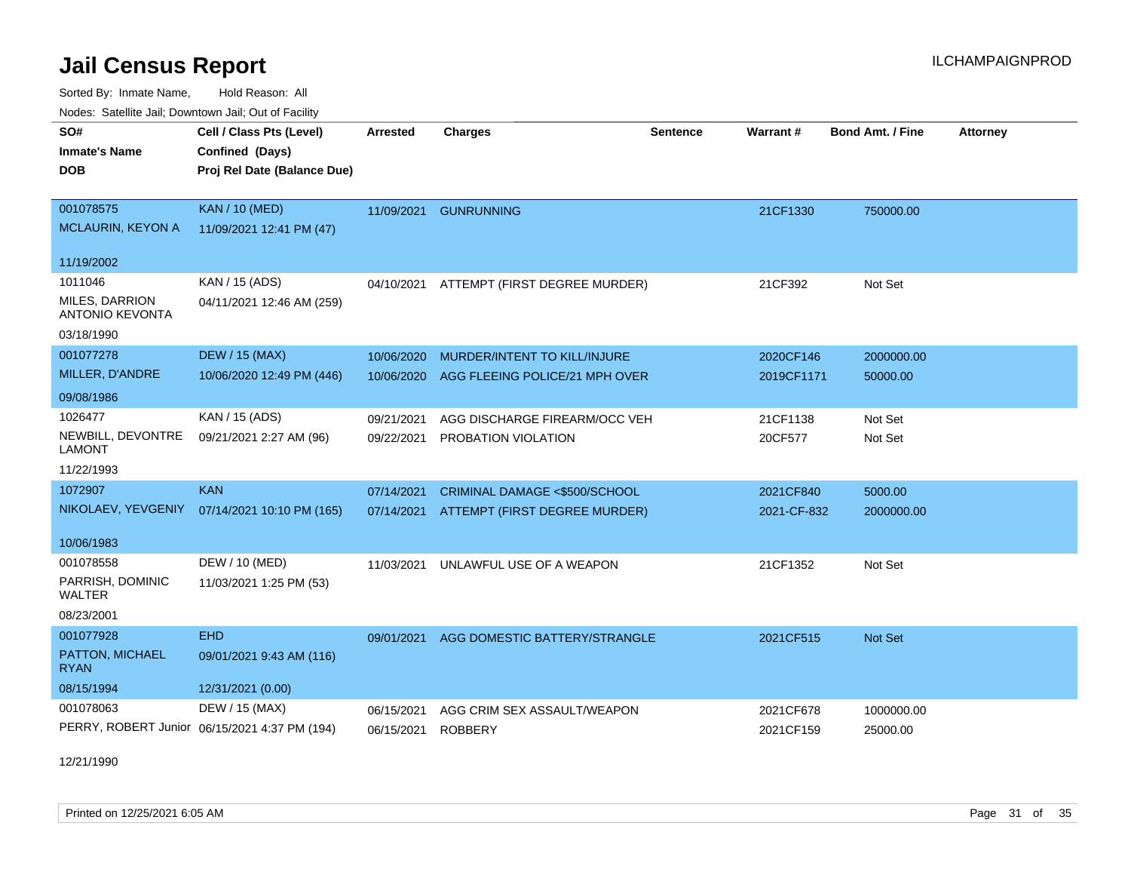Sorted By: Inmate Name, Hold Reason: All Nodes: Satellite Jail; Downtown Jail; Out of Facility

| Noucs. Catchitic sail, Downtown sail, Out of Facility |                                               |                 |                                           |                 |             |                  |                 |
|-------------------------------------------------------|-----------------------------------------------|-----------------|-------------------------------------------|-----------------|-------------|------------------|-----------------|
| SO#                                                   | Cell / Class Pts (Level)                      | <b>Arrested</b> | <b>Charges</b>                            | <b>Sentence</b> | Warrant#    | Bond Amt. / Fine | <b>Attorney</b> |
| <b>Inmate's Name</b>                                  | Confined (Days)                               |                 |                                           |                 |             |                  |                 |
| DOB                                                   | Proj Rel Date (Balance Due)                   |                 |                                           |                 |             |                  |                 |
|                                                       |                                               |                 |                                           |                 |             |                  |                 |
| 001078575                                             | <b>KAN / 10 (MED)</b>                         | 11/09/2021      | <b>GUNRUNNING</b>                         |                 | 21CF1330    | 750000.00        |                 |
| <b>MCLAURIN, KEYON A</b>                              | 11/09/2021 12:41 PM (47)                      |                 |                                           |                 |             |                  |                 |
| 11/19/2002                                            |                                               |                 |                                           |                 |             |                  |                 |
| 1011046                                               | KAN / 15 (ADS)                                | 04/10/2021      | ATTEMPT (FIRST DEGREE MURDER)             |                 | 21CF392     | Not Set          |                 |
| MILES, DARRION<br><b>ANTONIO KEVONTA</b>              | 04/11/2021 12:46 AM (259)                     |                 |                                           |                 |             |                  |                 |
| 03/18/1990                                            |                                               |                 |                                           |                 |             |                  |                 |
| 001077278                                             | <b>DEW / 15 (MAX)</b>                         | 10/06/2020      | MURDER/INTENT TO KILL/INJURE              |                 | 2020CF146   | 2000000.00       |                 |
| MILLER, D'ANDRE                                       | 10/06/2020 12:49 PM (446)                     |                 | 10/06/2020 AGG FLEEING POLICE/21 MPH OVER |                 | 2019CF1171  | 50000.00         |                 |
| 09/08/1986                                            |                                               |                 |                                           |                 |             |                  |                 |
| 1026477                                               | KAN / 15 (ADS)                                | 09/21/2021      | AGG DISCHARGE FIREARM/OCC VEH             |                 | 21CF1138    | Not Set          |                 |
| NEWBILL, DEVONTRE<br>LAMONT                           | 09/21/2021 2:27 AM (96)                       | 09/22/2021      | PROBATION VIOLATION                       |                 | 20CF577     | Not Set          |                 |
| 11/22/1993                                            |                                               |                 |                                           |                 |             |                  |                 |
| 1072907                                               | <b>KAN</b>                                    | 07/14/2021      | CRIMINAL DAMAGE <\$500/SCHOOL             |                 | 2021CF840   | 5000.00          |                 |
| NIKOLAEV, YEVGENIY                                    | 07/14/2021 10:10 PM (165)                     | 07/14/2021      | ATTEMPT (FIRST DEGREE MURDER)             |                 | 2021-CF-832 | 2000000.00       |                 |
| 10/06/1983                                            |                                               |                 |                                           |                 |             |                  |                 |
| 001078558                                             | DEW / 10 (MED)                                | 11/03/2021      | UNLAWFUL USE OF A WEAPON                  |                 | 21CF1352    | Not Set          |                 |
| PARRISH, DOMINIC<br>WALTER                            | 11/03/2021 1:25 PM (53)                       |                 |                                           |                 |             |                  |                 |
| 08/23/2001                                            |                                               |                 |                                           |                 |             |                  |                 |
| 001077928                                             | <b>EHD</b>                                    | 09/01/2021      | AGG DOMESTIC BATTERY/STRANGLE             |                 | 2021CF515   | <b>Not Set</b>   |                 |
| PATTON, MICHAEL<br><b>RYAN</b>                        | 09/01/2021 9:43 AM (116)                      |                 |                                           |                 |             |                  |                 |
| 08/15/1994                                            | 12/31/2021 (0.00)                             |                 |                                           |                 |             |                  |                 |
| 001078063                                             | DEW / 15 (MAX)                                | 06/15/2021      | AGG CRIM SEX ASSAULT/WEAPON               |                 | 2021CF678   | 1000000.00       |                 |
|                                                       | PERRY, ROBERT Junior 06/15/2021 4:37 PM (194) | 06/15/2021      | <b>ROBBERY</b>                            |                 | 2021CF159   | 25000.00         |                 |

12/21/1990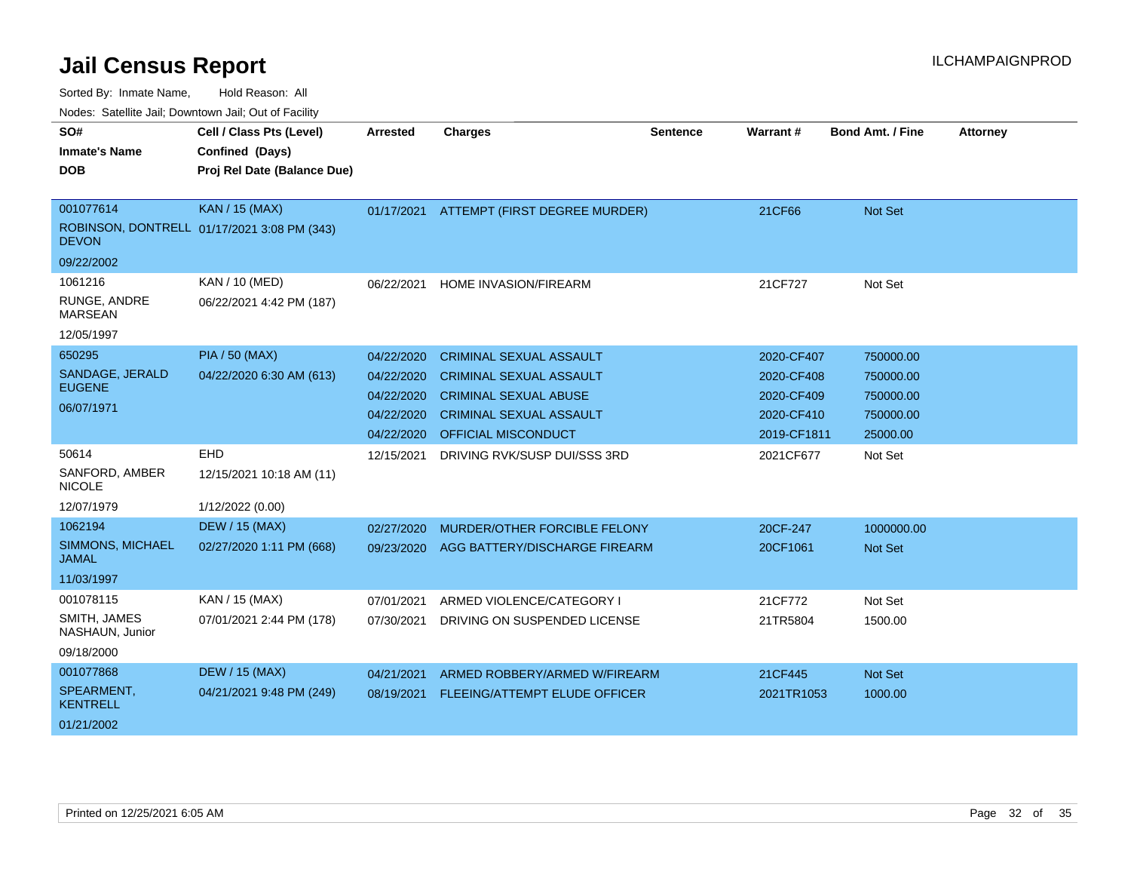Sorted By: Inmate Name, Hold Reason: All

| Nodes: Satellite Jail; Downtown Jail; Out of Facility |                                             |                 |                                |                 |             |                         |          |
|-------------------------------------------------------|---------------------------------------------|-----------------|--------------------------------|-----------------|-------------|-------------------------|----------|
| SO#                                                   | Cell / Class Pts (Level)                    | <b>Arrested</b> | <b>Charges</b>                 | <b>Sentence</b> | Warrant#    | <b>Bond Amt. / Fine</b> | Attorney |
| <b>Inmate's Name</b>                                  | Confined (Days)                             |                 |                                |                 |             |                         |          |
| <b>DOB</b>                                            | Proj Rel Date (Balance Due)                 |                 |                                |                 |             |                         |          |
|                                                       |                                             |                 |                                |                 |             |                         |          |
| 001077614                                             | <b>KAN / 15 (MAX)</b>                       | 01/17/2021      | ATTEMPT (FIRST DEGREE MURDER)  |                 | 21CF66      | <b>Not Set</b>          |          |
| <b>DEVON</b>                                          | ROBINSON, DONTRELL 01/17/2021 3:08 PM (343) |                 |                                |                 |             |                         |          |
| 09/22/2002                                            |                                             |                 |                                |                 |             |                         |          |
| 1061216                                               | KAN / 10 (MED)                              | 06/22/2021      | <b>HOME INVASION/FIREARM</b>   |                 | 21CF727     | Not Set                 |          |
| RUNGE, ANDRE<br><b>MARSEAN</b>                        | 06/22/2021 4:42 PM (187)                    |                 |                                |                 |             |                         |          |
| 12/05/1997                                            |                                             |                 |                                |                 |             |                         |          |
| 650295                                                | <b>PIA / 50 (MAX)</b>                       | 04/22/2020      | <b>CRIMINAL SEXUAL ASSAULT</b> |                 | 2020-CF407  | 750000.00               |          |
| SANDAGE, JERALD                                       | 04/22/2020 6:30 AM (613)                    | 04/22/2020      | <b>CRIMINAL SEXUAL ASSAULT</b> |                 | 2020-CF408  | 750000.00               |          |
| <b>EUGENE</b>                                         |                                             | 04/22/2020      | <b>CRIMINAL SEXUAL ABUSE</b>   |                 | 2020-CF409  | 750000.00               |          |
| 06/07/1971                                            |                                             | 04/22/2020      | <b>CRIMINAL SEXUAL ASSAULT</b> |                 | 2020-CF410  | 750000.00               |          |
|                                                       |                                             | 04/22/2020      | <b>OFFICIAL MISCONDUCT</b>     |                 | 2019-CF1811 | 25000.00                |          |
| 50614                                                 | EHD                                         | 12/15/2021      | DRIVING RVK/SUSP DUI/SSS 3RD   |                 | 2021CF677   | Not Set                 |          |
| SANFORD, AMBER<br><b>NICOLE</b>                       | 12/15/2021 10:18 AM (11)                    |                 |                                |                 |             |                         |          |
| 12/07/1979                                            | 1/12/2022 (0.00)                            |                 |                                |                 |             |                         |          |
| 1062194                                               | <b>DEW / 15 (MAX)</b>                       | 02/27/2020      | MURDER/OTHER FORCIBLE FELONY   |                 | 20CF-247    | 1000000.00              |          |
| <b>SIMMONS, MICHAEL</b><br><b>JAMAL</b>               | 02/27/2020 1:11 PM (668)                    | 09/23/2020      | AGG BATTERY/DISCHARGE FIREARM  |                 | 20CF1061    | Not Set                 |          |
| 11/03/1997                                            |                                             |                 |                                |                 |             |                         |          |
| 001078115                                             | KAN / 15 (MAX)                              | 07/01/2021      | ARMED VIOLENCE/CATEGORY I      |                 | 21CF772     | Not Set                 |          |
| SMITH, JAMES<br>NASHAUN, Junior                       | 07/01/2021 2:44 PM (178)                    | 07/30/2021      | DRIVING ON SUSPENDED LICENSE   |                 | 21TR5804    | 1500.00                 |          |
| 09/18/2000                                            |                                             |                 |                                |                 |             |                         |          |
| 001077868                                             | <b>DEW / 15 (MAX)</b>                       | 04/21/2021      | ARMED ROBBERY/ARMED W/FIREARM  |                 | 21CF445     | Not Set                 |          |
| SPEARMENT,<br><b>KENTRELL</b>                         | 04/21/2021 9:48 PM (249)                    | 08/19/2021      | FLEEING/ATTEMPT ELUDE OFFICER  |                 | 2021TR1053  | 1000.00                 |          |
| 01/21/2002                                            |                                             |                 |                                |                 |             |                         |          |
|                                                       |                                             |                 |                                |                 |             |                         |          |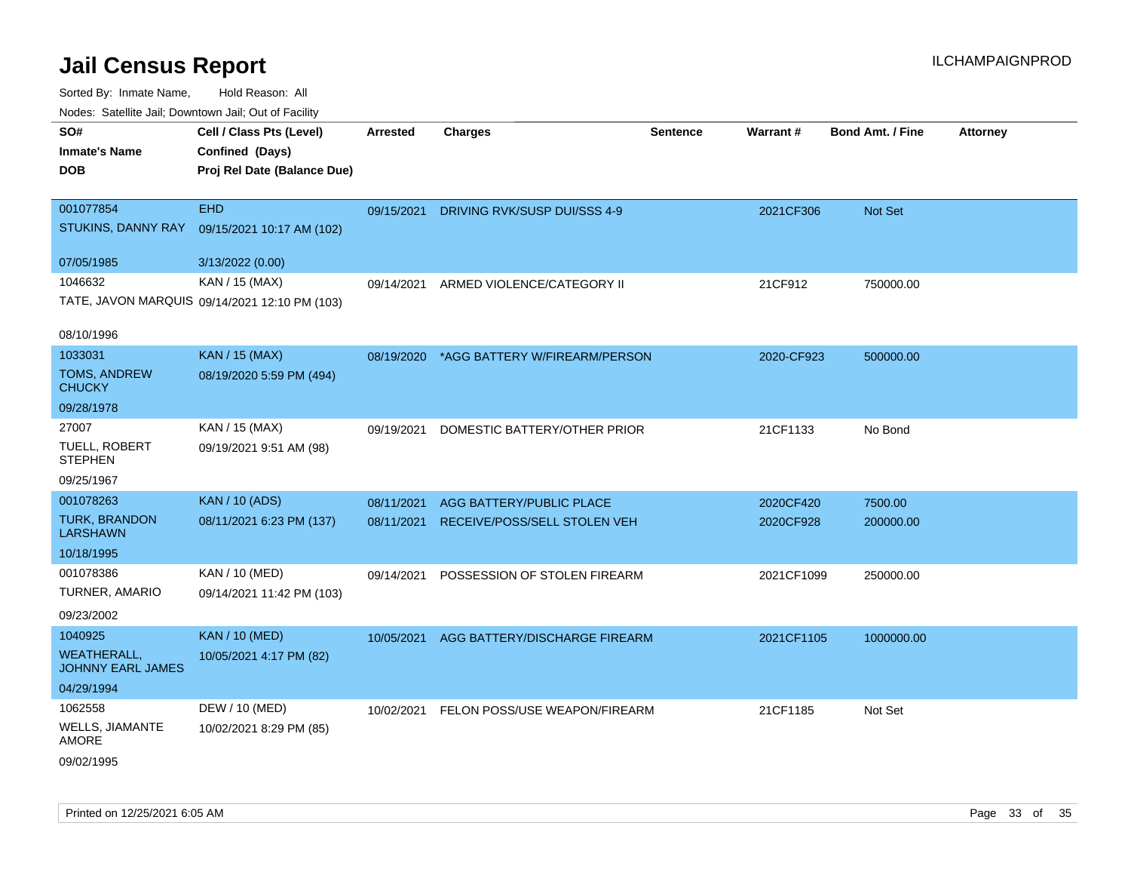| rouce. Calcinic Jan, Downtown Jan, Out or Facility        |                                                                            |            |                                          |                 |                 |                         |                 |
|-----------------------------------------------------------|----------------------------------------------------------------------------|------------|------------------------------------------|-----------------|-----------------|-------------------------|-----------------|
| SO#<br><b>Inmate's Name</b><br><b>DOB</b>                 | Cell / Class Pts (Level)<br>Confined (Days)<br>Proj Rel Date (Balance Due) | Arrested   | <b>Charges</b>                           | <b>Sentence</b> | <b>Warrant#</b> | <b>Bond Amt. / Fine</b> | <b>Attorney</b> |
|                                                           |                                                                            |            |                                          |                 |                 |                         |                 |
| 001077854<br>STUKINS, DANNY RAY                           | <b>EHD</b><br>09/15/2021 10:17 AM (102)                                    | 09/15/2021 | DRIVING RVK/SUSP DUI/SSS 4-9             |                 | 2021CF306       | Not Set                 |                 |
| 07/05/1985                                                | 3/13/2022 (0.00)                                                           |            |                                          |                 |                 |                         |                 |
| 1046632                                                   | KAN / 15 (MAX)<br>TATE, JAVON MARQUIS 09/14/2021 12:10 PM (103)            | 09/14/2021 | ARMED VIOLENCE/CATEGORY II               |                 | 21CF912         | 750000.00               |                 |
| 08/10/1996<br>1033031                                     | <b>KAN / 15 (MAX)</b>                                                      |            | 08/19/2020 *AGG BATTERY W/FIREARM/PERSON |                 | 2020-CF923      | 500000.00               |                 |
| <b>TOMS, ANDREW</b><br><b>CHUCKY</b>                      | 08/19/2020 5:59 PM (494)                                                   |            |                                          |                 |                 |                         |                 |
| 09/28/1978                                                |                                                                            |            |                                          |                 |                 |                         |                 |
| 27007                                                     | KAN / 15 (MAX)                                                             | 09/19/2021 | DOMESTIC BATTERY/OTHER PRIOR             |                 | 21CF1133        | No Bond                 |                 |
| TUELL, ROBERT<br><b>STEPHEN</b>                           | 09/19/2021 9:51 AM (98)                                                    |            |                                          |                 |                 |                         |                 |
| 09/25/1967                                                |                                                                            |            |                                          |                 |                 |                         |                 |
| 001078263                                                 | <b>KAN / 10 (ADS)</b>                                                      | 08/11/2021 | AGG BATTERY/PUBLIC PLACE                 |                 | 2020CF420       | 7500.00                 |                 |
| TURK, BRANDON<br><b>LARSHAWN</b>                          | 08/11/2021 6:23 PM (137)                                                   | 08/11/2021 | RECEIVE/POSS/SELL STOLEN VEH             |                 | 2020CF928       | 200000.00               |                 |
| 10/18/1995                                                |                                                                            |            |                                          |                 |                 |                         |                 |
| 001078386<br><b>TURNER, AMARIO</b>                        | KAN / 10 (MED)<br>09/14/2021 11:42 PM (103)                                | 09/14/2021 | POSSESSION OF STOLEN FIREARM             |                 | 2021CF1099      | 250000.00               |                 |
| 09/23/2002                                                |                                                                            |            |                                          |                 |                 |                         |                 |
| 1040925<br><b>WEATHERALL,</b><br><b>JOHNNY EARL JAMES</b> | <b>KAN / 10 (MED)</b><br>10/05/2021 4:17 PM (82)                           | 10/05/2021 | AGG BATTERY/DISCHARGE FIREARM            |                 | 2021CF1105      | 1000000.00              |                 |
| 04/29/1994                                                |                                                                            |            |                                          |                 |                 |                         |                 |
| 1062558                                                   | DEW / 10 (MED)                                                             |            | 10/02/2021 FELON POSS/USE WEAPON/FIREARM |                 | 21CF1185        | Not Set                 |                 |
| <b>WELLS, JIAMANTE</b><br>AMORE                           | 10/02/2021 8:29 PM (85)                                                    |            |                                          |                 |                 |                         |                 |
| 09/02/1995                                                |                                                                            |            |                                          |                 |                 |                         |                 |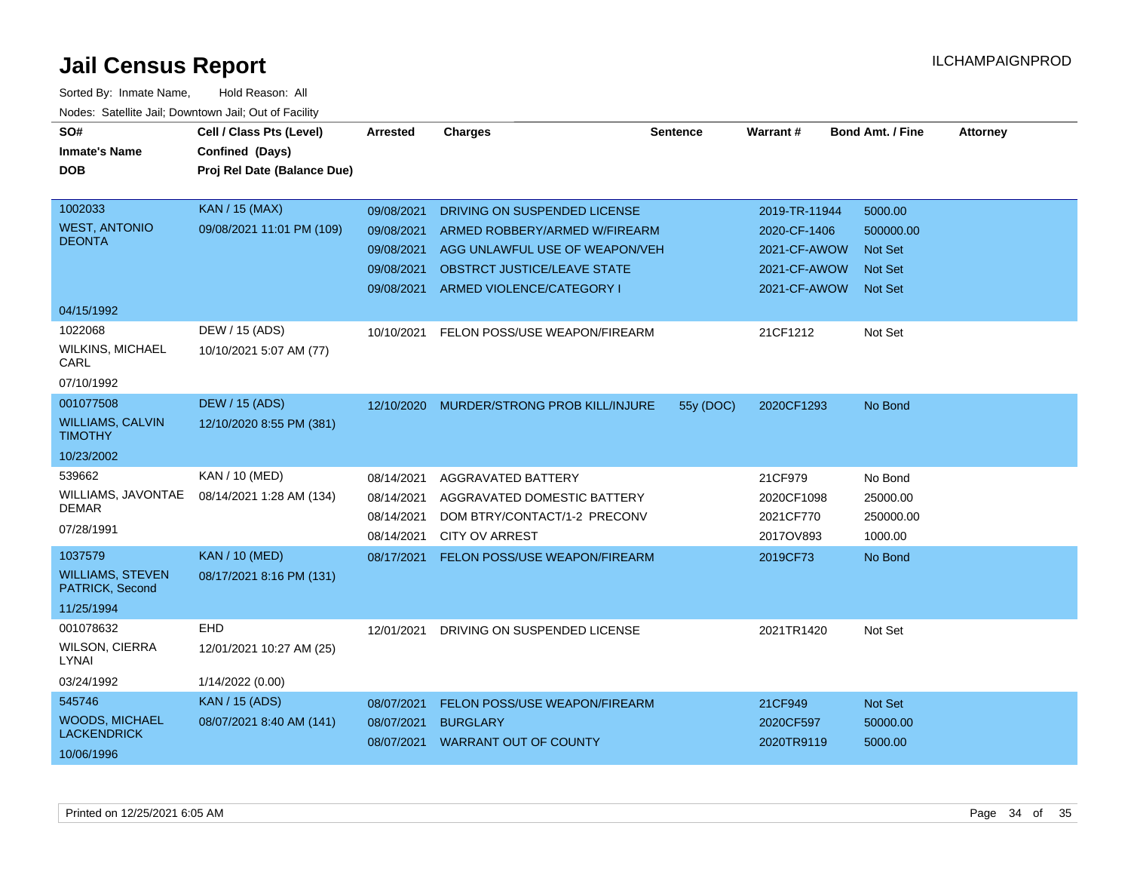| SO#                                        | Cell / Class Pts (Level)    | <b>Arrested</b> | <b>Charges</b>                     | <b>Sentence</b> | Warrant#      | <b>Bond Amt. / Fine</b> | <b>Attorney</b> |
|--------------------------------------------|-----------------------------|-----------------|------------------------------------|-----------------|---------------|-------------------------|-----------------|
| <b>Inmate's Name</b>                       | Confined (Days)             |                 |                                    |                 |               |                         |                 |
| <b>DOB</b>                                 | Proj Rel Date (Balance Due) |                 |                                    |                 |               |                         |                 |
|                                            |                             |                 |                                    |                 |               |                         |                 |
| 1002033                                    | <b>KAN / 15 (MAX)</b>       | 09/08/2021      | DRIVING ON SUSPENDED LICENSE       |                 | 2019-TR-11944 | 5000.00                 |                 |
| <b>WEST, ANTONIO</b><br><b>DEONTA</b>      | 09/08/2021 11:01 PM (109)   | 09/08/2021      | ARMED ROBBERY/ARMED W/FIREARM      |                 | 2020-CF-1406  | 500000.00               |                 |
|                                            |                             | 09/08/2021      | AGG UNLAWFUL USE OF WEAPON/VEH     |                 | 2021-CF-AWOW  | <b>Not Set</b>          |                 |
|                                            |                             | 09/08/2021      | <b>OBSTRCT JUSTICE/LEAVE STATE</b> |                 | 2021-CF-AWOW  | <b>Not Set</b>          |                 |
|                                            |                             | 09/08/2021      | ARMED VIOLENCE/CATEGORY I          |                 | 2021-CF-AWOW  | <b>Not Set</b>          |                 |
| 04/15/1992                                 |                             |                 |                                    |                 |               |                         |                 |
| 1022068                                    | DEW / 15 (ADS)              | 10/10/2021      | FELON POSS/USE WEAPON/FIREARM      |                 | 21CF1212      | Not Set                 |                 |
| <b>WILKINS, MICHAEL</b><br>CARL            | 10/10/2021 5:07 AM (77)     |                 |                                    |                 |               |                         |                 |
| 07/10/1992                                 |                             |                 |                                    |                 |               |                         |                 |
| 001077508                                  | <b>DEW / 15 (ADS)</b>       | 12/10/2020      | MURDER/STRONG PROB KILL/INJURE     | 55y (DOC)       | 2020CF1293    | No Bond                 |                 |
| <b>WILLIAMS, CALVIN</b><br><b>TIMOTHY</b>  | 12/10/2020 8:55 PM (381)    |                 |                                    |                 |               |                         |                 |
| 10/23/2002                                 |                             |                 |                                    |                 |               |                         |                 |
| 539662                                     | KAN / 10 (MED)              | 08/14/2021      | AGGRAVATED BATTERY                 |                 | 21CF979       | No Bond                 |                 |
| WILLIAMS, JAVONTAE                         | 08/14/2021 1:28 AM (134)    | 08/14/2021      | AGGRAVATED DOMESTIC BATTERY        |                 | 2020CF1098    | 25000.00                |                 |
| <b>DEMAR</b>                               |                             | 08/14/2021      | DOM BTRY/CONTACT/1-2 PRECONV       |                 | 2021CF770     | 250000.00               |                 |
| 07/28/1991                                 |                             | 08/14/2021      | <b>CITY OV ARREST</b>              |                 | 2017OV893     | 1000.00                 |                 |
| 1037579                                    | <b>KAN / 10 (MED)</b>       | 08/17/2021      | FELON POSS/USE WEAPON/FIREARM      |                 | 2019CF73      | No Bond                 |                 |
| <b>WILLIAMS, STEVEN</b><br>PATRICK, Second | 08/17/2021 8:16 PM (131)    |                 |                                    |                 |               |                         |                 |
| 11/25/1994                                 |                             |                 |                                    |                 |               |                         |                 |
| 001078632                                  | <b>EHD</b>                  | 12/01/2021      | DRIVING ON SUSPENDED LICENSE       |                 | 2021TR1420    | Not Set                 |                 |
| WILSON, CIERRA<br>LYNAI                    | 12/01/2021 10:27 AM (25)    |                 |                                    |                 |               |                         |                 |
| 03/24/1992                                 | 1/14/2022 (0.00)            |                 |                                    |                 |               |                         |                 |
| 545746                                     | <b>KAN</b> / 15 (ADS)       | 08/07/2021      | FELON POSS/USE WEAPON/FIREARM      |                 | 21CF949       | Not Set                 |                 |
| <b>WOODS, MICHAEL</b>                      | 08/07/2021 8:40 AM (141)    | 08/07/2021      | <b>BURGLARY</b>                    |                 | 2020CF597     | 50000.00                |                 |
| <b>LACKENDRICK</b>                         |                             |                 | 08/07/2021 WARRANT OUT OF COUNTY   |                 | 2020TR9119    | 5000.00                 |                 |
| 10/06/1996                                 |                             |                 |                                    |                 |               |                         |                 |